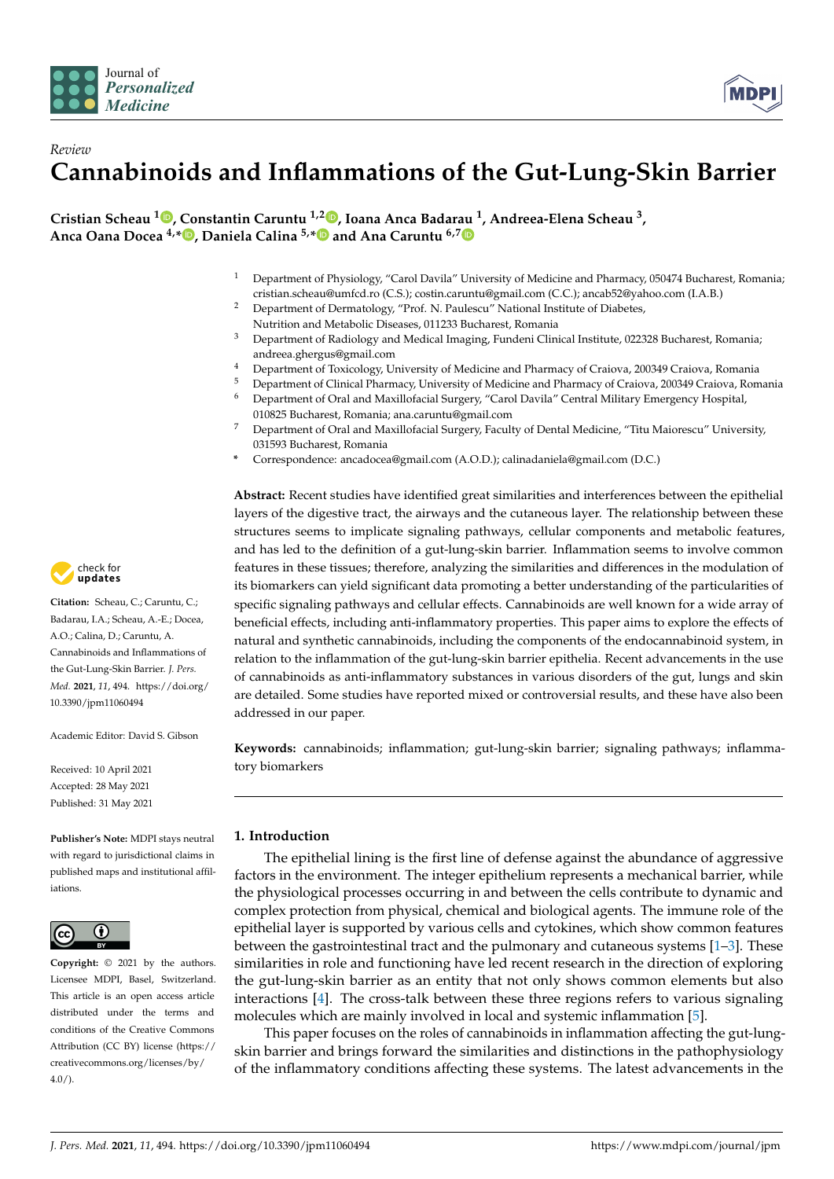



**Cristian Scheau [1](https://orcid.org/0000-0001-7676-6393) , Constantin Caruntu 1,[2](https://orcid.org/0000-0003-4530-7965) , Ioana Anca Badar[au](https://orcid.org/0000-0003-4200-3069) <sup>1</sup> , Andreea-Elena Scheau <sup>3</sup> , Anca Oana Docea 4,[\\*](https://orcid.org/0000-0002-8162-5955) , Daniela Calina 5,[\\*](https://orcid.org/0000-0002-1523-9116) and Ana Caruntu 6,7**

- <sup>1</sup> Department of Physiology, "Carol Davila" University of Medicine and Pharmacy, 050474 Bucharest, Romania; cristian.scheau@umfcd.ro (C.S.); costin.caruntu@gmail.com (C.C.); ancab52@yahoo.com (I.A.B.)
- <sup>2</sup> Department of Dermatology, "Prof. N. Paulescu" National Institute of Diabetes, Nutrition and Metabolic Diseases, 011233 Bucharest, Romania
- <sup>3</sup> Department of Radiology and Medical Imaging, Fundeni Clinical Institute, 022328 Bucharest, Romania; andreea.ghergus@gmail.com
- <sup>4</sup> Department of Toxicology, University of Medicine and Pharmacy of Craiova, 200349 Craiova, Romania
- <sup>5</sup> Department of Clinical Pharmacy, University of Medicine and Pharmacy of Craiova, 200349 Craiova, Romania <sup>6</sup> Department of Oral and Maxillofacial Surgery, "Carol Davila" Central Military Emergency Hospital,
- 010825 Bucharest, Romania; ana.caruntu@gmail.com <sup>7</sup> Department of Oral and Maxillofacial Surgery, Faculty of Dental Medicine, "Titu Maiorescu" University, 031593 Bucharest, Romania
- **\*** Correspondence: ancadocea@gmail.com (A.O.D.); calinadaniela@gmail.com (D.C.)

**Abstract:** Recent studies have identified great similarities and interferences between the epithelial layers of the digestive tract, the airways and the cutaneous layer. The relationship between these structures seems to implicate signaling pathways, cellular components and metabolic features, and has led to the definition of a gut-lung-skin barrier. Inflammation seems to involve common features in these tissues; therefore, analyzing the similarities and differences in the modulation of its biomarkers can yield significant data promoting a better understanding of the particularities of specific signaling pathways and cellular effects. Cannabinoids are well known for a wide array of beneficial effects, including anti-inflammatory properties. This paper aims to explore the effects of natural and synthetic cannabinoids, including the components of the endocannabinoid system, in relation to the inflammation of the gut-lung-skin barrier epithelia. Recent advancements in the use of cannabinoids as anti-inflammatory substances in various disorders of the gut, lungs and skin are detailed. Some studies have reported mixed or controversial results, and these have also been addressed in our paper.

**Keywords:** cannabinoids; inflammation; gut-lung-skin barrier; signaling pathways; inflammatory biomarkers

# **1. Introduction**

The epithelial lining is the first line of defense against the abundance of aggressive factors in the environment. The integer epithelium represents a mechanical barrier, while the physiological processes occurring in and between the cells contribute to dynamic and complex protection from physical, chemical and biological agents. The immune role of the epithelial layer is supported by various cells and cytokines, which show common features between the gastrointestinal tract and the pulmonary and cutaneous systems  $[1-3]$  $[1-3]$ . These similarities in role and functioning have led recent research in the direction of exploring the gut-lung-skin barrier as an entity that not only shows common elements but also interactions [\[4\]](#page-18-1). The cross-talk between these three regions refers to various signaling molecules which are mainly involved in local and systemic inflammation [\[5\]](#page-18-2).

This paper focuses on the roles of cannabinoids in inflammation affecting the gut-lungskin barrier and brings forward the similarities and distinctions in the pathophysiology of the inflammatory conditions affecting these systems. The latest advancements in the



**Citation:** Scheau, C.; Caruntu, C.; Badarau, I.A.; Scheau, A.-E.; Docea, A.O.; Calina, D.; Caruntu, A. Cannabinoids and Inflammations of the Gut-Lung-Skin Barrier. *J. Pers. Med.* **2021**, *11*, 494. [https://doi.org/](https://doi.org/10.3390/jpm11060494) [10.3390/jpm11060494](https://doi.org/10.3390/jpm11060494)

Academic Editor: David S. Gibson

Received: 10 April 2021 Accepted: 28 May 2021 Published: 31 May 2021

**Publisher's Note:** MDPI stays neutral with regard to jurisdictional claims in published maps and institutional affiliations.



**Copyright:** © 2021 by the authors. Licensee MDPI, Basel, Switzerland. This article is an open access article distributed under the terms and conditions of the Creative Commons Attribution (CC BY) license (https:/[/](https://creativecommons.org/licenses/by/4.0/) [creativecommons.org/licenses/by/](https://creativecommons.org/licenses/by/4.0/) 4.0/).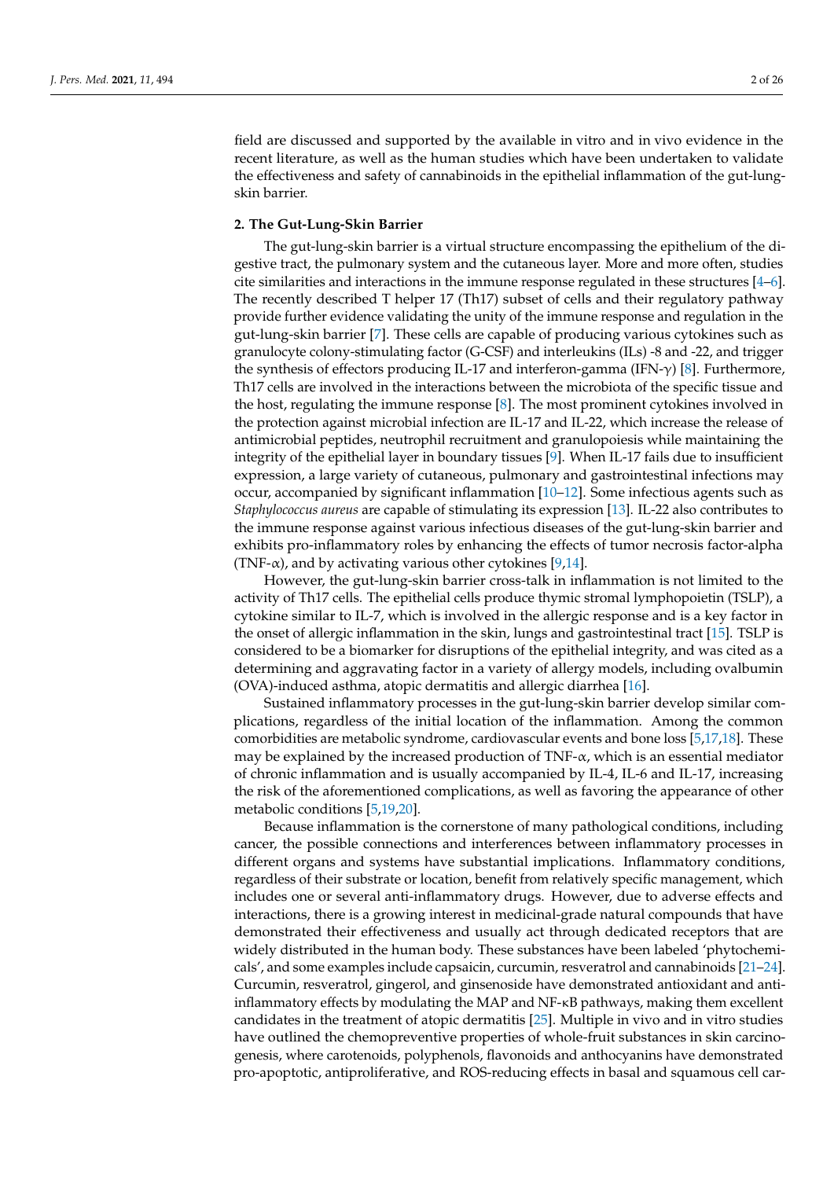field are discussed and supported by the available in vitro and in vivo evidence in the recent literature, as well as the human studies which have been undertaken to validate the effectiveness and safety of cannabinoids in the epithelial inflammation of the gut-lungskin barrier.

# **2. The Gut-Lung-Skin Barrier**

The gut-lung-skin barrier is a virtual structure encompassing the epithelium of the digestive tract, the pulmonary system and the cutaneous layer. More and more often, studies cite similarities and interactions in the immune response regulated in these structures [\[4](#page-18-1)[–6\]](#page-18-3). The recently described T helper 17 (Th17) subset of cells and their regulatory pathway provide further evidence validating the unity of the immune response and regulation in the gut-lung-skin barrier [\[7\]](#page-18-4). These cells are capable of producing various cytokines such as granulocyte colony-stimulating factor (G-CSF) and interleukins (ILs) -8 and -22, and trigger the synthesis of effectors producing IL-17 and interferon-gamma (IFN-γ) [\[8\]](#page-18-5). Furthermore, Th17 cells are involved in the interactions between the microbiota of the specific tissue and the host, regulating the immune response [\[8\]](#page-18-5). The most prominent cytokines involved in the protection against microbial infection are IL-17 and IL-22, which increase the release of antimicrobial peptides, neutrophil recruitment and granulopoiesis while maintaining the integrity of the epithelial layer in boundary tissues [\[9\]](#page-18-6). When IL-17 fails due to insufficient expression, a large variety of cutaneous, pulmonary and gastrointestinal infections may occur, accompanied by significant inflammation [\[10–](#page-18-7)[12\]](#page-18-8). Some infectious agents such as *Staphylococcus aureus* are capable of stimulating its expression [\[13\]](#page-18-9). IL-22 also contributes to the immune response against various infectious diseases of the gut-lung-skin barrier and exhibits pro-inflammatory roles by enhancing the effects of tumor necrosis factor-alpha (TNF- $\alpha$ ), and by activating various other cytokines [\[9](#page-18-6)[,14\]](#page-18-10).

However, the gut-lung-skin barrier cross-talk in inflammation is not limited to the activity of Th17 cells. The epithelial cells produce thymic stromal lymphopoietin (TSLP), a cytokine similar to IL-7, which is involved in the allergic response and is a key factor in the onset of allergic inflammation in the skin, lungs and gastrointestinal tract [\[15\]](#page-18-11). TSLP is considered to be a biomarker for disruptions of the epithelial integrity, and was cited as a determining and aggravating factor in a variety of allergy models, including ovalbumin (OVA)-induced asthma, atopic dermatitis and allergic diarrhea [\[16\]](#page-18-12).

Sustained inflammatory processes in the gut-lung-skin barrier develop similar complications, regardless of the initial location of the inflammation. Among the common comorbidities are metabolic syndrome, cardiovascular events and bone loss [\[5,](#page-18-2)[17](#page-18-13)[,18\]](#page-18-14). These may be explained by the increased production of  $TNF-\alpha$ , which is an essential mediator of chronic inflammation and is usually accompanied by IL-4, IL-6 and IL-17, increasing the risk of the aforementioned complications, as well as favoring the appearance of other metabolic conditions [\[5](#page-18-2)[,19,](#page-18-15)[20\]](#page-18-16).

Because inflammation is the cornerstone of many pathological conditions, including cancer, the possible connections and interferences between inflammatory processes in different organs and systems have substantial implications. Inflammatory conditions, regardless of their substrate or location, benefit from relatively specific management, which includes one or several anti-inflammatory drugs. However, due to adverse effects and interactions, there is a growing interest in medicinal-grade natural compounds that have demonstrated their effectiveness and usually act through dedicated receptors that are widely distributed in the human body. These substances have been labeled 'phytochemicals', and some examples include capsaicin, curcumin, resveratrol and cannabinoids [\[21](#page-18-17)[–24\]](#page-18-18). Curcumin, resveratrol, gingerol, and ginsenoside have demonstrated antioxidant and antiinflammatory effects by modulating the MAP and NF-κB pathways, making them excellent candidates in the treatment of atopic dermatitis [\[25\]](#page-18-19). Multiple in vivo and in vitro studies have outlined the chemopreventive properties of whole-fruit substances in skin carcinogenesis, where carotenoids, polyphenols, flavonoids and anthocyanins have demonstrated pro-apoptotic, antiproliferative, and ROS-reducing effects in basal and squamous cell car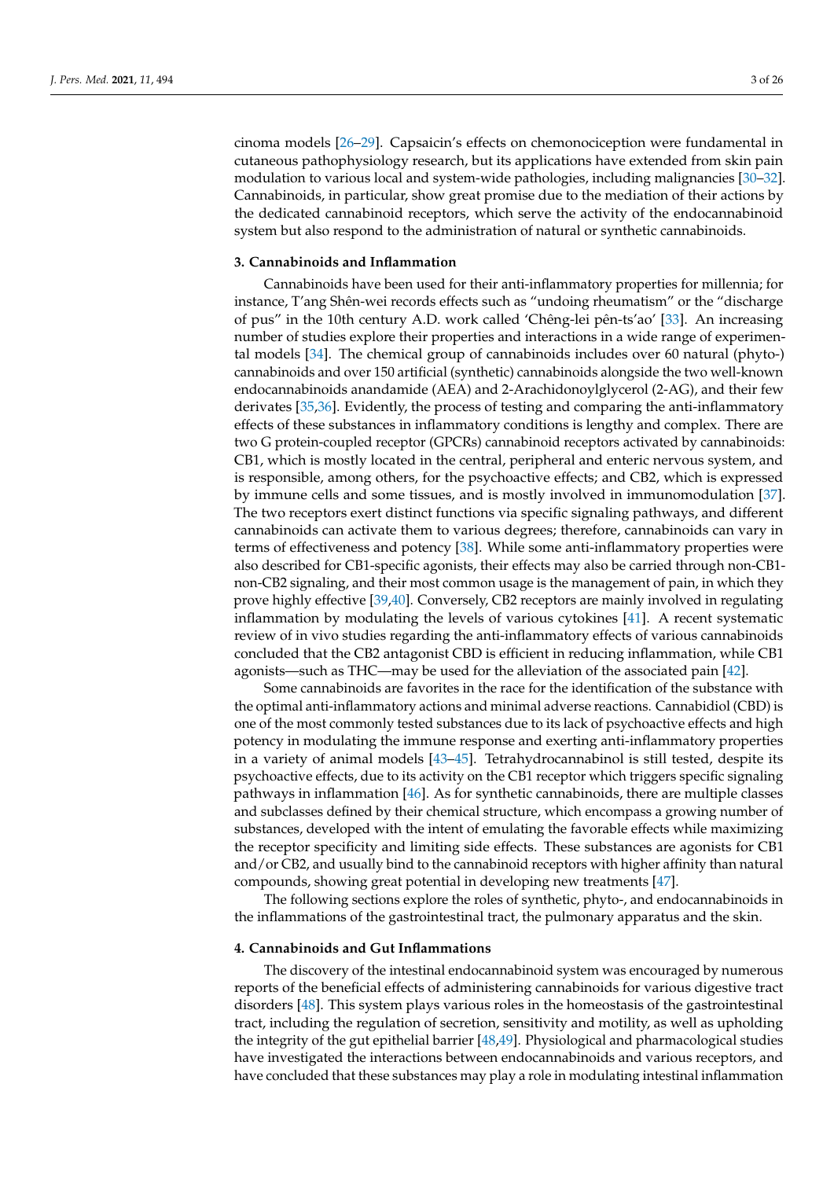cinoma models [\[26–](#page-18-20)[29\]](#page-18-21). Capsaicin's effects on chemonociception were fundamental in cutaneous pathophysiology research, but its applications have extended from skin pain modulation to various local and system-wide pathologies, including malignancies [\[30](#page-18-22)[–32\]](#page-19-0). Cannabinoids, in particular, show great promise due to the mediation of their actions by the dedicated cannabinoid receptors, which serve the activity of the endocannabinoid system but also respond to the administration of natural or synthetic cannabinoids.

### **3. Cannabinoids and Inflammation**

Cannabinoids have been used for their anti-inflammatory properties for millennia; for instance, T'ang Shên-wei records effects such as "undoing rheumatism" or the "discharge of pus" in the 10th century A.D. work called 'Chêng-lei pên-ts'ao' [\[33\]](#page-19-1). An increasing number of studies explore their properties and interactions in a wide range of experimental models [\[34\]](#page-19-2). The chemical group of cannabinoids includes over 60 natural (phyto-) cannabinoids and over 150 artificial (synthetic) cannabinoids alongside the two well-known endocannabinoids anandamide (AEA) and 2-Arachidonoylglycerol (2-AG), and their few derivates [\[35](#page-19-3)[,36\]](#page-19-4). Evidently, the process of testing and comparing the anti-inflammatory effects of these substances in inflammatory conditions is lengthy and complex. There are two G protein-coupled receptor (GPCRs) cannabinoid receptors activated by cannabinoids: CB1, which is mostly located in the central, peripheral and enteric nervous system, and is responsible, among others, for the psychoactive effects; and CB2, which is expressed by immune cells and some tissues, and is mostly involved in immunomodulation [\[37\]](#page-19-5). The two receptors exert distinct functions via specific signaling pathways, and different cannabinoids can activate them to various degrees; therefore, cannabinoids can vary in terms of effectiveness and potency [\[38\]](#page-19-6). While some anti-inflammatory properties were also described for CB1-specific agonists, their effects may also be carried through non-CB1 non-CB2 signaling, and their most common usage is the management of pain, in which they prove highly effective [\[39,](#page-19-7)[40\]](#page-19-8). Conversely, CB2 receptors are mainly involved in regulating inflammation by modulating the levels of various cytokines [\[41\]](#page-19-9). A recent systematic review of in vivo studies regarding the anti-inflammatory effects of various cannabinoids concluded that the CB2 antagonist CBD is efficient in reducing inflammation, while CB1 agonists—such as THC—may be used for the alleviation of the associated pain [\[42\]](#page-19-10).

Some cannabinoids are favorites in the race for the identification of the substance with the optimal anti-inflammatory actions and minimal adverse reactions. Cannabidiol (CBD) is one of the most commonly tested substances due to its lack of psychoactive effects and high potency in modulating the immune response and exerting anti-inflammatory properties in a variety of animal models [\[43](#page-19-11)[–45\]](#page-19-12). Tetrahydrocannabinol is still tested, despite its psychoactive effects, due to its activity on the CB1 receptor which triggers specific signaling pathways in inflammation [\[46\]](#page-19-13). As for synthetic cannabinoids, there are multiple classes and subclasses defined by their chemical structure, which encompass a growing number of substances, developed with the intent of emulating the favorable effects while maximizing the receptor specificity and limiting side effects. These substances are agonists for CB1 and/or CB2, and usually bind to the cannabinoid receptors with higher affinity than natural compounds, showing great potential in developing new treatments [\[47\]](#page-19-14).

The following sections explore the roles of synthetic, phyto-, and endocannabinoids in the inflammations of the gastrointestinal tract, the pulmonary apparatus and the skin.

### **4. Cannabinoids and Gut Inflammations**

The discovery of the intestinal endocannabinoid system was encouraged by numerous reports of the beneficial effects of administering cannabinoids for various digestive tract disorders [\[48\]](#page-19-15). This system plays various roles in the homeostasis of the gastrointestinal tract, including the regulation of secretion, sensitivity and motility, as well as upholding the integrity of the gut epithelial barrier [\[48](#page-19-15)[,49\]](#page-19-16). Physiological and pharmacological studies have investigated the interactions between endocannabinoids and various receptors, and have concluded that these substances may play a role in modulating intestinal inflammation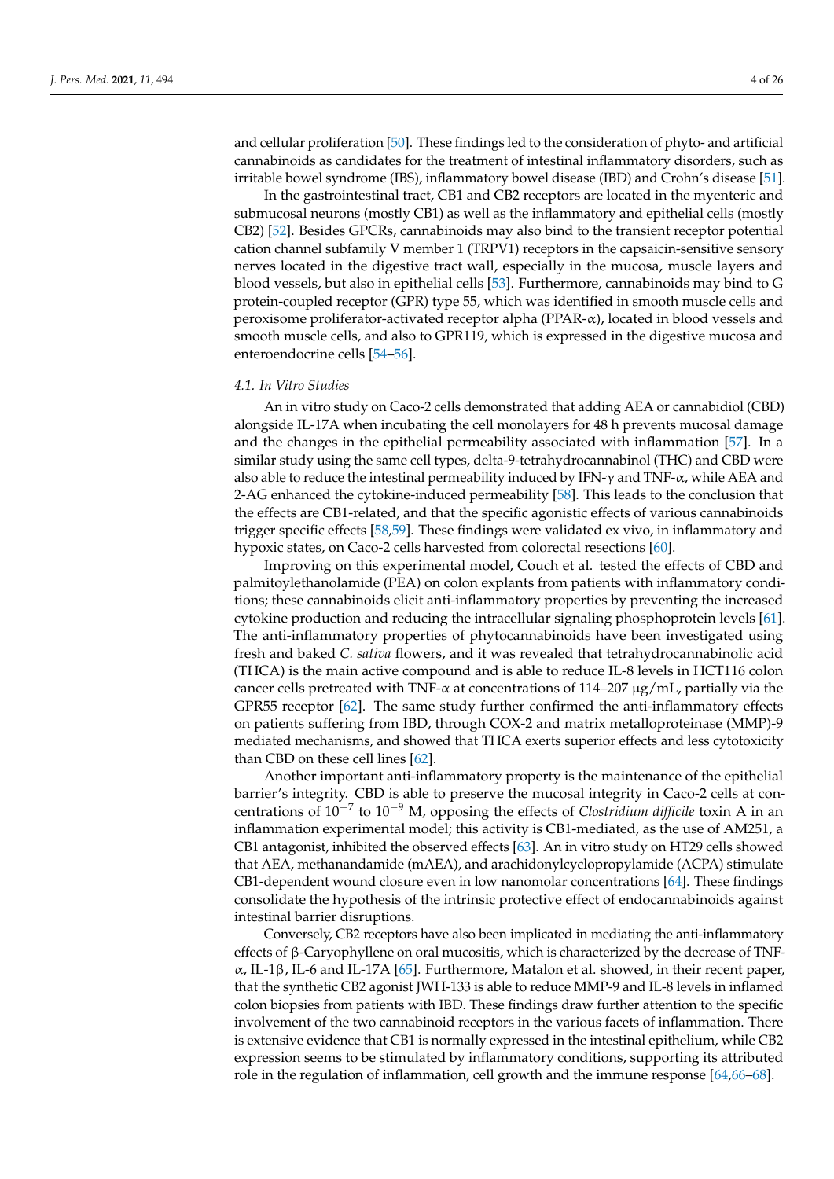and cellular proliferation [\[50\]](#page-19-17). These findings led to the consideration of phyto- and artificial cannabinoids as candidates for the treatment of intestinal inflammatory disorders, such as irritable bowel syndrome (IBS), inflammatory bowel disease (IBD) and Crohn's disease [\[51\]](#page-19-18).

In the gastrointestinal tract, CB1 and CB2 receptors are located in the myenteric and submucosal neurons (mostly CB1) as well as the inflammatory and epithelial cells (mostly CB2) [\[52\]](#page-19-19). Besides GPCRs, cannabinoids may also bind to the transient receptor potential cation channel subfamily V member 1 (TRPV1) receptors in the capsaicin-sensitive sensory nerves located in the digestive tract wall, especially in the mucosa, muscle layers and blood vessels, but also in epithelial cells [\[53\]](#page-19-20). Furthermore, cannabinoids may bind to G protein-coupled receptor (GPR) type 55, which was identified in smooth muscle cells and peroxisome proliferator-activated receptor alpha (PPAR-α), located in blood vessels and smooth muscle cells, and also to GPR119, which is expressed in the digestive mucosa and enteroendocrine cells [\[54](#page-19-21)[–56\]](#page-19-22).

#### *4.1. In Vitro Studies*

An in vitro study on Caco-2 cells demonstrated that adding AEA or cannabidiol (CBD) alongside IL-17A when incubating the cell monolayers for 48 h prevents mucosal damage and the changes in the epithelial permeability associated with inflammation [\[57\]](#page-19-23). In a similar study using the same cell types, delta-9-tetrahydrocannabinol (THC) and CBD were also able to reduce the intestinal permeability induced by IFN- $\gamma$  and TNF- $\alpha$ , while AEA and 2-AG enhanced the cytokine-induced permeability [\[58\]](#page-19-24). This leads to the conclusion that the effects are CB1-related, and that the specific agonistic effects of various cannabinoids trigger specific effects [\[58](#page-19-24)[,59\]](#page-19-25). These findings were validated ex vivo, in inflammatory and hypoxic states, on Caco-2 cells harvested from colorectal resections [\[60\]](#page-20-0).

Improving on this experimental model, Couch et al. tested the effects of CBD and palmitoylethanolamide (PEA) on colon explants from patients with inflammatory conditions; these cannabinoids elicit anti-inflammatory properties by preventing the increased cytokine production and reducing the intracellular signaling phosphoprotein levels [\[61\]](#page-20-1). The anti-inflammatory properties of phytocannabinoids have been investigated using fresh and baked *C. sativa* flowers, and it was revealed that tetrahydrocannabinolic acid (THCA) is the main active compound and is able to reduce IL-8 levels in HCT116 colon cancer cells pretreated with TNF- $\alpha$  at concentrations of 114–207 µg/mL, partially via the GPR55 receptor [\[62\]](#page-20-2). The same study further confirmed the anti-inflammatory effects on patients suffering from IBD, through COX-2 and matrix metalloproteinase (MMP)-9 mediated mechanisms, and showed that THCA exerts superior effects and less cytotoxicity than CBD on these cell lines [\[62\]](#page-20-2).

Another important anti-inflammatory property is the maintenance of the epithelial barrier's integrity. CBD is able to preserve the mucosal integrity in Caco-2 cells at concentrations of 10−<sup>7</sup> to 10−<sup>9</sup> M, opposing the effects of *Clostridium difficile* toxin A in an inflammation experimental model; this activity is CB1-mediated, as the use of AM251, a CB1 antagonist, inhibited the observed effects [\[63\]](#page-20-3). An in vitro study on HT29 cells showed that AEA, methanandamide (mAEA), and arachidonylcyclopropylamide (ACPA) stimulate CB1-dependent wound closure even in low nanomolar concentrations [\[64\]](#page-20-4). These findings consolidate the hypothesis of the intrinsic protective effect of endocannabinoids against intestinal barrier disruptions.

Conversely, CB2 receptors have also been implicated in mediating the anti-inflammatory effects of β-Caryophyllene on oral mucositis, which is characterized by the decrease of TNFα, IL-1β, IL-6 and IL-17A [\[65\]](#page-20-5). Furthermore, Matalon et al. showed, in their recent paper, that the synthetic CB2 agonist JWH-133 is able to reduce MMP-9 and IL-8 levels in inflamed colon biopsies from patients with IBD. These findings draw further attention to the specific involvement of the two cannabinoid receptors in the various facets of inflammation. There is extensive evidence that CB1 is normally expressed in the intestinal epithelium, while CB2 expression seems to be stimulated by inflammatory conditions, supporting its attributed role in the regulation of inflammation, cell growth and the immune response [\[64](#page-20-4)[,66](#page-20-6)[–68\]](#page-20-7).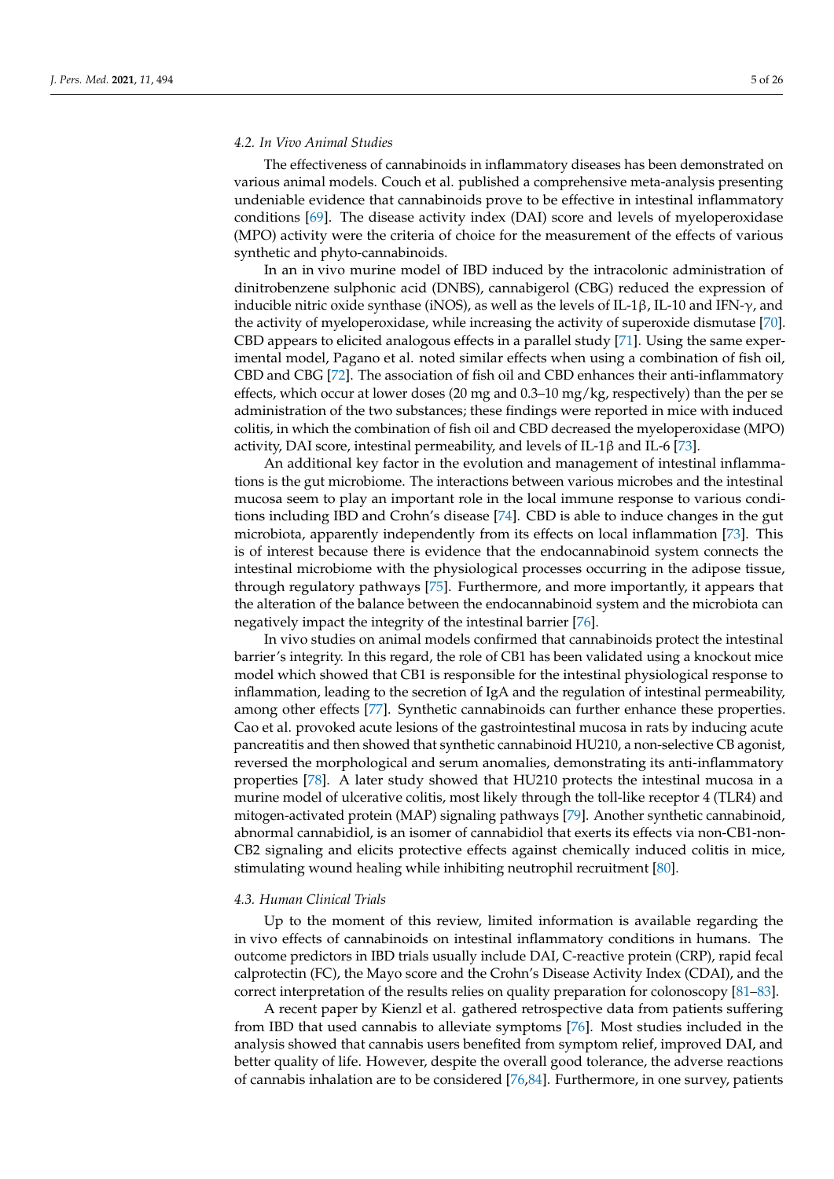# *4.2. In Vivo Animal Studies*

The effectiveness of cannabinoids in inflammatory diseases has been demonstrated on various animal models. Couch et al. published a comprehensive meta-analysis presenting undeniable evidence that cannabinoids prove to be effective in intestinal inflammatory conditions [\[69\]](#page-20-8). The disease activity index (DAI) score and levels of myeloperoxidase (MPO) activity were the criteria of choice for the measurement of the effects of various synthetic and phyto-cannabinoids.

In an in vivo murine model of IBD induced by the intracolonic administration of dinitrobenzene sulphonic acid (DNBS), cannabigerol (CBG) reduced the expression of inducible nitric oxide synthase (iNOS), as well as the levels of IL-1β, IL-10 and IFN- $\gamma$ , and the activity of myeloperoxidase, while increasing the activity of superoxide dismutase [\[70\]](#page-20-9). CBD appears to elicited analogous effects in a parallel study [\[71\]](#page-20-10). Using the same experimental model, Pagano et al. noted similar effects when using a combination of fish oil, CBD and CBG [\[72\]](#page-20-11). The association of fish oil and CBD enhances their anti-inflammatory effects, which occur at lower doses (20 mg and 0.3–10 mg/kg, respectively) than the per se administration of the two substances; these findings were reported in mice with induced colitis, in which the combination of fish oil and CBD decreased the myeloperoxidase (MPO) activity, DAI score, intestinal permeability, and levels of IL-1 $\beta$  and IL-6 [\[73\]](#page-20-12).

An additional key factor in the evolution and management of intestinal inflammations is the gut microbiome. The interactions between various microbes and the intestinal mucosa seem to play an important role in the local immune response to various conditions including IBD and Crohn's disease [\[74\]](#page-20-13). CBD is able to induce changes in the gut microbiota, apparently independently from its effects on local inflammation [\[73\]](#page-20-12). This is of interest because there is evidence that the endocannabinoid system connects the intestinal microbiome with the physiological processes occurring in the adipose tissue, through regulatory pathways [\[75\]](#page-20-14). Furthermore, and more importantly, it appears that the alteration of the balance between the endocannabinoid system and the microbiota can negatively impact the integrity of the intestinal barrier [\[76\]](#page-20-15).

In vivo studies on animal models confirmed that cannabinoids protect the intestinal barrier's integrity. In this regard, the role of CB1 has been validated using a knockout mice model which showed that CB1 is responsible for the intestinal physiological response to inflammation, leading to the secretion of IgA and the regulation of intestinal permeability, among other effects [\[77\]](#page-20-16). Synthetic cannabinoids can further enhance these properties. Cao et al. provoked acute lesions of the gastrointestinal mucosa in rats by inducing acute pancreatitis and then showed that synthetic cannabinoid HU210, a non-selective CB agonist, reversed the morphological and serum anomalies, demonstrating its anti-inflammatory properties [\[78\]](#page-20-17). A later study showed that HU210 protects the intestinal mucosa in a murine model of ulcerative colitis, most likely through the toll-like receptor 4 (TLR4) and mitogen-activated protein (MAP) signaling pathways [\[79\]](#page-20-18). Another synthetic cannabinoid, abnormal cannabidiol, is an isomer of cannabidiol that exerts its effects via non-CB1-non-CB2 signaling and elicits protective effects against chemically induced colitis in mice, stimulating wound healing while inhibiting neutrophil recruitment [\[80\]](#page-20-19).

#### *4.3. Human Clinical Trials*

Up to the moment of this review, limited information is available regarding the in vivo effects of cannabinoids on intestinal inflammatory conditions in humans. The outcome predictors in IBD trials usually include DAI, C-reactive protein (CRP), rapid fecal calprotectin (FC), the Mayo score and the Crohn's Disease Activity Index (CDAI), and the correct interpretation of the results relies on quality preparation for colonoscopy [\[81–](#page-20-20)[83\]](#page-20-21).

A recent paper by Kienzl et al. gathered retrospective data from patients suffering from IBD that used cannabis to alleviate symptoms [\[76\]](#page-20-15). Most studies included in the analysis showed that cannabis users benefited from symptom relief, improved DAI, and better quality of life. However, despite the overall good tolerance, the adverse reactions of cannabis inhalation are to be considered [\[76,](#page-20-15)[84\]](#page-20-22). Furthermore, in one survey, patients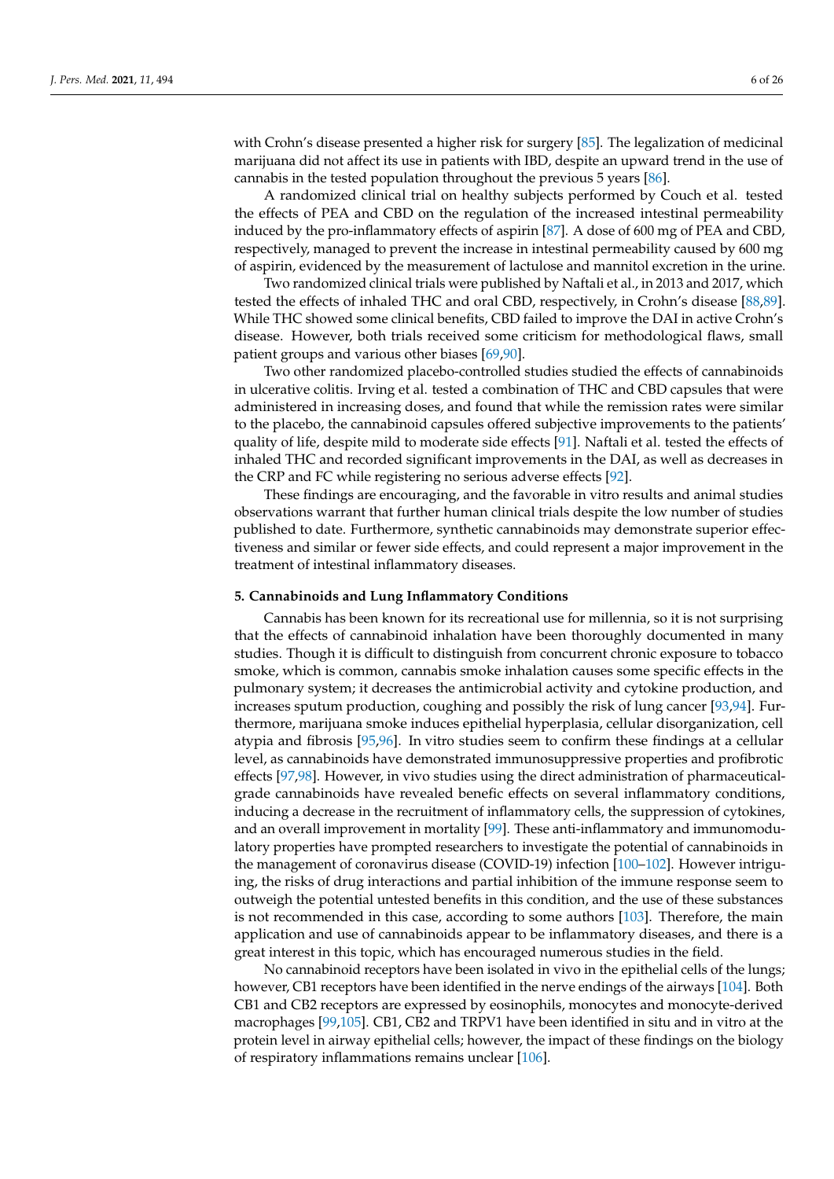with Crohn's disease presented a higher risk for surgery [\[85\]](#page-21-0). The legalization of medicinal marijuana did not affect its use in patients with IBD, despite an upward trend in the use of cannabis in the tested population throughout the previous 5 years [\[86\]](#page-21-1).

A randomized clinical trial on healthy subjects performed by Couch et al. tested the effects of PEA and CBD on the regulation of the increased intestinal permeability induced by the pro-inflammatory effects of aspirin [\[87\]](#page-21-2). A dose of 600 mg of PEA and CBD, respectively, managed to prevent the increase in intestinal permeability caused by 600 mg of aspirin, evidenced by the measurement of lactulose and mannitol excretion in the urine.

Two randomized clinical trials were published by Naftali et al., in 2013 and 2017, which tested the effects of inhaled THC and oral CBD, respectively, in Crohn's disease [\[88,](#page-21-3)[89\]](#page-21-4). While THC showed some clinical benefits, CBD failed to improve the DAI in active Crohn's disease. However, both trials received some criticism for methodological flaws, small patient groups and various other biases [\[69](#page-20-8)[,90\]](#page-21-5).

Two other randomized placebo-controlled studies studied the effects of cannabinoids in ulcerative colitis. Irving et al. tested a combination of THC and CBD capsules that were administered in increasing doses, and found that while the remission rates were similar to the placebo, the cannabinoid capsules offered subjective improvements to the patients' quality of life, despite mild to moderate side effects [\[91\]](#page-21-6). Naftali et al. tested the effects of inhaled THC and recorded significant improvements in the DAI, as well as decreases in the CRP and FC while registering no serious adverse effects [\[92\]](#page-21-7).

These findings are encouraging, and the favorable in vitro results and animal studies observations warrant that further human clinical trials despite the low number of studies published to date. Furthermore, synthetic cannabinoids may demonstrate superior effectiveness and similar or fewer side effects, and could represent a major improvement in the treatment of intestinal inflammatory diseases.

#### **5. Cannabinoids and Lung Inflammatory Conditions**

Cannabis has been known for its recreational use for millennia, so it is not surprising that the effects of cannabinoid inhalation have been thoroughly documented in many studies. Though it is difficult to distinguish from concurrent chronic exposure to tobacco smoke, which is common, cannabis smoke inhalation causes some specific effects in the pulmonary system; it decreases the antimicrobial activity and cytokine production, and increases sputum production, coughing and possibly the risk of lung cancer [\[93,](#page-21-8)[94\]](#page-21-9). Furthermore, marijuana smoke induces epithelial hyperplasia, cellular disorganization, cell atypia and fibrosis [\[95](#page-21-10)[,96\]](#page-21-11). In vitro studies seem to confirm these findings at a cellular level, as cannabinoids have demonstrated immunosuppressive properties and profibrotic effects [\[97](#page-21-12)[,98\]](#page-21-13). However, in vivo studies using the direct administration of pharmaceuticalgrade cannabinoids have revealed benefic effects on several inflammatory conditions, inducing a decrease in the recruitment of inflammatory cells, the suppression of cytokines, and an overall improvement in mortality [\[99\]](#page-21-14). These anti-inflammatory and immunomodulatory properties have prompted researchers to investigate the potential of cannabinoids in the management of coronavirus disease (COVID-19) infection [\[100–](#page-21-15)[102\]](#page-21-16). However intriguing, the risks of drug interactions and partial inhibition of the immune response seem to outweigh the potential untested benefits in this condition, and the use of these substances is not recommended in this case, according to some authors [\[103\]](#page-21-17). Therefore, the main application and use of cannabinoids appear to be inflammatory diseases, and there is a great interest in this topic, which has encouraged numerous studies in the field.

No cannabinoid receptors have been isolated in vivo in the epithelial cells of the lungs; however, CB1 receptors have been identified in the nerve endings of the airways [\[104\]](#page-21-18). Both CB1 and CB2 receptors are expressed by eosinophils, monocytes and monocyte-derived macrophages [\[99](#page-21-14)[,105\]](#page-21-19). CB1, CB2 and TRPV1 have been identified in situ and in vitro at the protein level in airway epithelial cells; however, the impact of these findings on the biology of respiratory inflammations remains unclear [\[106\]](#page-21-20).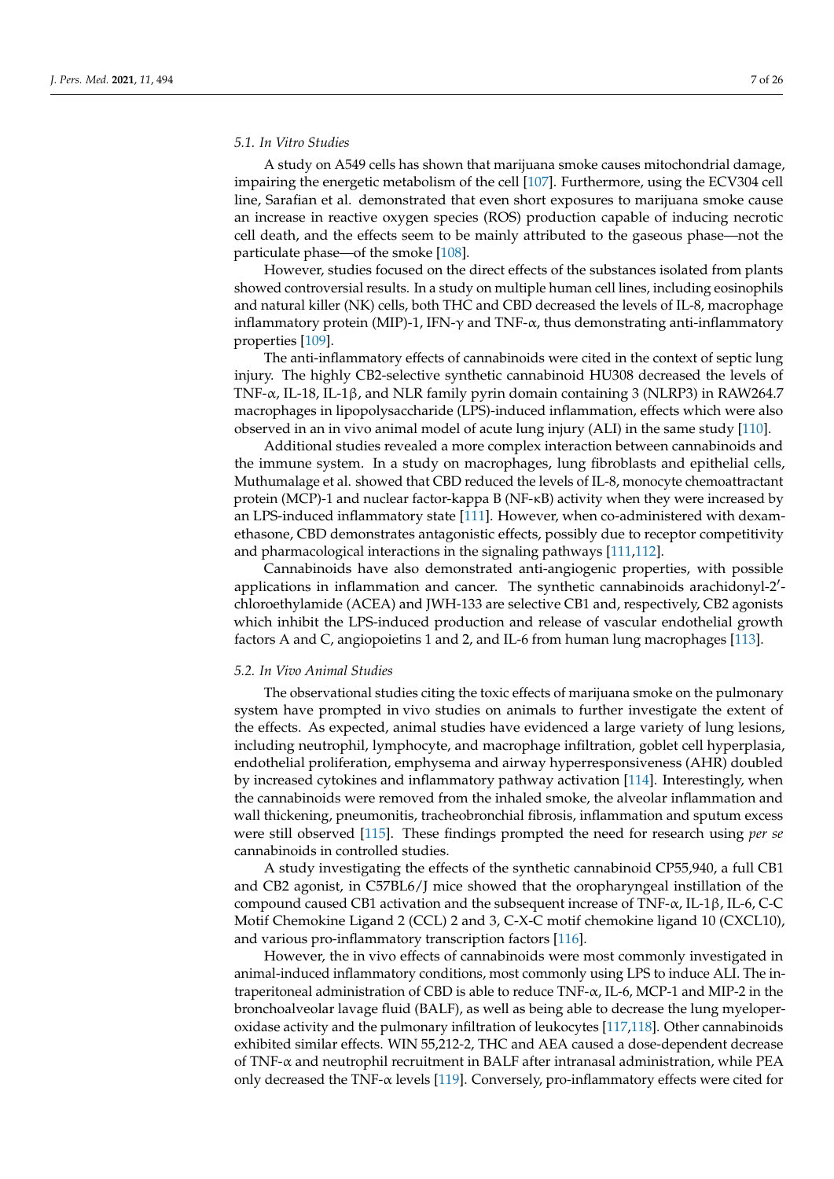### *5.1. In Vitro Studies*

A study on A549 cells has shown that marijuana smoke causes mitochondrial damage, impairing the energetic metabolism of the cell [\[107\]](#page-21-21). Furthermore, using the ECV304 cell line, Sarafian et al. demonstrated that even short exposures to marijuana smoke cause an increase in reactive oxygen species (ROS) production capable of inducing necrotic cell death, and the effects seem to be mainly attributed to the gaseous phase—not the particulate phase—of the smoke [\[108\]](#page-21-22).

However, studies focused on the direct effects of the substances isolated from plants showed controversial results. In a study on multiple human cell lines, including eosinophils and natural killer (NK) cells, both THC and CBD decreased the levels of IL-8, macrophage inflammatory protein (MIP)-1, IFN- $\gamma$  and TNF- $\alpha$ , thus demonstrating anti-inflammatory properties [\[109\]](#page-21-23).

The anti-inflammatory effects of cannabinoids were cited in the context of septic lung injury. The highly CB2-selective synthetic cannabinoid HU308 decreased the levels of TNF-α, IL-18, IL-1β, and NLR family pyrin domain containing 3 (NLRP3) in RAW264.7 macrophages in lipopolysaccharide (LPS)-induced inflammation, effects which were also observed in an in vivo animal model of acute lung injury (ALI) in the same study [\[110\]](#page-21-24).

Additional studies revealed a more complex interaction between cannabinoids and the immune system. In a study on macrophages, lung fibroblasts and epithelial cells, Muthumalage et al. showed that CBD reduced the levels of IL-8, monocyte chemoattractant protein (MCP)-1 and nuclear factor-kappa B (NF-κB) activity when they were increased by an LPS-induced inflammatory state [\[111\]](#page-22-0). However, when co-administered with dexamethasone, CBD demonstrates antagonistic effects, possibly due to receptor competitivity and pharmacological interactions in the signaling pathways [\[111,](#page-22-0)[112\]](#page-22-1).

Cannabinoids have also demonstrated anti-angiogenic properties, with possible applications in inflammation and cancer. The synthetic cannabinoids arachidonyl-2'chloroethylamide (ACEA) and JWH-133 are selective CB1 and, respectively, CB2 agonists which inhibit the LPS-induced production and release of vascular endothelial growth factors A and C, angiopoietins 1 and 2, and IL-6 from human lung macrophages [\[113\]](#page-22-2).

#### *5.2. In Vivo Animal Studies*

The observational studies citing the toxic effects of marijuana smoke on the pulmonary system have prompted in vivo studies on animals to further investigate the extent of the effects. As expected, animal studies have evidenced a large variety of lung lesions, including neutrophil, lymphocyte, and macrophage infiltration, goblet cell hyperplasia, endothelial proliferation, emphysema and airway hyperresponsiveness (AHR) doubled by increased cytokines and inflammatory pathway activation [\[114\]](#page-22-3). Interestingly, when the cannabinoids were removed from the inhaled smoke, the alveolar inflammation and wall thickening, pneumonitis, tracheobronchial fibrosis, inflammation and sputum excess were still observed [\[115\]](#page-22-4). These findings prompted the need for research using *per se* cannabinoids in controlled studies.

A study investigating the effects of the synthetic cannabinoid CP55,940, a full CB1 and CB2 agonist, in C57BL6/J mice showed that the oropharyngeal instillation of the compound caused CB1 activation and the subsequent increase of TNF- $\alpha$ , IL-1β, IL-6, C-C Motif Chemokine Ligand 2 (CCL) 2 and 3, C-X-C motif chemokine ligand 10 (CXCL10), and various pro-inflammatory transcription factors [\[116\]](#page-22-5).

However, the in vivo effects of cannabinoids were most commonly investigated in animal-induced inflammatory conditions, most commonly using LPS to induce ALI. The intraperitoneal administration of CBD is able to reduce TNF- $\alpha$ , IL-6, MCP-1 and MIP-2 in the bronchoalveolar lavage fluid (BALF), as well as being able to decrease the lung myeloperoxidase activity and the pulmonary infiltration of leukocytes [\[117,](#page-22-6)[118\]](#page-22-7). Other cannabinoids exhibited similar effects. WIN 55,212-2, THC and AEA caused a dose-dependent decrease of TNF-α and neutrophil recruitment in BALF after intranasal administration, while PEA only decreased the TNF- $\alpha$  levels [\[119\]](#page-22-8). Conversely, pro-inflammatory effects were cited for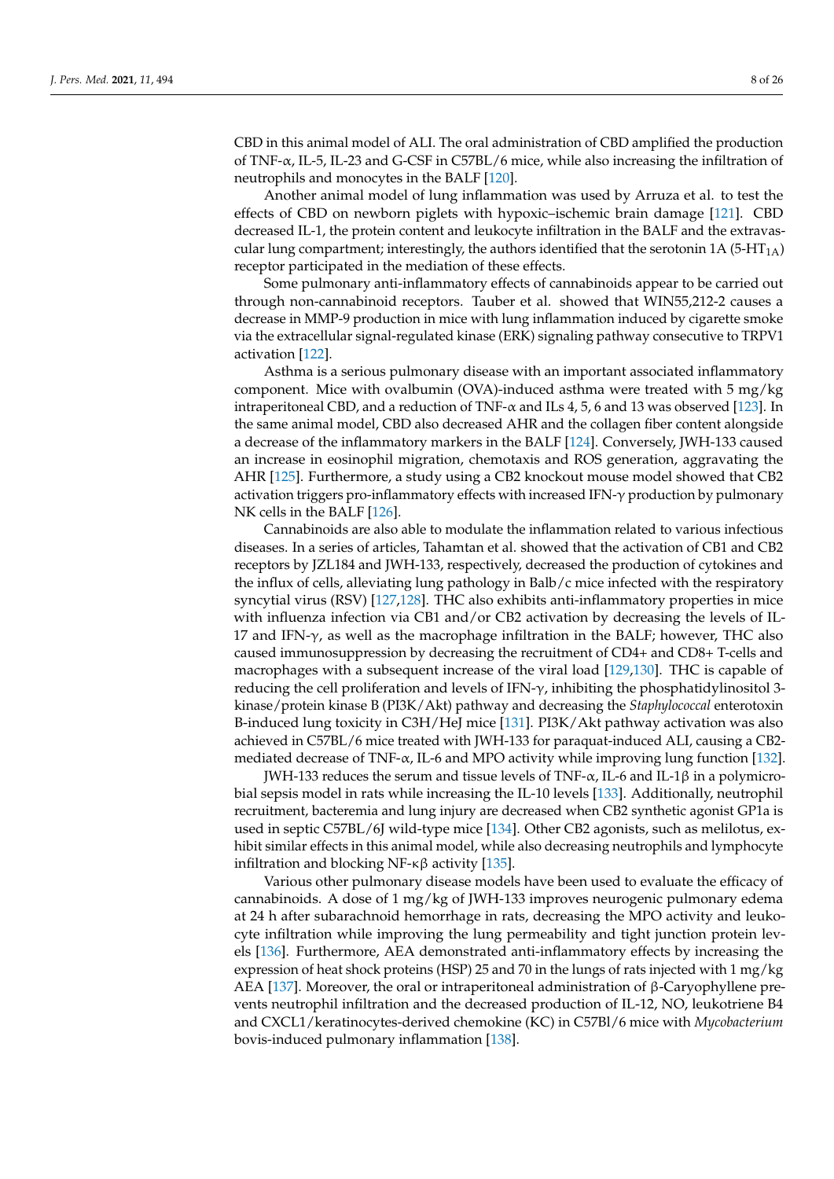CBD in this animal model of ALI. The oral administration of CBD amplified the production of TNF-α, IL-5, IL-23 and G-CSF in C57BL/6 mice, while also increasing the infiltration of neutrophils and monocytes in the BALF [\[120\]](#page-22-9).

Another animal model of lung inflammation was used by Arruza et al. to test the effects of CBD on newborn piglets with hypoxic–ischemic brain damage [\[121\]](#page-22-10). CBD decreased IL-1, the protein content and leukocyte infiltration in the BALF and the extravascular lung compartment; interestingly, the authors identified that the serotonin 1A (5-HT<sub>1A</sub>) receptor participated in the mediation of these effects.

Some pulmonary anti-inflammatory effects of cannabinoids appear to be carried out through non-cannabinoid receptors. Tauber et al. showed that WIN55,212-2 causes a decrease in MMP-9 production in mice with lung inflammation induced by cigarette smoke via the extracellular signal-regulated kinase (ERK) signaling pathway consecutive to TRPV1 activation [\[122\]](#page-22-11).

Asthma is a serious pulmonary disease with an important associated inflammatory component. Mice with ovalbumin (OVA)-induced asthma were treated with 5 mg/kg intraperitoneal CBD, and a reduction of TNF- $\alpha$  and ILs 4, 5, 6 and 13 was observed [\[123\]](#page-22-12). In the same animal model, CBD also decreased AHR and the collagen fiber content alongside a decrease of the inflammatory markers in the BALF [\[124\]](#page-22-13). Conversely, JWH-133 caused an increase in eosinophil migration, chemotaxis and ROS generation, aggravating the AHR [\[125\]](#page-22-14). Furthermore, a study using a CB2 knockout mouse model showed that CB2 activation triggers pro-inflammatory effects with increased IFN-γ production by pulmonary NK cells in the BALF [\[126\]](#page-22-15).

Cannabinoids are also able to modulate the inflammation related to various infectious diseases. In a series of articles, Tahamtan et al. showed that the activation of CB1 and CB2 receptors by JZL184 and JWH-133, respectively, decreased the production of cytokines and the influx of cells, alleviating lung pathology in Balb/c mice infected with the respiratory syncytial virus (RSV) [\[127,](#page-22-16)[128\]](#page-22-17). THC also exhibits anti-inflammatory properties in mice with influenza infection via CB1 and/or CB2 activation by decreasing the levels of IL-17 and IFN- $γ$ , as well as the macrophage infiltration in the BALF; however, THC also caused immunosuppression by decreasing the recruitment of CD4+ and CD8+ T-cells and macrophages with a subsequent increase of the viral load [\[129,](#page-22-18)[130\]](#page-22-19). THC is capable of reducing the cell proliferation and levels of IFN- $\gamma$ , inhibiting the phosphatidylinositol 3kinase/protein kinase B (PI3K/Akt) pathway and decreasing the *Staphylococcal* enterotoxin B-induced lung toxicity in C3H/HeJ mice [\[131\]](#page-22-20). PI3K/Akt pathway activation was also achieved in C57BL/6 mice treated with JWH-133 for paraquat-induced ALI, causing a CB2 mediated decrease of TNF- $\alpha$ , IL-6 and MPO activity while improving lung function [\[132\]](#page-22-21).

JWH-133 reduces the serum and tissue levels of TNF-α, IL-6 and IL-1β in a polymicrobial sepsis model in rats while increasing the IL-10 levels [\[133\]](#page-22-22). Additionally, neutrophil recruitment, bacteremia and lung injury are decreased when CB2 synthetic agonist GP1a is used in septic C57BL/6J wild-type mice [\[134\]](#page-23-0). Other CB2 agonists, such as melilotus, exhibit similar effects in this animal model, while also decreasing neutrophils and lymphocyte infiltration and blocking NF-κβ activity [\[135\]](#page-23-1).

Various other pulmonary disease models have been used to evaluate the efficacy of cannabinoids. A dose of 1 mg/kg of JWH-133 improves neurogenic pulmonary edema at 24 h after subarachnoid hemorrhage in rats, decreasing the MPO activity and leukocyte infiltration while improving the lung permeability and tight junction protein levels [\[136\]](#page-23-2). Furthermore, AEA demonstrated anti-inflammatory effects by increasing the expression of heat shock proteins (HSP) 25 and 70 in the lungs of rats injected with 1 mg/kg AEA [\[137\]](#page-23-3). Moreover, the oral or intraperitoneal administration of β-Caryophyllene prevents neutrophil infiltration and the decreased production of IL-12, NO, leukotriene B4 and CXCL1/keratinocytes-derived chemokine (KC) in C57Bl/6 mice with *Mycobacterium* bovis-induced pulmonary inflammation [\[138\]](#page-23-4).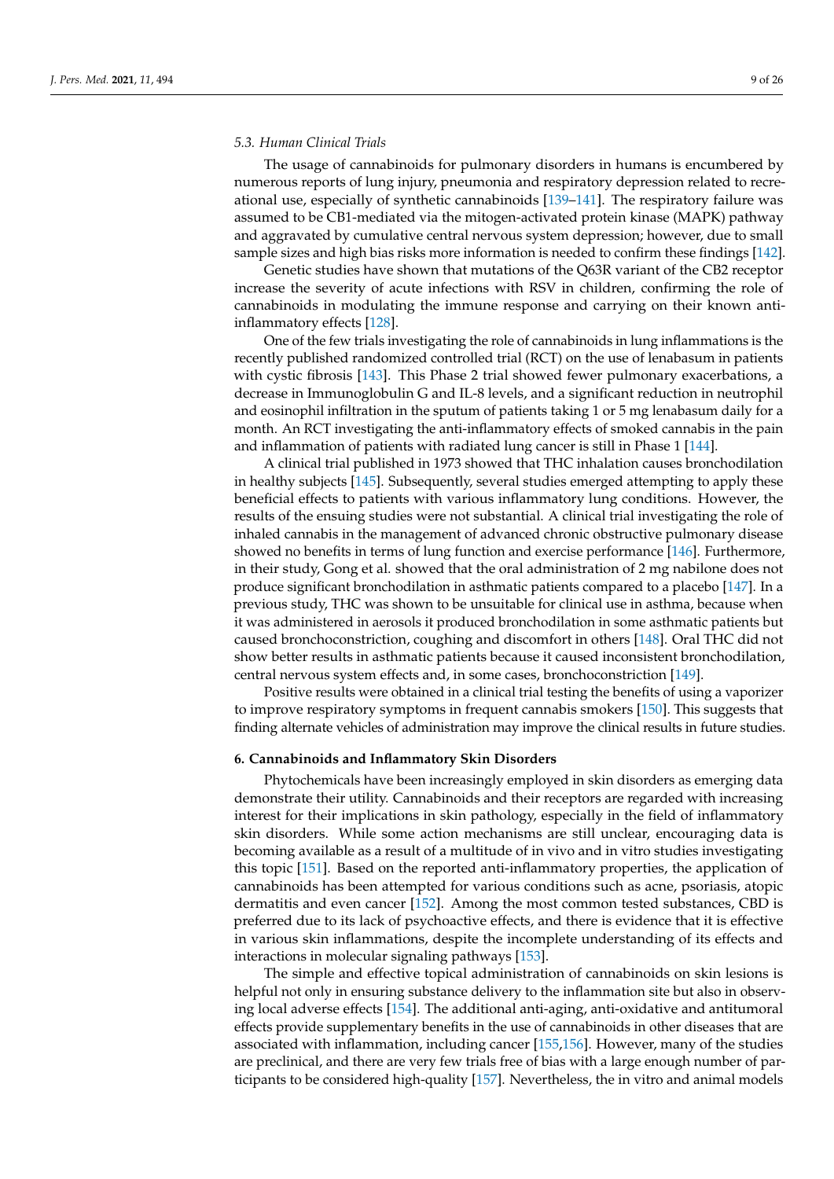### *5.3. Human Clinical Trials*

The usage of cannabinoids for pulmonary disorders in humans is encumbered by numerous reports of lung injury, pneumonia and respiratory depression related to recreational use, especially of synthetic cannabinoids [\[139](#page-23-5)[–141\]](#page-23-6). The respiratory failure was assumed to be CB1-mediated via the mitogen-activated protein kinase (MAPK) pathway and aggravated by cumulative central nervous system depression; however, due to small sample sizes and high bias risks more information is needed to confirm these findings [\[142\]](#page-23-7).

Genetic studies have shown that mutations of the Q63R variant of the CB2 receptor increase the severity of acute infections with RSV in children, confirming the role of cannabinoids in modulating the immune response and carrying on their known antiinflammatory effects [\[128\]](#page-22-17).

One of the few trials investigating the role of cannabinoids in lung inflammations is the recently published randomized controlled trial (RCT) on the use of lenabasum in patients with cystic fibrosis [\[143\]](#page-23-8). This Phase 2 trial showed fewer pulmonary exacerbations, a decrease in Immunoglobulin G and IL-8 levels, and a significant reduction in neutrophil and eosinophil infiltration in the sputum of patients taking 1 or 5 mg lenabasum daily for a month. An RCT investigating the anti-inflammatory effects of smoked cannabis in the pain and inflammation of patients with radiated lung cancer is still in Phase 1 [\[144\]](#page-23-9).

A clinical trial published in 1973 showed that THC inhalation causes bronchodilation in healthy subjects [\[145\]](#page-23-10). Subsequently, several studies emerged attempting to apply these beneficial effects to patients with various inflammatory lung conditions. However, the results of the ensuing studies were not substantial. A clinical trial investigating the role of inhaled cannabis in the management of advanced chronic obstructive pulmonary disease showed no benefits in terms of lung function and exercise performance [\[146\]](#page-23-11). Furthermore, in their study, Gong et al. showed that the oral administration of 2 mg nabilone does not produce significant bronchodilation in asthmatic patients compared to a placebo [\[147\]](#page-23-12). In a previous study, THC was shown to be unsuitable for clinical use in asthma, because when it was administered in aerosols it produced bronchodilation in some asthmatic patients but caused bronchoconstriction, coughing and discomfort in others [\[148\]](#page-23-13). Oral THC did not show better results in asthmatic patients because it caused inconsistent bronchodilation, central nervous system effects and, in some cases, bronchoconstriction [\[149\]](#page-23-14).

Positive results were obtained in a clinical trial testing the benefits of using a vaporizer to improve respiratory symptoms in frequent cannabis smokers [\[150\]](#page-23-15). This suggests that finding alternate vehicles of administration may improve the clinical results in future studies.

#### **6. Cannabinoids and Inflammatory Skin Disorders**

Phytochemicals have been increasingly employed in skin disorders as emerging data demonstrate their utility. Cannabinoids and their receptors are regarded with increasing interest for their implications in skin pathology, especially in the field of inflammatory skin disorders. While some action mechanisms are still unclear, encouraging data is becoming available as a result of a multitude of in vivo and in vitro studies investigating this topic [\[151\]](#page-23-16). Based on the reported anti-inflammatory properties, the application of cannabinoids has been attempted for various conditions such as acne, psoriasis, atopic dermatitis and even cancer [\[152\]](#page-23-17). Among the most common tested substances, CBD is preferred due to its lack of psychoactive effects, and there is evidence that it is effective in various skin inflammations, despite the incomplete understanding of its effects and interactions in molecular signaling pathways [\[153\]](#page-23-18).

The simple and effective topical administration of cannabinoids on skin lesions is helpful not only in ensuring substance delivery to the inflammation site but also in observing local adverse effects [\[154\]](#page-23-19). The additional anti-aging, anti-oxidative and antitumoral effects provide supplementary benefits in the use of cannabinoids in other diseases that are associated with inflammation, including cancer [\[155,](#page-23-20)[156\]](#page-23-21). However, many of the studies are preclinical, and there are very few trials free of bias with a large enough number of participants to be considered high-quality [\[157\]](#page-23-22). Nevertheless, the in vitro and animal models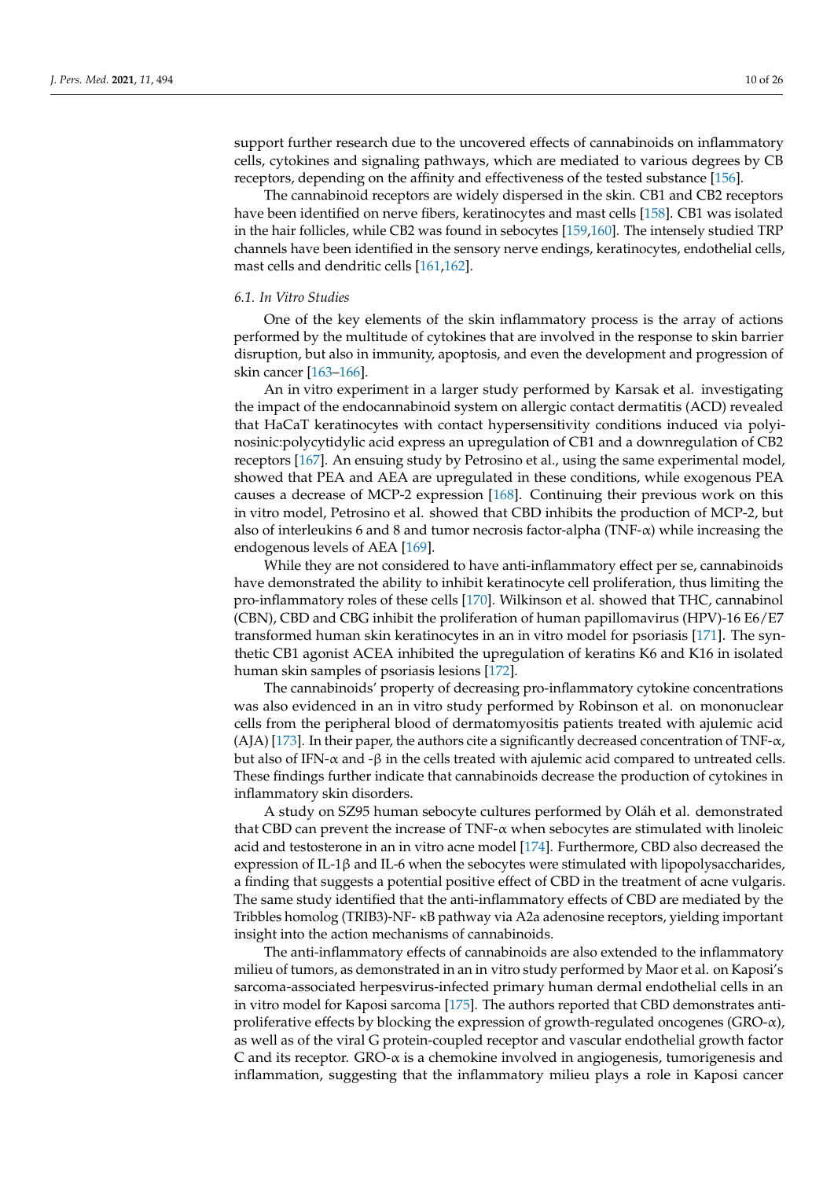support further research due to the uncovered effects of cannabinoids on inflammatory cells, cytokines and signaling pathways, which are mediated to various degrees by CB receptors, depending on the affinity and effectiveness of the tested substance [\[156\]](#page-23-21).

The cannabinoid receptors are widely dispersed in the skin. CB1 and CB2 receptors have been identified on nerve fibers, keratinocytes and mast cells [\[158\]](#page-23-23). CB1 was isolated in the hair follicles, while CB2 was found in sebocytes [\[159](#page-23-24)[,160\]](#page-23-25). The intensely studied TRP channels have been identified in the sensory nerve endings, keratinocytes, endothelial cells, mast cells and dendritic cells [\[161,](#page-23-26)[162\]](#page-24-0).

### *6.1. In Vitro Studies*

One of the key elements of the skin inflammatory process is the array of actions performed by the multitude of cytokines that are involved in the response to skin barrier disruption, but also in immunity, apoptosis, and even the development and progression of skin cancer [\[163](#page-24-1)[–166\]](#page-24-2).

An in vitro experiment in a larger study performed by Karsak et al. investigating the impact of the endocannabinoid system on allergic contact dermatitis (ACD) revealed that HaCaT keratinocytes with contact hypersensitivity conditions induced via polyinosinic:polycytidylic acid express an upregulation of CB1 and a downregulation of CB2 receptors [\[167\]](#page-24-3). An ensuing study by Petrosino et al., using the same experimental model, showed that PEA and AEA are upregulated in these conditions, while exogenous PEA causes a decrease of MCP-2 expression [\[168\]](#page-24-4). Continuing their previous work on this in vitro model, Petrosino et al. showed that CBD inhibits the production of MCP-2, but also of interleukins 6 and 8 and tumor necrosis factor-alpha (TNF- $\alpha$ ) while increasing the endogenous levels of AEA [\[169\]](#page-24-5).

While they are not considered to have anti-inflammatory effect per se, cannabinoids have demonstrated the ability to inhibit keratinocyte cell proliferation, thus limiting the pro-inflammatory roles of these cells [\[170\]](#page-24-6). Wilkinson et al. showed that THC, cannabinol (CBN), CBD and CBG inhibit the proliferation of human papillomavirus (HPV)-16 E6/E7 transformed human skin keratinocytes in an in vitro model for psoriasis [\[171\]](#page-24-7). The synthetic CB1 agonist ACEA inhibited the upregulation of keratins K6 and K16 in isolated human skin samples of psoriasis lesions [\[172\]](#page-24-8).

The cannabinoids' property of decreasing pro-inflammatory cytokine concentrations was also evidenced in an in vitro study performed by Robinson et al. on mononuclear cells from the peripheral blood of dermatomyositis patients treated with ajulemic acid (AJA) [\[173\]](#page-24-9). In their paper, the authors cite a significantly decreased concentration of TNF- $\alpha$ , but also of IFN- $\alpha$  and -β in the cells treated with ajulemic acid compared to untreated cells. These findings further indicate that cannabinoids decrease the production of cytokines in inflammatory skin disorders.

A study on SZ95 human sebocyte cultures performed by Oláh et al. demonstrated that CBD can prevent the increase of TNF- $\alpha$  when sebocytes are stimulated with linoleic acid and testosterone in an in vitro acne model [\[174\]](#page-24-10). Furthermore, CBD also decreased the expression of IL-1β and IL-6 when the sebocytes were stimulated with lipopolysaccharides, a finding that suggests a potential positive effect of CBD in the treatment of acne vulgaris. The same study identified that the anti-inflammatory effects of CBD are mediated by the Tribbles homolog (TRIB3)-NF- κB pathway via A2a adenosine receptors, yielding important insight into the action mechanisms of cannabinoids.

The anti-inflammatory effects of cannabinoids are also extended to the inflammatory milieu of tumors, as demonstrated in an in vitro study performed by Maor et al. on Kaposi's sarcoma-associated herpesvirus-infected primary human dermal endothelial cells in an in vitro model for Kaposi sarcoma [\[175\]](#page-24-11). The authors reported that CBD demonstrates antiproliferative effects by blocking the expression of growth-regulated oncogenes (GRO-α), as well as of the viral G protein-coupled receptor and vascular endothelial growth factor C and its receptor.  $GRO-\alpha$  is a chemokine involved in angiogenesis, tumorigenesis and inflammation, suggesting that the inflammatory milieu plays a role in Kaposi cancer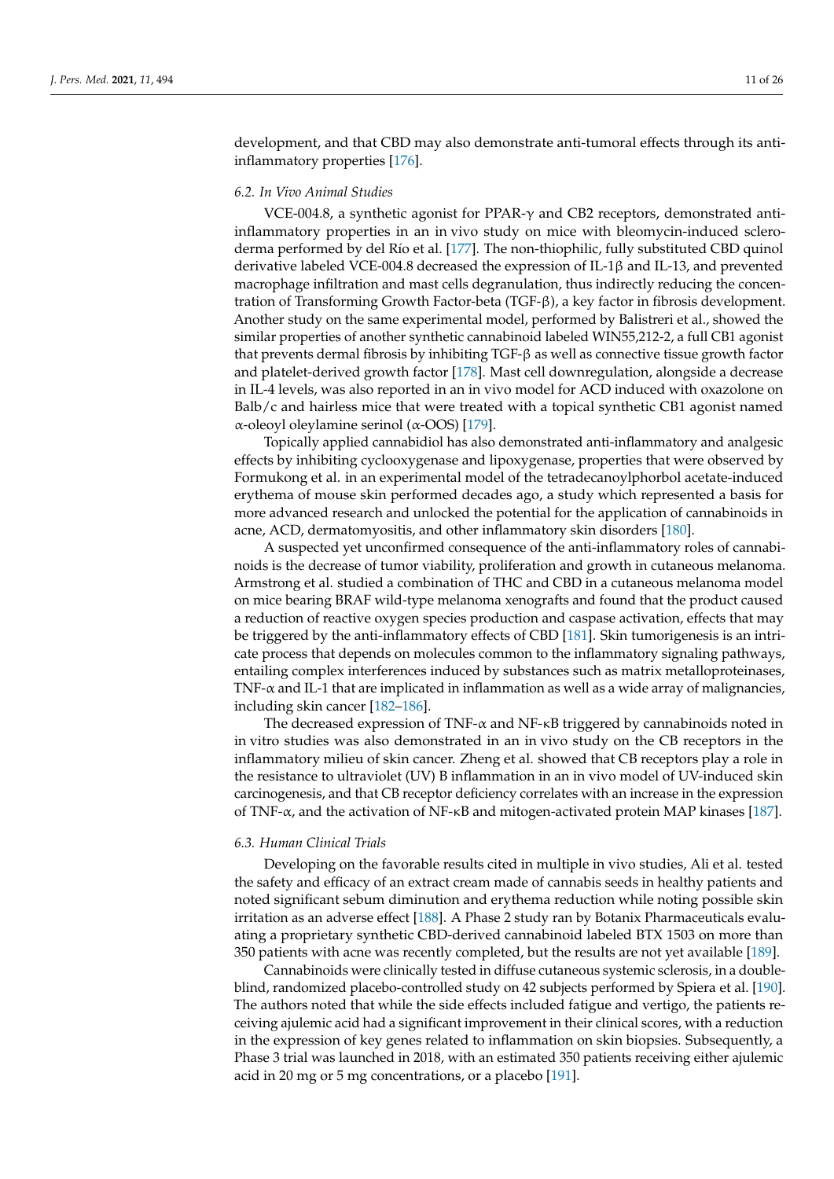development, and that CBD may also demonstrate anti-tumoral effects through its antiinflammatory properties [\[176\]](#page-24-12).

# *6.2. In Vivo Animal Studies*

VCE-004.8, a synthetic agonist for PPAR-γ and CB2 receptors, demonstrated antiinflammatory properties in an in vivo study on mice with bleomycin-induced scleroderma performed by del Río et al. [\[177\]](#page-24-13). The non-thiophilic, fully substituted CBD quinol derivative labeled VCE-004.8 decreased the expression of IL-1β and IL-13, and prevented macrophage infiltration and mast cells degranulation, thus indirectly reducing the concentration of Transforming Growth Factor-beta (TGF-β), a key factor in fibrosis development. Another study on the same experimental model, performed by Balistreri et al., showed the similar properties of another synthetic cannabinoid labeled WIN55,212-2, a full CB1 agonist that prevents dermal fibrosis by inhibiting TGF-β as well as connective tissue growth factor and platelet-derived growth factor [\[178\]](#page-24-14). Mast cell downregulation, alongside a decrease in IL-4 levels, was also reported in an in vivo model for ACD induced with oxazolone on Balb/c and hairless mice that were treated with a topical synthetic CB1 agonist named α-oleoyl oleylamine serinol (α-OOS) [\[179\]](#page-24-15).

Topically applied cannabidiol has also demonstrated anti-inflammatory and analgesic effects by inhibiting cyclooxygenase and lipoxygenase, properties that were observed by Formukong et al. in an experimental model of the tetradecanoylphorbol acetate-induced erythema of mouse skin performed decades ago, a study which represented a basis for more advanced research and unlocked the potential for the application of cannabinoids in acne, ACD, dermatomyositis, and other inflammatory skin disorders [\[180\]](#page-24-16).

A suspected yet unconfirmed consequence of the anti-inflammatory roles of cannabinoids is the decrease of tumor viability, proliferation and growth in cutaneous melanoma. Armstrong et al. studied a combination of THC and CBD in a cutaneous melanoma model on mice bearing BRAF wild-type melanoma xenografts and found that the product caused a reduction of reactive oxygen species production and caspase activation, effects that may be triggered by the anti-inflammatory effects of CBD [\[181\]](#page-24-17). Skin tumorigenesis is an intricate process that depends on molecules common to the inflammatory signaling pathways, entailing complex interferences induced by substances such as matrix metalloproteinases, TNF-α and IL-1 that are implicated in inflammation as well as a wide array of malignancies, including skin cancer [\[182](#page-24-18)[–186\]](#page-25-0).

The decreased expression of TNF- $\alpha$  and NF- $\kappa$ B triggered by cannabinoids noted in in vitro studies was also demonstrated in an in vivo study on the CB receptors in the inflammatory milieu of skin cancer. Zheng et al. showed that CB receptors play a role in the resistance to ultraviolet (UV) B inflammation in an in vivo model of UV-induced skin carcinogenesis, and that CB receptor deficiency correlates with an increase in the expression of TNF-α, and the activation of NF-κB and mitogen-activated protein MAP kinases [\[187\]](#page-25-1).

#### *6.3. Human Clinical Trials*

Developing on the favorable results cited in multiple in vivo studies, Ali et al. tested the safety and efficacy of an extract cream made of cannabis seeds in healthy patients and noted significant sebum diminution and erythema reduction while noting possible skin irritation as an adverse effect [\[188\]](#page-25-2). A Phase 2 study ran by Botanix Pharmaceuticals evaluating a proprietary synthetic CBD-derived cannabinoid labeled BTX 1503 on more than 350 patients with acne was recently completed, but the results are not yet available [\[189\]](#page-25-3).

Cannabinoids were clinically tested in diffuse cutaneous systemic sclerosis, in a doubleblind, randomized placebo-controlled study on 42 subjects performed by Spiera et al. [\[190\]](#page-25-4). The authors noted that while the side effects included fatigue and vertigo, the patients receiving ajulemic acid had a significant improvement in their clinical scores, with a reduction in the expression of key genes related to inflammation on skin biopsies. Subsequently, a Phase 3 trial was launched in 2018, with an estimated 350 patients receiving either ajulemic acid in 20 mg or 5 mg concentrations, or a placebo [\[191\]](#page-25-5).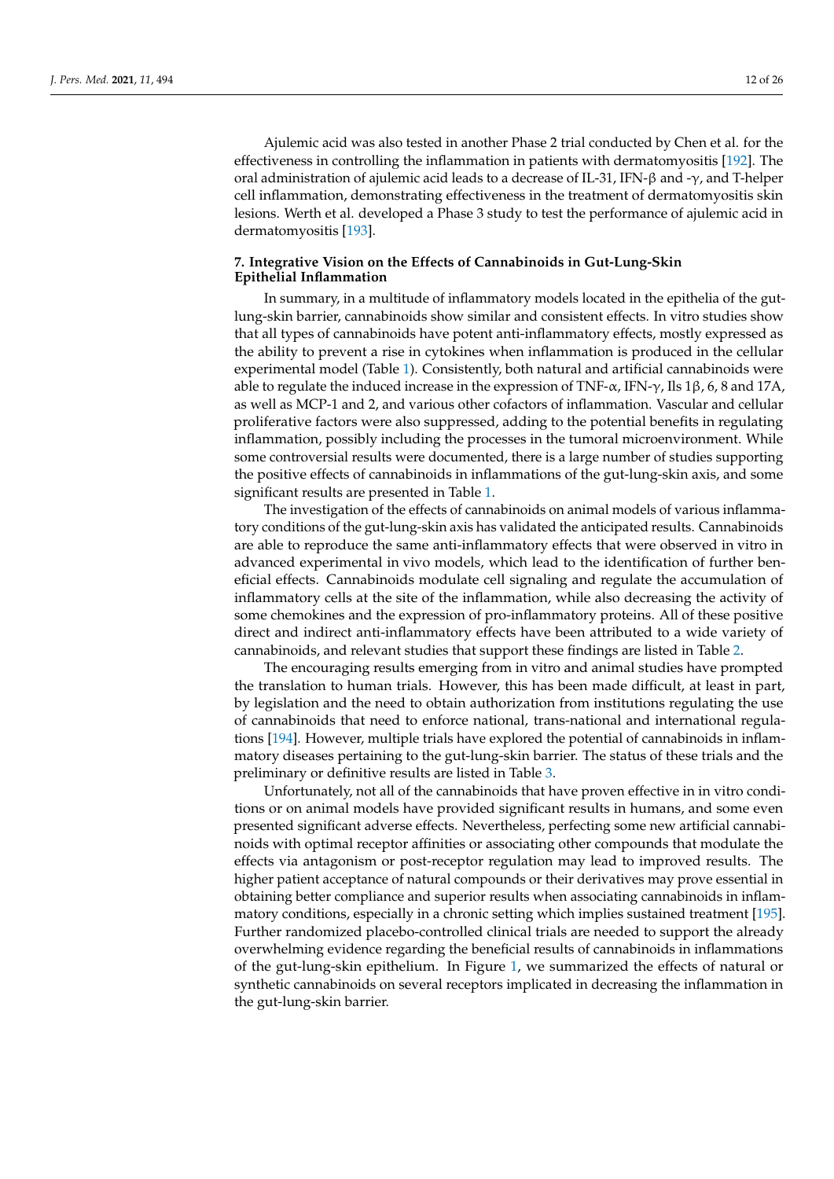Ajulemic acid was also tested in another Phase 2 trial conducted by Chen et al. for the effectiveness in controlling the inflammation in patients with dermatomyositis [\[192\]](#page-25-6). The oral administration of ajulemic acid leads to a decrease of IL-31, IFN-β and -γ, and T-helper cell inflammation, demonstrating effectiveness in the treatment of dermatomyositis skin lesions. Werth et al. developed a Phase 3 study to test the performance of ajulemic acid in dermatomyositis [\[193\]](#page-25-7).

# **7. Integrative Vision on the Effects of Cannabinoids in Gut-Lung-Skin Epithelial Inflammation**

In summary, in a multitude of inflammatory models located in the epithelia of the gutlung-skin barrier, cannabinoids show similar and consistent effects. In vitro studies show that all types of cannabinoids have potent anti-inflammatory effects, mostly expressed as the ability to prevent a rise in cytokines when inflammation is produced in the cellular experimental model (Table [1\)](#page-13-0). Consistently, both natural and artificial cannabinoids were able to regulate the induced increase in the expression of TNF- $\alpha$ , IFN- $\gamma$ , Ils 1 $\beta$ , 6, 8 and 17A, as well as MCP-1 and 2, and various other cofactors of inflammation. Vascular and cellular proliferative factors were also suppressed, adding to the potential benefits in regulating inflammation, possibly including the processes in the tumoral microenvironment. While some controversial results were documented, there is a large number of studies supporting the positive effects of cannabinoids in inflammations of the gut-lung-skin axis, and some significant results are presented in Table [1.](#page-13-0)

The investigation of the effects of cannabinoids on animal models of various inflammatory conditions of the gut-lung-skin axis has validated the anticipated results. Cannabinoids are able to reproduce the same anti-inflammatory effects that were observed in vitro in advanced experimental in vivo models, which lead to the identification of further beneficial effects. Cannabinoids modulate cell signaling and regulate the accumulation of inflammatory cells at the site of the inflammation, while also decreasing the activity of some chemokines and the expression of pro-inflammatory proteins. All of these positive direct and indirect anti-inflammatory effects have been attributed to a wide variety of cannabinoids, and relevant studies that support these findings are listed in Table [2.](#page-15-0)

The encouraging results emerging from in vitro and animal studies have prompted the translation to human trials. However, this has been made difficult, at least in part, by legislation and the need to obtain authorization from institutions regulating the use of cannabinoids that need to enforce national, trans-national and international regulations [\[194\]](#page-25-8). However, multiple trials have explored the potential of cannabinoids in inflammatory diseases pertaining to the gut-lung-skin barrier. The status of these trials and the preliminary or definitive results are listed in Table [3.](#page-16-0)

Unfortunately, not all of the cannabinoids that have proven effective in in vitro conditions or on animal models have provided significant results in humans, and some even presented significant adverse effects. Nevertheless, perfecting some new artificial cannabinoids with optimal receptor affinities or associating other compounds that modulate the effects via antagonism or post-receptor regulation may lead to improved results. The higher patient acceptance of natural compounds or their derivatives may prove essential in obtaining better compliance and superior results when associating cannabinoids in inflammatory conditions, especially in a chronic setting which implies sustained treatment [\[195\]](#page-25-9). Further randomized placebo-controlled clinical trials are needed to support the already overwhelming evidence regarding the beneficial results of cannabinoids in inflammations of the gut-lung-skin epithelium. In Figure [1,](#page-17-1) we summarized the effects of natural or synthetic cannabinoids on several receptors implicated in decreasing the inflammation in the gut-lung-skin barrier.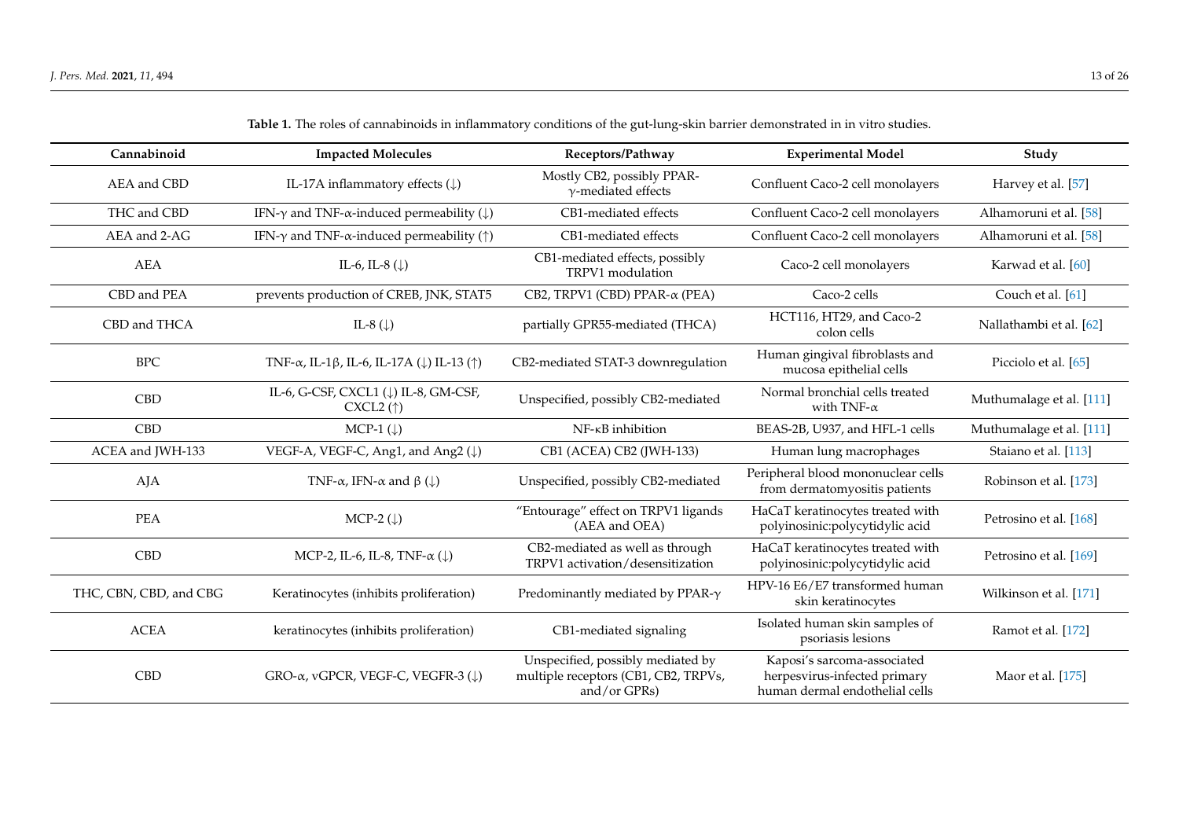| Cannabinoid            | <b>Impacted Molecules</b>                                                         | Receptors/Pathway                                                                         | <b>Experimental Model</b>                                                                     | Study                    |
|------------------------|-----------------------------------------------------------------------------------|-------------------------------------------------------------------------------------------|-----------------------------------------------------------------------------------------------|--------------------------|
| AEA and CBD            | IL-17A inflammatory effects $(\downarrow)$                                        | Mostly CB2, possibly PPAR-<br>$\gamma$ -mediated effects                                  | Confluent Caco-2 cell monolayers                                                              | Harvey et al. [57]       |
| THC and CBD            | IFN- $\gamma$ and TNF- $\alpha$ -induced permeability ( $\downarrow$ )            | CB1-mediated effects                                                                      | Confluent Caco-2 cell monolayers                                                              | Alhamoruni et al. [58]   |
| AEA and 2-AG           | IFN- $\gamma$ and TNF- $\alpha$ -induced permeability ( $\uparrow$ )              | CB1-mediated effects                                                                      | Confluent Caco-2 cell monolayers                                                              | Alhamoruni et al. [58]   |
| <b>AEA</b>             | IL-6, IL-8 $(\downarrow)$                                                         | CB1-mediated effects, possibly<br>TRPV1 modulation                                        | Caco-2 cell monolayers                                                                        | Karwad et al. [60]       |
| CBD and PEA            | prevents production of CREB, JNK, STAT5                                           | CB2, TRPV1 (CBD) PPAR-α (PEA)                                                             | Caco-2 cells                                                                                  | Couch et al. [61]        |
| CBD and THCA           | IL-8 $(\downarrow)$                                                               | partially GPR55-mediated (THCA)                                                           | HCT116, HT29, and Caco-2<br>colon cells                                                       | Nallathambi et al. [62]  |
| <b>BPC</b>             | TNF- $\alpha$ , IL-1 $\beta$ , IL-6, IL-17A ( $\downarrow$ ) IL-13 ( $\uparrow$ ) | CB2-mediated STAT-3 downregulation                                                        | Human gingival fibroblasts and<br>mucosa epithelial cells                                     | Picciolo et al. [65]     |
| <b>CBD</b>             | IL-6, G-CSF, CXCL1 (↓) IL-8, GM-CSF,<br>$CXCL2$ ( $\uparrow$ )                    | Unspecified, possibly CB2-mediated                                                        | Normal bronchial cells treated<br>with TNF- $\alpha$                                          | Muthumalage et al. [111] |
| <b>CBD</b>             | MCP-1 $(\downarrow)$                                                              | NF-KB inhibition                                                                          | BEAS-2B, U937, and HFL-1 cells                                                                | Muthumalage et al. [111] |
| ACEA and JWH-133       | VEGF-A, VEGF-C, Ang1, and Ang2 (\)                                                | CB1 (ACEA) CB2 (JWH-133)                                                                  | Human lung macrophages                                                                        | Staiano et al. [113]     |
| AJA                    | TNF- $\alpha$ , IFN- $\alpha$ and $\beta$ ( $\downarrow$ )                        | Unspecified, possibly CB2-mediated                                                        | Peripheral blood mononuclear cells<br>from dermatomyositis patients                           | Robinson et al. [173]    |
| <b>PEA</b>             | MCP-2 $(\downarrow)$                                                              | "Entourage" effect on TRPV1 ligands<br>(AEA and OEA)                                      | HaCaT keratinocytes treated with<br>polyinosinic:polycytidylic acid                           | Petrosino et al. [168]   |
| <b>CBD</b>             | MCP-2, IL-6, IL-8, TNF- $\alpha$ ( $\downarrow$ )                                 | CB2-mediated as well as through<br>TRPV1 activation/desensitization                       | HaCaT keratinocytes treated with<br>polyinosinic:polycytidylic acid                           | Petrosino et al. [169]   |
| THC, CBN, CBD, and CBG | Keratinocytes (inhibits proliferation)                                            | Predominantly mediated by PPAR- $\gamma$                                                  | HPV-16 E6/E7 transformed human<br>skin keratinocytes                                          | Wilkinson et al. [171]   |
| <b>ACEA</b>            | keratinocytes (inhibits proliferation)                                            | CB1-mediated signaling                                                                    | Isolated human skin samples of<br>psoriasis lesions                                           | Ramot et al. [172]       |
| <b>CBD</b>             | GRO-α, vGPCR, VEGF-C, VEGFR-3 (↓)                                                 | Unspecified, possibly mediated by<br>multiple receptors (CB1, CB2, TRPVs,<br>and/or GPRs) | Kaposi's sarcoma-associated<br>herpesvirus-infected primary<br>human dermal endothelial cells | Maor et al. [175]        |

**Table 1.** The roles of cannabinoids in inflammatory conditions of the gut-lung-skin barrier demonstrated in in vitro studies.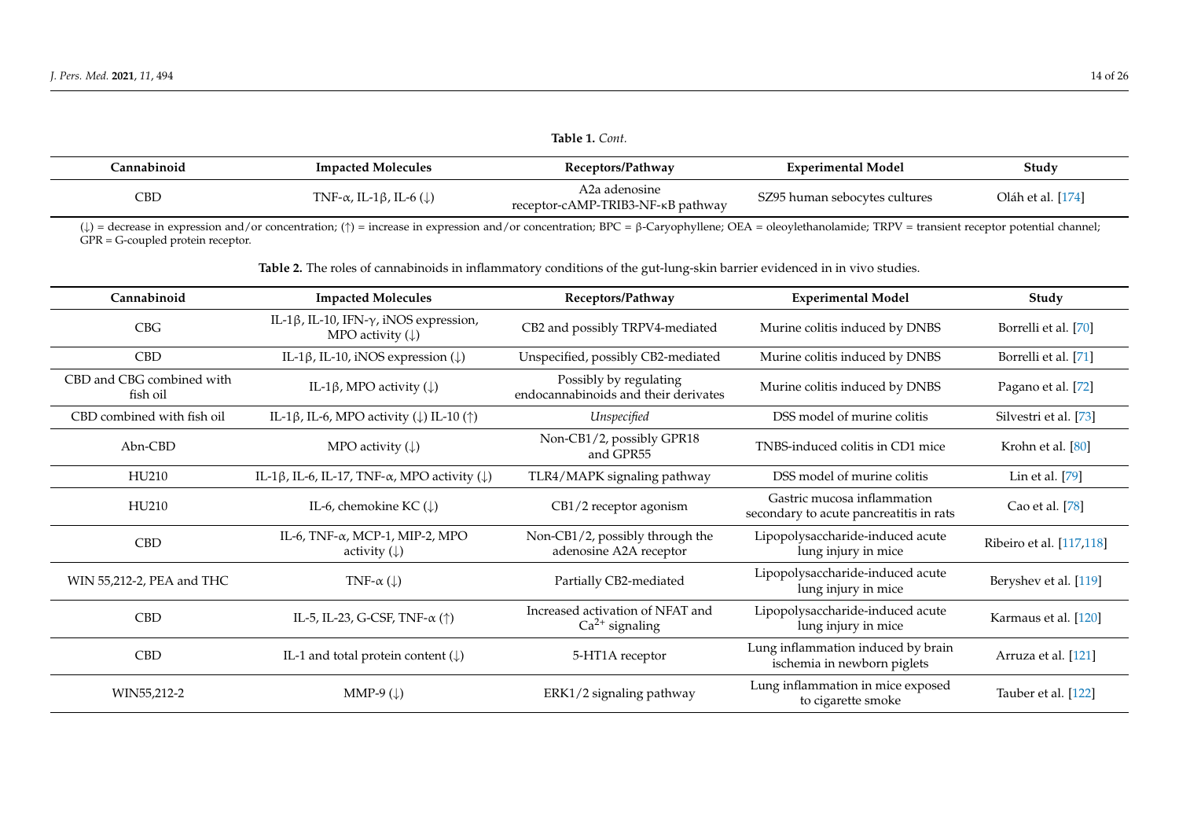|             |                                                      | 14021210000                                        |                               |                   |
|-------------|------------------------------------------------------|----------------------------------------------------|-------------------------------|-------------------|
| Cannabinoid | <b>Impacted Molecules</b>                            | Receptors/Pathway                                  | <b>Experimental Model</b>     | Study             |
| CBD         | TNF- $\alpha$ , IL-1 $\beta$ , IL-6 ( $\downarrow$ ) | A2a adenosine<br>receptor-cAMP-TRIB3-NF-KB pathway | SZ95 human sebocytes cultures | Oláh et al. [174] |

(↓) = decrease in expression and/or concentration; (↑) = increase in expression and/or concentration; BPC = β-Caryophyllene; OEA = oleoylethanolamide; TRPV = transient receptor potential channel; GPR = G-coupled protein receptor.

**Table 2.** The roles of cannabinoids in inflammatory conditions of the gut-lung-skin barrier evidenced in in vivo studies.

<span id="page-13-0"></span>

| Cannabinoid                           | <b>Impacted Molecules</b>                                                             | Receptors/Pathway                                              | <b>Experimental Model</b>                                              | Study                    |
|---------------------------------------|---------------------------------------------------------------------------------------|----------------------------------------------------------------|------------------------------------------------------------------------|--------------------------|
| CBG                                   | IL-1 $\beta$ , IL-10, IFN- $\gamma$ , iNOS expression,<br>MPO activity $(\downarrow)$ | CB2 and possibly TRPV4-mediated                                | Murine colitis induced by DNBS                                         | Borrelli et al. [70]     |
| <b>CBD</b>                            | IL-1 $\beta$ , IL-10, iNOS expression ( $\downarrow$ )                                | Unspecified, possibly CB2-mediated                             | Murine colitis induced by DNBS                                         | Borrelli et al. [71]     |
| CBD and CBG combined with<br>fish oil | IL-1 $\beta$ , MPO activity ( $\downarrow$ )                                          | Possibly by regulating<br>endocannabinoids and their derivates | Murine colitis induced by DNBS                                         | Pagano et al. [72]       |
| CBD combined with fish oil            | IL-1 $\beta$ , IL-6, MPO activity ( $\downarrow$ ) IL-10 ( $\uparrow$ )               | Unspecified                                                    | DSS model of murine colitis                                            | Silvestri et al. [73]    |
| $Abn-CBD$                             | MPO activity $(\downarrow)$                                                           | Non-CB1/2, possibly GPR18<br>and GPR55                         | TNBS-induced colitis in CD1 mice                                       | Krohn et al. [80]        |
| HU210                                 | IL-1 $\beta$ , IL-6, IL-17, TNF- $\alpha$ , MPO activity ( $\downarrow$ )             | TLR4/MAPK signaling pathway                                    | DSS model of murine colitis                                            | Lin et al. [79]          |
| HU210                                 | IL-6, chemokine KC $(\downarrow)$                                                     | CB1/2 receptor agonism                                         | Gastric mucosa inflammation<br>secondary to acute pancreatitis in rats | Cao et al. [78]          |
| <b>CBD</b>                            | IL-6, TNF- $\alpha$ , MCP-1, MIP-2, MPO<br>activity $(\downarrow)$                    | Non-CB1/2, possibly through the<br>adenosine A2A receptor      | Lipopolysaccharide-induced acute<br>lung injury in mice                | Ribeiro et al. [117,118] |
| WIN 55,212-2, PEA and THC             | TNF- $\alpha$ ( $\downarrow$ )                                                        | Partially CB2-mediated                                         | Lipopolysaccharide-induced acute<br>lung injury in mice                | Beryshev et al. [119]    |
| <b>CBD</b>                            | IL-5, IL-23, G-CSF, TNF- $\alpha$ ( $\uparrow$ )                                      | Increased activation of NFAT and<br>$Ca2+$ signaling           | Lipopolysaccharide-induced acute<br>lung injury in mice                | Karmaus et al. [120]     |
| <b>CBD</b>                            | IL-1 and total protein content $(\downarrow)$                                         | 5-HT1A receptor                                                | Lung inflammation induced by brain<br>ischemia in newborn piglets      | Arruza et al. [121]      |
| WIN55,212-2                           | MMP-9 $(\downarrow)$                                                                  | ERK1/2 signaling pathway                                       | Lung inflammation in mice exposed<br>to cigarette smoke                | Tauber et al. [122]      |

**Table 1.** *Cont.*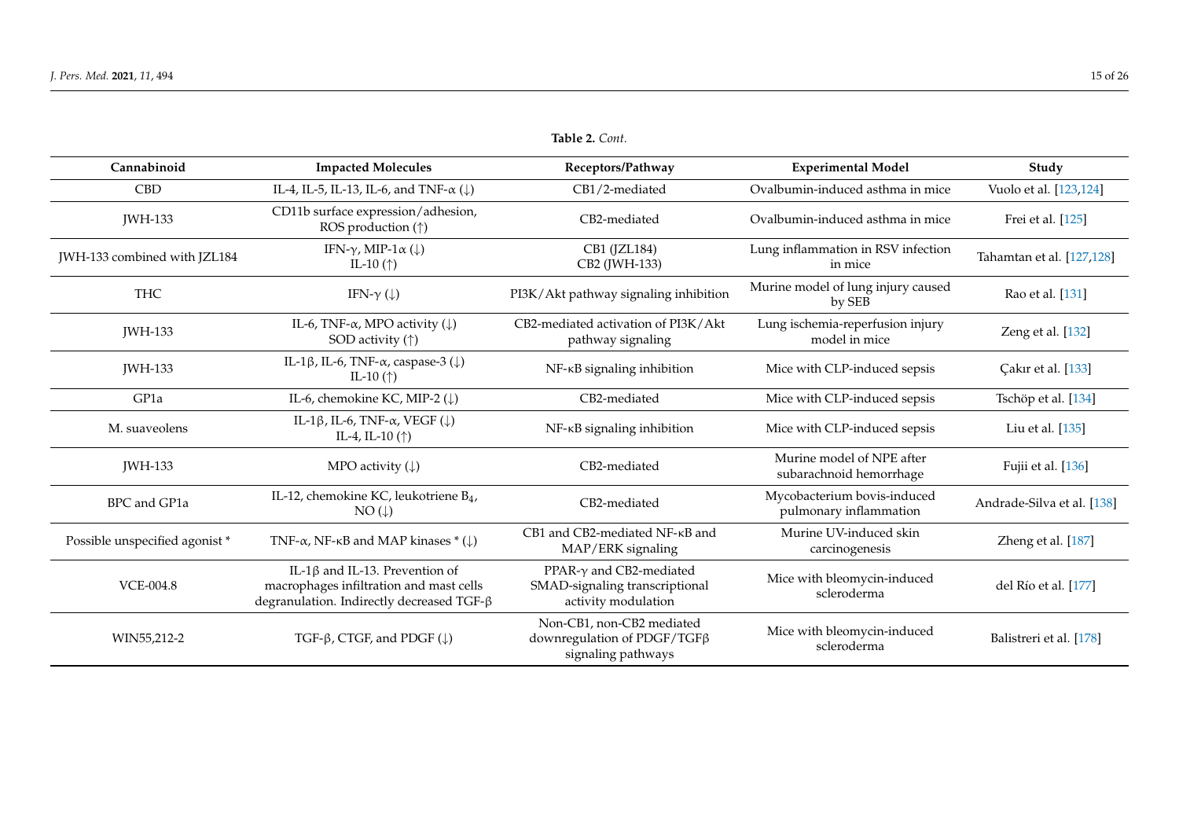| Cannabinoid                   | <b>Impacted Molecules</b>                                                                                                     | Receptors/Pathway                                                                        | <b>Experimental Model</b>                             | Study                      |
|-------------------------------|-------------------------------------------------------------------------------------------------------------------------------|------------------------------------------------------------------------------------------|-------------------------------------------------------|----------------------------|
| <b>CBD</b>                    | IL-4, IL-5, IL-13, IL-6, and TNF- $\alpha$ ( $\downarrow$ )                                                                   | CB1/2-mediated                                                                           | Ovalbumin-induced asthma in mice                      | Vuolo et al. [123,124]     |
| <b>IWH-133</b>                | CD11b surface expression/adhesion,<br>ROS production (†)                                                                      | CB2-mediated                                                                             | Ovalbumin-induced asthma in mice                      | Frei et al. [125]          |
| JWH-133 combined with JZL184  | IFN- $\gamma$ , MIP-1 $\alpha$ ( $\downarrow$ )<br>IL-10 $(\uparrow)$                                                         | CB1 (JZL184)<br>CB2 (JWH-133)                                                            | Lung inflammation in RSV infection<br>in mice         | Tahamtan et al. [127,128]  |
| <b>THC</b>                    | IFN- $\gamma$ ( $\downarrow$ )                                                                                                | PI3K/Akt pathway signaling inhibition                                                    | Murine model of lung injury caused<br>by SEB          | Rao et al. [131]           |
| <b>IWH-133</b>                | IL-6, TNF- $\alpha$ , MPO activity ( $\downarrow$ )<br>SOD activity $(\uparrow)$                                              | CB2-mediated activation of PI3K/Akt<br>pathway signaling                                 | Lung ischemia-reperfusion injury<br>model in mice     | Zeng et al. [132]          |
| <b>IWH-133</b>                | IL-1 $\beta$ , IL-6, TNF- $\alpha$ , caspase-3 ( $\downarrow$ )<br>IL-10 $(\uparrow)$                                         | NF-KB signaling inhibition                                                               | Mice with CLP-induced sepsis                          | Cakır et al. [133]         |
| GP1a                          | IL-6, chemokine KC, MIP-2 (↓)                                                                                                 | CB2-mediated                                                                             | Mice with CLP-induced sepsis                          | Tschöp et al. [134]        |
| M. suaveolens                 | IL-1 $\beta$ , IL-6, TNF- $\alpha$ , VEGF ( $\downarrow$ )<br>IL-4, IL-10 $(\uparrow)$                                        | NF-KB signaling inhibition                                                               | Mice with CLP-induced sepsis                          | Liu et al. [135]           |
| <b>IWH-133</b>                | MPO activity $(\downarrow)$                                                                                                   | CB2-mediated                                                                             | Murine model of NPE after<br>subarachnoid hemorrhage  | Fujii et al. [136]         |
| BPC and GP1a                  | IL-12, chemokine KC, leukotriene B <sub>4</sub> ,<br>$NO(\downarrow)$                                                         | CB2-mediated                                                                             | Mycobacterium bovis-induced<br>pulmonary inflammation | Andrade-Silva et al. [138] |
| Possible unspecified agonist* | TNF- $\alpha$ , NF- $\kappa$ B and MAP kinases * ( $\downarrow$ )                                                             | CB1 and CB2-mediated NF-KB and<br>MAP/ERK signaling                                      | Murine UV-induced skin<br>carcinogenesis              | Zheng et al. [187]         |
| <b>VCE-004.8</b>              | IL-1 $\beta$ and IL-13. Prevention of<br>macrophages infiltration and mast cells<br>degranulation. Indirectly decreased TGF-β | PPAR- $\gamma$ and CB2-mediated<br>SMAD-signaling transcriptional<br>activity modulation | Mice with bleomycin-induced<br>scleroderma            | del Río et al. [177]       |
| WIN55,212-2                   | $TGF-\beta, CTGF, and PDGF (\downarrow)$                                                                                      | Non-CB1, non-CB2 mediated<br>downregulation of PDGF/TGFβ<br>signaling pathways           | Mice with bleomycin-induced<br>scleroderma            | Balistreri et al. [178]    |

**Table 2.** *Cont.*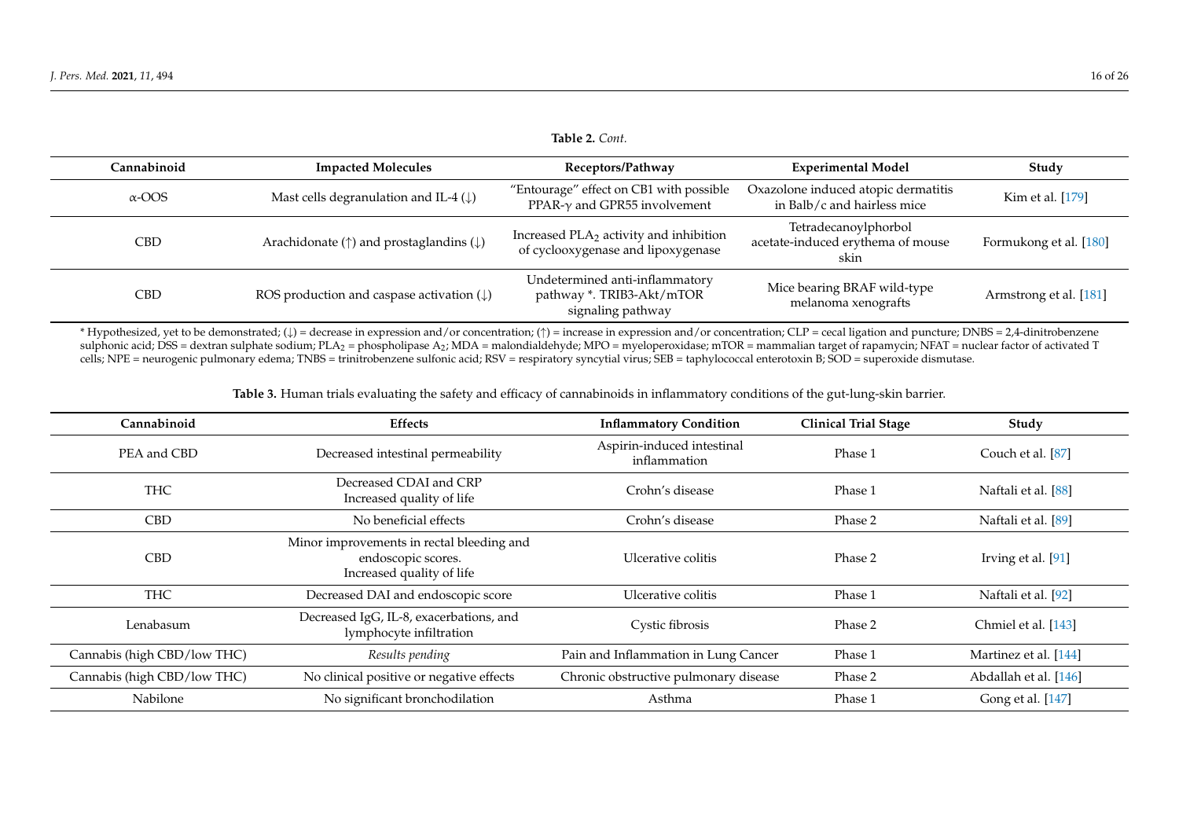| Cannabinoid   | <b>Impacted Molecules</b>                                       | Receptors/Pathway                                                                        | <b>Experimental Model</b>                                          | Study                  |
|---------------|-----------------------------------------------------------------|------------------------------------------------------------------------------------------|--------------------------------------------------------------------|------------------------|
| $\alpha$ -OOS | Mast cells degranulation and IL-4 $(\downarrow)$                | "Entourage" effect on CB1 with possible<br>PPAR- $\gamma$ and GPR55 involvement          | Oxazolone induced atopic dermatitis<br>in Balb/c and hairless mice | Kim et al. [179]       |
| <b>CBD</b>    | Arachidonate ( $\uparrow$ ) and prostaglandins ( $\downarrow$ ) | Increased PLA <sub>2</sub> activity and inhibition<br>of cyclooxygenase and lipoxygenase | Tetradecanoylphorbol<br>acetate-induced erythema of mouse<br>skin  | Formukong et al. [180] |
| <b>CBD</b>    | ROS production and caspase activation $(\downarrow)$            | Undetermined anti-inflammatory<br>pathway *. TRIB3-Akt/mTOR<br>signaling pathway         | Mice bearing BRAF wild-type<br>melanoma xenografts                 | Armstrong et al. [181] |

\* Hypothesized, yet to be demonstrated; (↓) = decrease in expression and/or concentration; (↑) = increase in expression and/or concentration; CLP = cecal ligation and puncture; DNBS = 2,4-dinitrobenzene sulphonic acid; DSS = dextran sulphate sodium; PLA<sub>2</sub> = phospholipase A<sub>2</sub>; MDA = malondialdehyde; MPO = myeloperoxidase; mTOR = mammalian target of rapamycin; NFAT = nuclear factor of activated T cells; NPE = neurogenic pulmonary edema; TNBS = trinitrobenzene sulfonic acid; RSV = respiratory syncytial virus; SEB = taphylococcal enterotoxin B; SOD = superoxide dismutase.

**Table 3.** Human trials evaluating the safety and efficacy of cannabinoids in inflammatory conditions of the gut-lung-skin barrier.

<span id="page-15-0"></span>

| Cannabinoid                 | <b>Effects</b>                                                                               | <b>Inflammatory Condition</b>              | <b>Clinical Trial Stage</b> | Study                 |
|-----------------------------|----------------------------------------------------------------------------------------------|--------------------------------------------|-----------------------------|-----------------------|
| PEA and CBD                 | Decreased intestinal permeability                                                            | Aspirin-induced intestinal<br>inflammation | Phase 1                     | Couch et al. [87]     |
| <b>THC</b>                  | Decreased CDAI and CRP<br>Increased quality of life                                          | Crohn's disease                            | Phase 1                     | Naftali et al. [88]   |
| <b>CBD</b>                  | No beneficial effects                                                                        | Crohn's disease                            | Phase 2                     | Naftali et al. [89]   |
| <b>CBD</b>                  | Minor improvements in rectal bleeding and<br>endoscopic scores.<br>Increased quality of life | Ulcerative colitis                         | Phase 2                     | Irving et al. [91]    |
| <b>THC</b>                  | Decreased DAI and endoscopic score                                                           | Ulcerative colitis                         | Phase 1                     | Naftali et al. [92]   |
| Lenabasum                   | Decreased IgG, IL-8, exacerbations, and<br>lymphocyte infiltration                           | Cystic fibrosis                            | Phase 2                     | Chmiel et al. [143]   |
| Cannabis (high CBD/low THC) | Results pending                                                                              | Pain and Inflammation in Lung Cancer       | Phase 1                     | Martinez et al. [144] |
| Cannabis (high CBD/low THC) | No clinical positive or negative effects                                                     | Chronic obstructive pulmonary disease      | Phase 2                     | Abdallah et al. [146] |
| Nabilone                    | No significant bronchodilation                                                               | Asthma                                     | Phase 1                     | Gong et al. [147]     |

#### **Table 2.** *Cont.*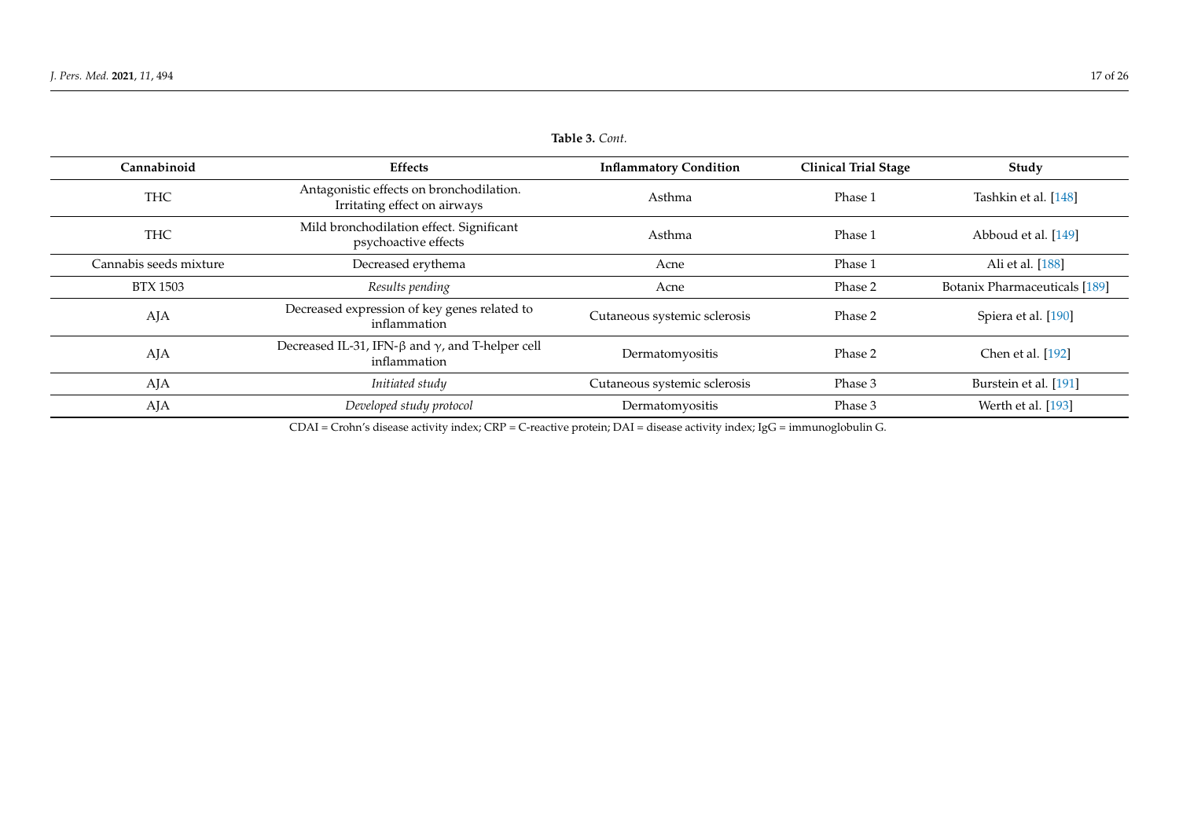| Table 3. Cont. |  |
|----------------|--|
|----------------|--|

| Cannabinoid            | <b>Effects</b>                                                                 | <b>Inflammatory Condition</b> | <b>Clinical Trial Stage</b> | Study                         |
|------------------------|--------------------------------------------------------------------------------|-------------------------------|-----------------------------|-------------------------------|
| <b>THC</b>             | Antagonistic effects on bronchodilation.<br>Irritating effect on airways       | Asthma                        | Phase 1                     | Tashkin et al. [148]          |
| <b>THC</b>             | Mild bronchodilation effect. Significant<br>psychoactive effects               | Asthma                        | Phase 1                     | Abboud et al. [149]           |
| Cannabis seeds mixture | Decreased erythema                                                             | Acne                          | Phase 1                     | Ali et al. [188]              |
| <b>BTX 1503</b>        | Results pending                                                                | Acne                          | Phase 2                     | Botanix Pharmaceuticals [189] |
| AJA                    | Decreased expression of key genes related to<br>inflammation                   | Cutaneous systemic sclerosis  | Phase 2                     | Spiera et al. [190]           |
| AJA                    | Decreased IL-31, IFN- $\beta$ and $\gamma$ , and T-helper cell<br>inflammation | Dermatomyositis               | Phase 2                     | Chen et al. [192]             |
| AJA                    | Initiated study                                                                | Cutaneous systemic sclerosis  | Phase 3                     | Burstein et al. [191]         |
| AJA                    | Developed study protocol                                                       | Dermatomyositis               | Phase 3                     | Werth et al. [193]            |

<span id="page-16-0"></span>CDAI = Crohn's disease activity index; CRP = C-reactive protein; DAI = disease activity index; IgG = immunoglobulin G.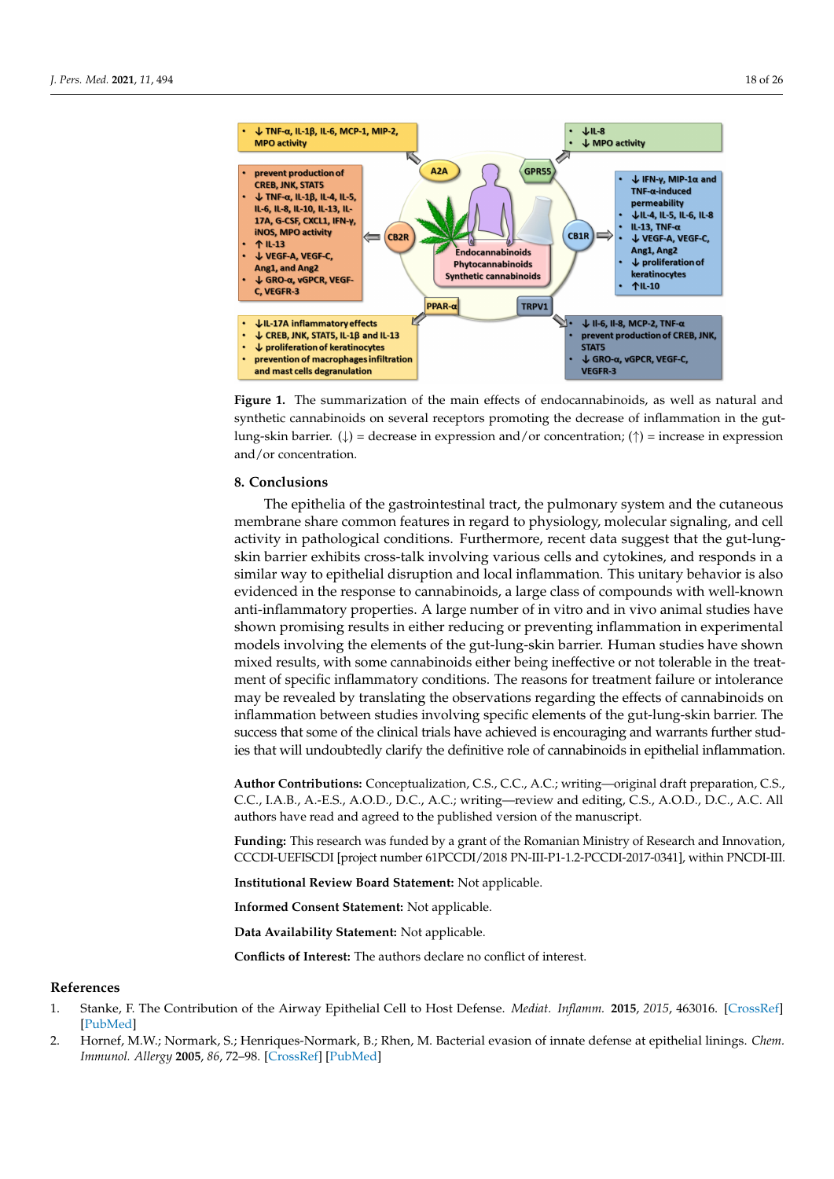<span id="page-17-1"></span>

**Figure 1.** The summarization of the main effects of endocannabinoids, as well as natural and synthetic cannabinoids on several receptors promoting the decrease of inflammation in the gutlung-skin barrier. ( $\downarrow$ ) = decrease in expression and/or concentration; ( $\uparrow$ ) = increase in expression and/or concentration.

# **8. Conclusions**

The epithelia of the gastrointestinal tract, the pulmonary system and the cutaneous membrane share common features in regard to physiology, molecular signaling, and cell activity in pathological conditions. Furthermore, recent data suggest that the gut-lungskin barrier exhibits cross-talk involving various cells and cytokines, and responds in a similar way to epithelial disruption and local inflammation. This unitary behavior is also evidenced in the response to cannabinoids, a large class of compounds with well-known anti-inflammatory properties. A large number of in vitro and in vivo animal studies have shown promising results in either reducing or preventing inflammation in experimental models involving the elements of the gut-lung-skin barrier. Human studies have shown mixed results, with some cannabinoids either being ineffective or not tolerable in the treatment of specific inflammatory conditions. The reasons for treatment failure or intolerance may be revealed by translating the observations regarding the effects of cannabinoids on inflammation between studies involving specific elements of the gut-lung-skin barrier. The success that some of the clinical trials have achieved is encouraging and warrants further studies that will undoubtedly clarify the definitive role of cannabinoids in epithelial inflammation.

**Author Contributions:** Conceptualization, C.S., C.C., A.C.; writing—original draft preparation, C.S., C.C., I.A.B., A.-E.S., A.O.D., D.C., A.C.; writing—review and editing, C.S., A.O.D., D.C., A.C. All authors have read and agreed to the published version of the manuscript.

**Funding:** This research was funded by a grant of the Romanian Ministry of Research and Innovation, CCCDI-UEFISCDI [project number 61PCCDI/2018 PN-III-P1-1.2-PCCDI-2017-0341], within PNCDI-III.

**Institutional Review Board Statement:** Not applicable.

**Informed Consent Statement:** Not applicable.

**Data Availability Statement:** Not applicable.

**Conflicts of Interest:** The authors declare no conflict of interest.

# **References**

- <span id="page-17-0"></span>1. Stanke, F. The Contribution of the Airway Epithelial Cell to Host Defense. *Mediat. Inflamm.* **2015**, *2015*, 463016. [\[CrossRef\]](http://doi.org/10.1155/2015/463016) [\[PubMed\]](http://www.ncbi.nlm.nih.gov/pubmed/26185361)
- 2. Hornef, M.W.; Normark, S.; Henriques-Normark, B.; Rhen, M. Bacterial evasion of innate defense at epithelial linings. *Chem. Immunol. Allergy* **2005**, *86*, 72–98. [\[CrossRef\]](http://doi.org/10.1159/000086652) [\[PubMed\]](http://www.ncbi.nlm.nih.gov/pubmed/15976489)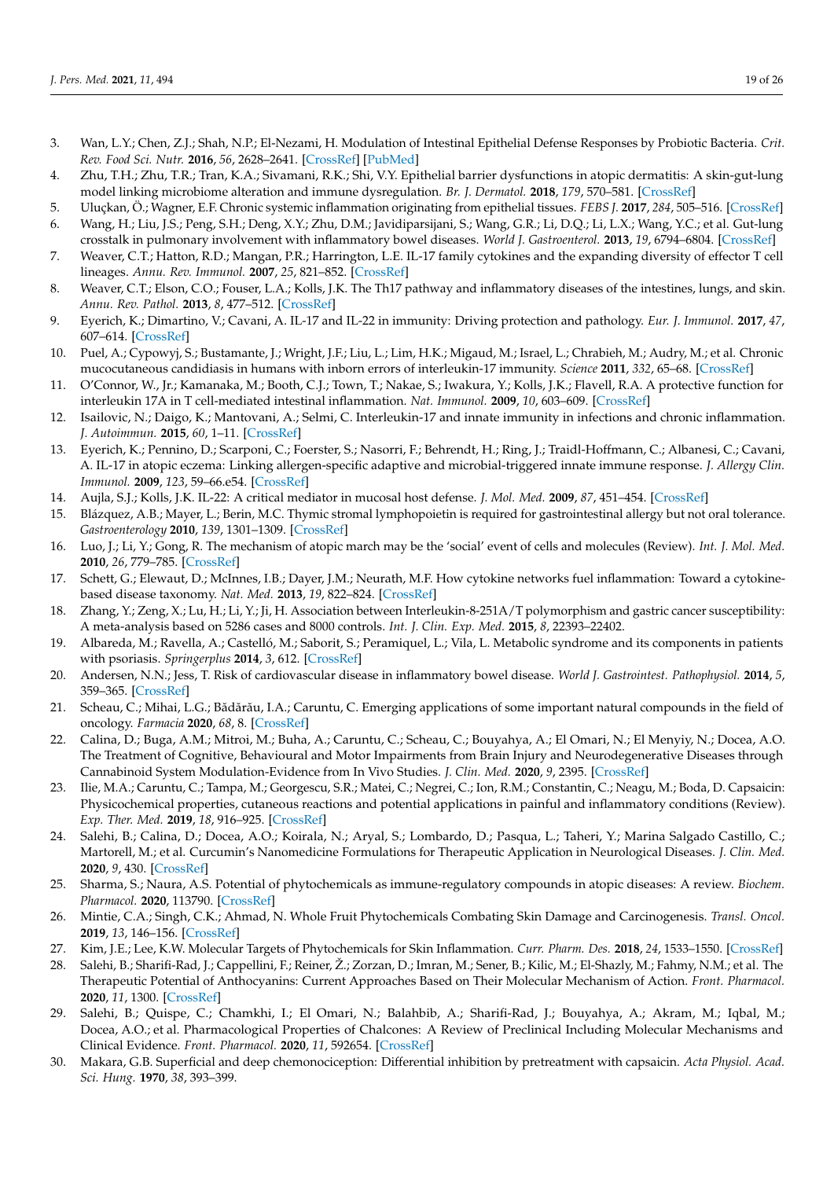- <span id="page-18-0"></span>3. Wan, L.Y.; Chen, Z.J.; Shah, N.P.; El-Nezami, H. Modulation of Intestinal Epithelial Defense Responses by Probiotic Bacteria. *Crit. Rev. Food Sci. Nutr.* **2016**, *56*, 2628–2641. [\[CrossRef\]](http://doi.org/10.1080/10408398.2014.905450) [\[PubMed\]](http://www.ncbi.nlm.nih.gov/pubmed/25629818)
- <span id="page-18-1"></span>4. Zhu, T.H.; Zhu, T.R.; Tran, K.A.; Sivamani, R.K.; Shi, V.Y. Epithelial barrier dysfunctions in atopic dermatitis: A skin-gut-lung model linking microbiome alteration and immune dysregulation. *Br. J. Dermatol.* **2018**, *179*, 570–581. [\[CrossRef\]](http://doi.org/10.1111/bjd.16734)
- <span id="page-18-3"></span><span id="page-18-2"></span>5. Uluçkan, Ö.; Wagner, E.F. Chronic systemic inflammation originating from epithelial tissues. *FEBS J.* **2017**, *284*, 505–516. [\[CrossRef\]](http://doi.org/10.1111/febs.13904) 6. Wang, H.; Liu, J.S.; Peng, S.H.; Deng, X.Y.; Zhu, D.M.; Javidiparsijani, S.; Wang, G.R.; Li, D.Q.; Li, L.X.; Wang, Y.C.; et al. Gut-lung
- <span id="page-18-4"></span>crosstalk in pulmonary involvement with inflammatory bowel diseases. *World J. Gastroenterol.* **2013**, *19*, 6794–6804. [\[CrossRef\]](http://doi.org/10.3748/wjg.v19.i40.6794) 7. Weaver, C.T.; Hatton, R.D.; Mangan, P.R.; Harrington, L.E. IL-17 family cytokines and the expanding diversity of effector T cell
- <span id="page-18-5"></span>lineages. *Annu. Rev. Immunol.* **2007**, *25*, 821–852. [\[CrossRef\]](http://doi.org/10.1146/annurev.immunol.25.022106.141557) 8. Weaver, C.T.; Elson, C.O.; Fouser, L.A.; Kolls, J.K. The Th17 pathway and inflammatory diseases of the intestines, lungs, and skin.
- *Annu. Rev. Pathol.* **2013**, *8*, 477–512. [\[CrossRef\]](http://doi.org/10.1146/annurev-pathol-011110-130318)
- <span id="page-18-6"></span>9. Eyerich, K.; Dimartino, V.; Cavani, A. IL-17 and IL-22 in immunity: Driving protection and pathology. *Eur. J. Immunol.* **2017**, *47*, 607–614. [\[CrossRef\]](http://doi.org/10.1002/eji.201646723)
- <span id="page-18-7"></span>10. Puel, A.; Cypowyj, S.; Bustamante, J.; Wright, J.F.; Liu, L.; Lim, H.K.; Migaud, M.; Israel, L.; Chrabieh, M.; Audry, M.; et al. Chronic mucocutaneous candidiasis in humans with inborn errors of interleukin-17 immunity. *Science* **2011**, *332*, 65–68. [\[CrossRef\]](http://doi.org/10.1126/science.1200439)
- 11. O'Connor, W., Jr.; Kamanaka, M.; Booth, C.J.; Town, T.; Nakae, S.; Iwakura, Y.; Kolls, J.K.; Flavell, R.A. A protective function for interleukin 17A in T cell-mediated intestinal inflammation. *Nat. Immunol.* **2009**, *10*, 603–609. [\[CrossRef\]](http://doi.org/10.1038/ni.1736)
- <span id="page-18-8"></span>12. Isailovic, N.; Daigo, K.; Mantovani, A.; Selmi, C. Interleukin-17 and innate immunity in infections and chronic inflammation. *J. Autoimmun.* **2015**, *60*, 1–11. [\[CrossRef\]](http://doi.org/10.1016/j.jaut.2015.04.006)
- <span id="page-18-9"></span>13. Eyerich, K.; Pennino, D.; Scarponi, C.; Foerster, S.; Nasorri, F.; Behrendt, H.; Ring, J.; Traidl-Hoffmann, C.; Albanesi, C.; Cavani, A. IL-17 in atopic eczema: Linking allergen-specific adaptive and microbial-triggered innate immune response. *J. Allergy Clin. Immunol.* **2009**, *123*, 59–66.e54. [\[CrossRef\]](http://doi.org/10.1016/j.jaci.2008.10.031)
- <span id="page-18-10"></span>14. Aujla, S.J.; Kolls, J.K. IL-22: A critical mediator in mucosal host defense. *J. Mol. Med.* **2009**, *87*, 451–454. [\[CrossRef\]](http://doi.org/10.1007/s00109-009-0448-1)
- <span id="page-18-11"></span>15. Blázquez, A.B.; Mayer, L.; Berin, M.C. Thymic stromal lymphopoietin is required for gastrointestinal allergy but not oral tolerance. *Gastroenterology* **2010**, *139*, 1301–1309. [\[CrossRef\]](http://doi.org/10.1053/j.gastro.2010.06.055)
- <span id="page-18-12"></span>16. Luo, J.; Li, Y.; Gong, R. The mechanism of atopic march may be the 'social' event of cells and molecules (Review). *Int. J. Mol. Med.* **2010**, *26*, 779–785. [\[CrossRef\]](http://doi.org/10.3892/ijmm_00000525)
- <span id="page-18-13"></span>17. Schett, G.; Elewaut, D.; McInnes, I.B.; Dayer, J.M.; Neurath, M.F. How cytokine networks fuel inflammation: Toward a cytokinebased disease taxonomy. *Nat. Med.* **2013**, *19*, 822–824. [\[CrossRef\]](http://doi.org/10.1038/nm.3260)
- <span id="page-18-14"></span>18. Zhang, Y.; Zeng, X.; Lu, H.; Li, Y.; Ji, H. Association between Interleukin-8-251A/T polymorphism and gastric cancer susceptibility: A meta-analysis based on 5286 cases and 8000 controls. *Int. J. Clin. Exp. Med.* **2015**, *8*, 22393–22402.
- <span id="page-18-15"></span>19. Albareda, M.; Ravella, A.; Castelló, M.; Saborit, S.; Peramiquel, L.; Vila, L. Metabolic syndrome and its components in patients with psoriasis. *Springerplus* **2014**, *3*, 612. [\[CrossRef\]](http://doi.org/10.1186/2193-1801-3-612)
- <span id="page-18-16"></span>20. Andersen, N.N.; Jess, T. Risk of cardiovascular disease in inflammatory bowel disease. *World J. Gastrointest. Pathophysiol.* **2014**, *5*, 359–365. [\[CrossRef\]](http://doi.org/10.4291/wjgp.v5.i3.359)
- <span id="page-18-17"></span>21. Scheau, C.; Mihai, L.G.; Bădărău, I.A.; Caruntu, C. Emerging applications of some important natural compounds in the field of oncology. *Farmacia* **2020**, *68*, 8. [\[CrossRef\]](http://doi.org/10.31925/farmacia.2020.6.4)
- 22. Calina, D.; Buga, A.M.; Mitroi, M.; Buha, A.; Caruntu, C.; Scheau, C.; Bouyahya, A.; El Omari, N.; El Menyiy, N.; Docea, A.O. The Treatment of Cognitive, Behavioural and Motor Impairments from Brain Injury and Neurodegenerative Diseases through Cannabinoid System Modulation-Evidence from In Vivo Studies. *J. Clin. Med.* **2020**, *9*, 2395. [\[CrossRef\]](http://doi.org/10.3390/jcm9082395)
- 23. Ilie, M.A.; Caruntu, C.; Tampa, M.; Georgescu, S.R.; Matei, C.; Negrei, C.; Ion, R.M.; Constantin, C.; Neagu, M.; Boda, D. Capsaicin: Physicochemical properties, cutaneous reactions and potential applications in painful and inflammatory conditions (Review). *Exp. Ther. Med.* **2019**, *18*, 916–925. [\[CrossRef\]](http://doi.org/10.3892/etm.2019.7513)
- <span id="page-18-18"></span>24. Salehi, B.; Calina, D.; Docea, A.O.; Koirala, N.; Aryal, S.; Lombardo, D.; Pasqua, L.; Taheri, Y.; Marina Salgado Castillo, C.; Martorell, M.; et al. Curcumin's Nanomedicine Formulations for Therapeutic Application in Neurological Diseases. *J. Clin. Med.* **2020**, *9*, 430. [\[CrossRef\]](http://doi.org/10.3390/jcm9020430)
- <span id="page-18-19"></span>25. Sharma, S.; Naura, A.S. Potential of phytochemicals as immune-regulatory compounds in atopic diseases: A review. *Biochem. Pharmacol.* **2020**, 113790. [\[CrossRef\]](http://doi.org/10.1016/j.bcp.2019.113790)
- <span id="page-18-20"></span>26. Mintie, C.A.; Singh, C.K.; Ahmad, N. Whole Fruit Phytochemicals Combating Skin Damage and Carcinogenesis. *Transl. Oncol.* **2019**, *13*, 146–156. [\[CrossRef\]](http://doi.org/10.1016/j.tranon.2019.10.014)
- 27. Kim, J.E.; Lee, K.W. Molecular Targets of Phytochemicals for Skin Inflammation. *Curr. Pharm. Des.* **2018**, *24*, 1533–1550. [\[CrossRef\]](http://doi.org/10.2174/1381612824666180426113247)
- 28. Salehi, B.; Sharifi-Rad, J.; Cappellini, F.; Reiner, Ž.; Zorzan, D.; Imran, M.; Sener, B.; Kilic, M.; El-Shazly, M.; Fahmy, N.M.; et al. The Therapeutic Potential of Anthocyanins: Current Approaches Based on Their Molecular Mechanism of Action. *Front. Pharmacol.* **2020**, *11*, 1300. [\[CrossRef\]](http://doi.org/10.3389/fphar.2020.01300)
- <span id="page-18-21"></span>29. Salehi, B.; Quispe, C.; Chamkhi, I.; El Omari, N.; Balahbib, A.; Sharifi-Rad, J.; Bouyahya, A.; Akram, M.; Iqbal, M.; Docea, A.O.; et al. Pharmacological Properties of Chalcones: A Review of Preclinical Including Molecular Mechanisms and Clinical Evidence. *Front. Pharmacol.* **2020**, *11*, 592654. [\[CrossRef\]](http://doi.org/10.3389/fphar.2020.592654)
- <span id="page-18-22"></span>30. Makara, G.B. Superficial and deep chemonociception: Differential inhibition by pretreatment with capsaicin. *Acta Physiol. Acad. Sci. Hung.* **1970**, *38*, 393–399.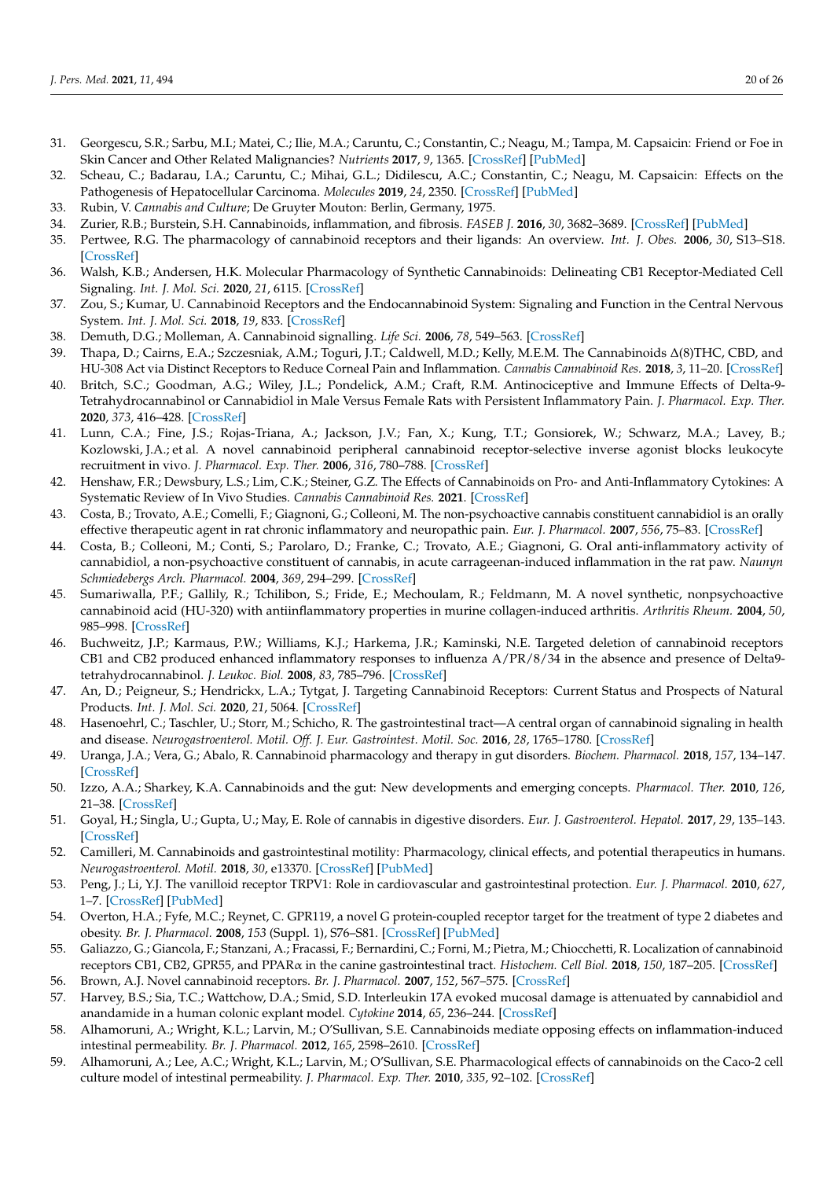- 31. Georgescu, S.R.; Sarbu, M.I.; Matei, C.; Ilie, M.A.; Caruntu, C.; Constantin, C.; Neagu, M.; Tampa, M. Capsaicin: Friend or Foe in Skin Cancer and Other Related Malignancies? *Nutrients* **2017**, *9*, 1365. [\[CrossRef\]](http://doi.org/10.3390/nu9121365) [\[PubMed\]](http://www.ncbi.nlm.nih.gov/pubmed/29258175)
- <span id="page-19-0"></span>32. Scheau, C.; Badarau, I.A.; Caruntu, C.; Mihai, G.L.; Didilescu, A.C.; Constantin, C.; Neagu, M. Capsaicin: Effects on the Pathogenesis of Hepatocellular Carcinoma. *Molecules* **2019**, *24*, 2350. [\[CrossRef\]](http://doi.org/10.3390/molecules24132350) [\[PubMed\]](http://www.ncbi.nlm.nih.gov/pubmed/31247901)
- <span id="page-19-1"></span>33. Rubin, V. *Cannabis and Culture*; De Gruyter Mouton: Berlin, Germany, 1975.
- <span id="page-19-2"></span>34. Zurier, R.B.; Burstein, S.H. Cannabinoids, inflammation, and fibrosis. *FASEB J.* **2016**, *30*, 3682–3689. [\[CrossRef\]](http://doi.org/10.1096/fj.201600646R) [\[PubMed\]](http://www.ncbi.nlm.nih.gov/pubmed/27435265)
- <span id="page-19-3"></span>35. Pertwee, R.G. The pharmacology of cannabinoid receptors and their ligands: An overview. *Int. J. Obes.* **2006**, *30*, S13–S18. [\[CrossRef\]](http://doi.org/10.1038/sj.ijo.0803272)
- <span id="page-19-4"></span>36. Walsh, K.B.; Andersen, H.K. Molecular Pharmacology of Synthetic Cannabinoids: Delineating CB1 Receptor-Mediated Cell Signaling. *Int. J. Mol. Sci.* **2020**, *21*, 6115. [\[CrossRef\]](http://doi.org/10.3390/ijms21176115)
- <span id="page-19-5"></span>37. Zou, S.; Kumar, U. Cannabinoid Receptors and the Endocannabinoid System: Signaling and Function in the Central Nervous System. *Int. J. Mol. Sci.* **2018**, *19*, 833. [\[CrossRef\]](http://doi.org/10.3390/ijms19030833)
- <span id="page-19-6"></span>38. Demuth, D.G.; Molleman, A. Cannabinoid signalling. *Life Sci.* **2006**, *78*, 549–563. [\[CrossRef\]](http://doi.org/10.1016/j.lfs.2005.05.055)
- <span id="page-19-7"></span>39. Thapa, D.; Cairns, E.A.; Szczesniak, A.M.; Toguri, J.T.; Caldwell, M.D.; Kelly, M.E.M. The Cannabinoids ∆(8)THC, CBD, and HU-308 Act via Distinct Receptors to Reduce Corneal Pain and Inflammation. *Cannabis Cannabinoid Res.* **2018**, *3*, 11–20. [\[CrossRef\]](http://doi.org/10.1089/can.2017.0041)
- <span id="page-19-8"></span>40. Britch, S.C.; Goodman, A.G.; Wiley, J.L.; Pondelick, A.M.; Craft, R.M. Antinociceptive and Immune Effects of Delta-9- Tetrahydrocannabinol or Cannabidiol in Male Versus Female Rats with Persistent Inflammatory Pain. *J. Pharmacol. Exp. Ther.* **2020**, *373*, 416–428. [\[CrossRef\]](http://doi.org/10.1124/jpet.119.263319)
- <span id="page-19-9"></span>41. Lunn, C.A.; Fine, J.S.; Rojas-Triana, A.; Jackson, J.V.; Fan, X.; Kung, T.T.; Gonsiorek, W.; Schwarz, M.A.; Lavey, B.; Kozlowski, J.A.; et al. A novel cannabinoid peripheral cannabinoid receptor-selective inverse agonist blocks leukocyte recruitment in vivo. *J. Pharmacol. Exp. Ther.* **2006**, *316*, 780–788. [\[CrossRef\]](http://doi.org/10.1124/jpet.105.093500)
- <span id="page-19-10"></span>42. Henshaw, F.R.; Dewsbury, L.S.; Lim, C.K.; Steiner, G.Z. The Effects of Cannabinoids on Pro- and Anti-Inflammatory Cytokines: A Systematic Review of In Vivo Studies. *Cannabis Cannabinoid Res.* **2021**. [\[CrossRef\]](http://doi.org/10.1089/can.2020.0105)
- <span id="page-19-11"></span>43. Costa, B.; Trovato, A.E.; Comelli, F.; Giagnoni, G.; Colleoni, M. The non-psychoactive cannabis constituent cannabidiol is an orally effective therapeutic agent in rat chronic inflammatory and neuropathic pain. *Eur. J. Pharmacol.* **2007**, *556*, 75–83. [\[CrossRef\]](http://doi.org/10.1016/j.ejphar.2006.11.006)
- 44. Costa, B.; Colleoni, M.; Conti, S.; Parolaro, D.; Franke, C.; Trovato, A.E.; Giagnoni, G. Oral anti-inflammatory activity of cannabidiol, a non-psychoactive constituent of cannabis, in acute carrageenan-induced inflammation in the rat paw. *Naunyn Schmiedebergs Arch. Pharmacol.* **2004**, *369*, 294–299. [\[CrossRef\]](http://doi.org/10.1007/s00210-004-0871-3)
- <span id="page-19-12"></span>45. Sumariwalla, P.F.; Gallily, R.; Tchilibon, S.; Fride, E.; Mechoulam, R.; Feldmann, M. A novel synthetic, nonpsychoactive cannabinoid acid (HU-320) with antiinflammatory properties in murine collagen-induced arthritis. *Arthritis Rheum.* **2004**, *50*, 985–998. [\[CrossRef\]](http://doi.org/10.1002/art.20050)
- <span id="page-19-26"></span><span id="page-19-13"></span>46. Buchweitz, J.P.; Karmaus, P.W.; Williams, K.J.; Harkema, J.R.; Kaminski, N.E. Targeted deletion of cannabinoid receptors CB1 and CB2 produced enhanced inflammatory responses to influenza A/PR/8/34 in the absence and presence of Delta9 tetrahydrocannabinol. *J. Leukoc. Biol.* **2008**, *83*, 785–796. [\[CrossRef\]](http://doi.org/10.1189/jlb.0907618)
- <span id="page-19-27"></span><span id="page-19-14"></span>47. An, D.; Peigneur, S.; Hendrickx, L.A.; Tytgat, J. Targeting Cannabinoid Receptors: Current Status and Prospects of Natural Products. *Int. J. Mol. Sci.* **2020**, *21*, 5064. [\[CrossRef\]](http://doi.org/10.3390/ijms21145064)
- <span id="page-19-15"></span>48. Hasenoehrl, C.; Taschler, U.; Storr, M.; Schicho, R. The gastrointestinal tract—A central organ of cannabinoid signaling in health and disease. *Neurogastroenterol. Motil. Off. J. Eur. Gastrointest. Motil. Soc.* **2016**, *28*, 1765–1780. [\[CrossRef\]](http://doi.org/10.1111/nmo.12931)
- <span id="page-19-16"></span>49. Uranga, J.A.; Vera, G.; Abalo, R. Cannabinoid pharmacology and therapy in gut disorders. *Biochem. Pharmacol.* **2018**, *157*, 134–147. [\[CrossRef\]](http://doi.org/10.1016/j.bcp.2018.07.048)
- <span id="page-19-17"></span>50. Izzo, A.A.; Sharkey, K.A. Cannabinoids and the gut: New developments and emerging concepts. *Pharmacol. Ther.* **2010**, *126*, 21–38. [\[CrossRef\]](http://doi.org/10.1016/j.pharmthera.2009.12.005)
- <span id="page-19-18"></span>51. Goyal, H.; Singla, U.; Gupta, U.; May, E. Role of cannabis in digestive disorders. *Eur. J. Gastroenterol. Hepatol.* **2017**, *29*, 135–143. [\[CrossRef\]](http://doi.org/10.1097/MEG.0000000000000779)
- <span id="page-19-19"></span>52. Camilleri, M. Cannabinoids and gastrointestinal motility: Pharmacology, clinical effects, and potential therapeutics in humans. *Neurogastroenterol. Motil.* **2018**, *30*, e13370. [\[CrossRef\]](http://doi.org/10.1111/nmo.13370) [\[PubMed\]](http://www.ncbi.nlm.nih.gov/pubmed/29745439)
- <span id="page-19-20"></span>53. Peng, J.; Li, Y.J. The vanilloid receptor TRPV1: Role in cardiovascular and gastrointestinal protection. *Eur. J. Pharmacol.* **2010**, *627*, 1–7. [\[CrossRef\]](http://doi.org/10.1016/j.ejphar.2009.10.053) [\[PubMed\]](http://www.ncbi.nlm.nih.gov/pubmed/19879868)
- <span id="page-19-21"></span>54. Overton, H.A.; Fyfe, M.C.; Reynet, C. GPR119, a novel G protein-coupled receptor target for the treatment of type 2 diabetes and obesity. *Br. J. Pharmacol.* **2008**, *153* (Suppl. 1), S76–S81. [\[CrossRef\]](http://doi.org/10.1038/sj.bjp.0707529) [\[PubMed\]](http://www.ncbi.nlm.nih.gov/pubmed/18037923)
- 55. Galiazzo, G.; Giancola, F.; Stanzani, A.; Fracassi, F.; Bernardini, C.; Forni, M.; Pietra, M.; Chiocchetti, R. Localization of cannabinoid receptors CB1, CB2, GPR55, and PPARα in the canine gastrointestinal tract. *Histochem. Cell Biol.* **2018**, *150*, 187–205. [\[CrossRef\]](http://doi.org/10.1007/s00418-018-1684-7)
- <span id="page-19-22"></span>56. Brown, A.J. Novel cannabinoid receptors. *Br. J. Pharmacol.* **2007**, *152*, 567–575. [\[CrossRef\]](http://doi.org/10.1038/sj.bjp.0707481)
- <span id="page-19-23"></span>57. Harvey, B.S.; Sia, T.C.; Wattchow, D.A.; Smid, S.D. Interleukin 17A evoked mucosal damage is attenuated by cannabidiol and anandamide in a human colonic explant model. *Cytokine* **2014**, *65*, 236–244. [\[CrossRef\]](http://doi.org/10.1016/j.cyto.2013.10.006)
- <span id="page-19-24"></span>58. Alhamoruni, A.; Wright, K.L.; Larvin, M.; O'Sullivan, S.E. Cannabinoids mediate opposing effects on inflammation-induced intestinal permeability. *Br. J. Pharmacol.* **2012**, *165*, 2598–2610. [\[CrossRef\]](http://doi.org/10.1111/j.1476-5381.2011.01589.x)
- <span id="page-19-25"></span>59. Alhamoruni, A.; Lee, A.C.; Wright, K.L.; Larvin, M.; O'Sullivan, S.E. Pharmacological effects of cannabinoids on the Caco-2 cell culture model of intestinal permeability. *J. Pharmacol. Exp. Ther.* **2010**, *335*, 92–102. [\[CrossRef\]](http://doi.org/10.1124/jpet.110.168237)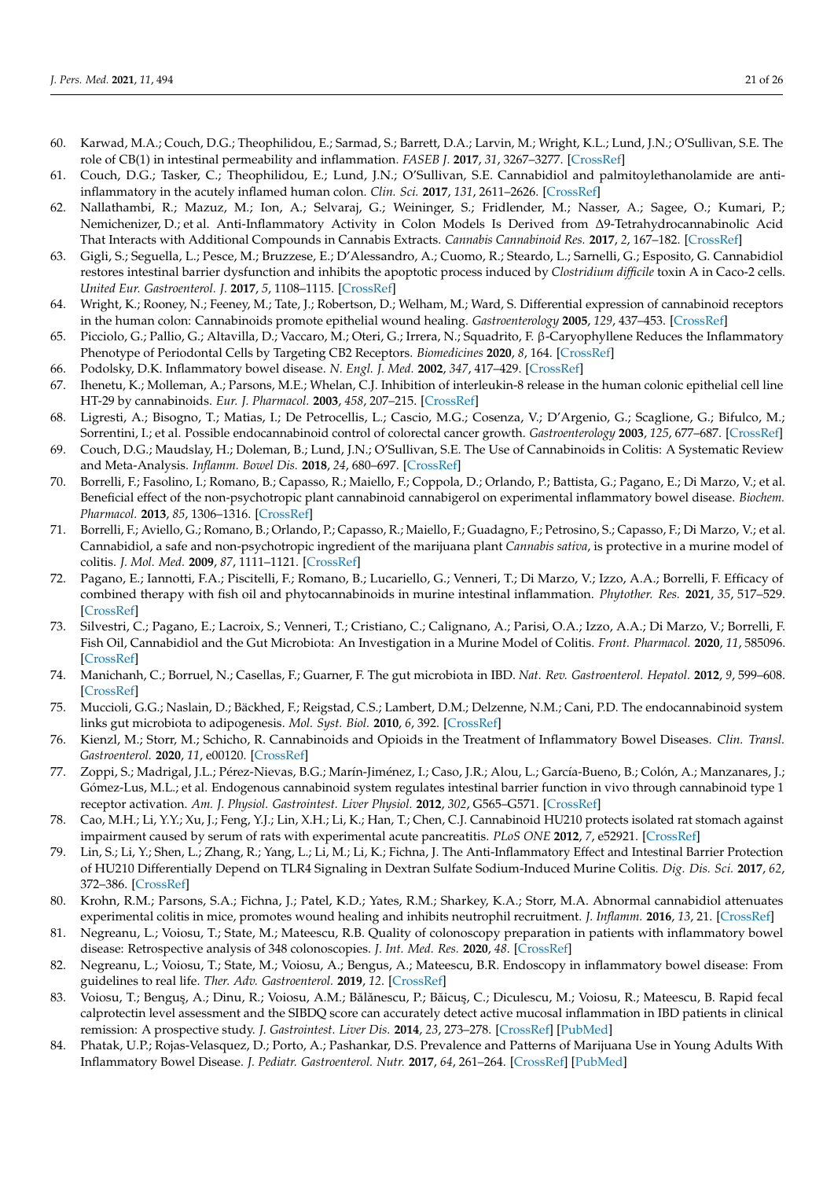- <span id="page-20-27"></span><span id="page-20-26"></span><span id="page-20-25"></span><span id="page-20-24"></span><span id="page-20-23"></span><span id="page-20-0"></span>60. Karwad, M.A.; Couch, D.G.; Theophilidou, E.; Sarmad, S.; Barrett, D.A.; Larvin, M.; Wright, K.L.; Lund, J.N.; O'Sullivan, S.E. The role of CB(1) in intestinal permeability and inflammation. *FASEB J.* **2017**, *31*, 3267–3277. [\[CrossRef\]](http://doi.org/10.1096/fj.201601346R)
- <span id="page-20-28"></span><span id="page-20-1"></span>61. Couch, D.G.; Tasker, C.; Theophilidou, E.; Lund, J.N.; O'Sullivan, S.E. Cannabidiol and palmitoylethanolamide are antiinflammatory in the acutely inflamed human colon. *Clin. Sci.* **2017**, *131*, 2611–2626. [\[CrossRef\]](http://doi.org/10.1042/CS20171288)
- <span id="page-20-29"></span><span id="page-20-2"></span>62. Nallathambi, R.; Mazuz, M.; Ion, A.; Selvaraj, G.; Weininger, S.; Fridlender, M.; Nasser, A.; Sagee, O.; Kumari, P.; Nemichenizer, D.; et al. Anti-Inflammatory Activity in Colon Models Is Derived from ∆9-Tetrahydrocannabinolic Acid That Interacts with Additional Compounds in Cannabis Extracts. *Cannabis Cannabinoid Res.* **2017**, *2*, 167–182. [\[CrossRef\]](http://doi.org/10.1089/can.2017.0027)
- <span id="page-20-30"></span><span id="page-20-3"></span>63. Gigli, S.; Seguella, L.; Pesce, M.; Bruzzese, E.; D'Alessandro, A.; Cuomo, R.; Steardo, L.; Sarnelli, G.; Esposito, G. Cannabidiol restores intestinal barrier dysfunction and inhibits the apoptotic process induced by *Clostridium difficile* toxin A in Caco-2 cells. *United Eur. Gastroenterol. J.* **2017**, *5*, 1108–1115. [\[CrossRef\]](http://doi.org/10.1177/2050640617698622)
- <span id="page-20-4"></span>64. Wright, K.; Rooney, N.; Feeney, M.; Tate, J.; Robertson, D.; Welham, M.; Ward, S. Differential expression of cannabinoid receptors in the human colon: Cannabinoids promote epithelial wound healing. *Gastroenterology* **2005**, *129*, 437–453. [\[CrossRef\]](http://doi.org/10.1016/j.gastro.2005.05.026)
- <span id="page-20-5"></span>65. Picciolo, G.; Pallio, G.; Altavilla, D.; Vaccaro, M.; Oteri, G.; Irrera, N.; Squadrito, F. β-Caryophyllene Reduces the Inflammatory Phenotype of Periodontal Cells by Targeting CB2 Receptors. *Biomedicines* **2020**, *8*, 164. [\[CrossRef\]](http://doi.org/10.3390/biomedicines8060164)
- <span id="page-20-6"></span>66. Podolsky, D.K. Inflammatory bowel disease. *N. Engl. J. Med.* **2002**, *347*, 417–429. [\[CrossRef\]](http://doi.org/10.1056/NEJMra020831)
- 67. Ihenetu, K.; Molleman, A.; Parsons, M.E.; Whelan, C.J. Inhibition of interleukin-8 release in the human colonic epithelial cell line HT-29 by cannabinoids. *Eur. J. Pharmacol.* **2003**, *458*, 207–215. [\[CrossRef\]](http://doi.org/10.1016/S0014-2999(02)02698-5)
- <span id="page-20-7"></span>68. Ligresti, A.; Bisogno, T.; Matias, I.; De Petrocellis, L.; Cascio, M.G.; Cosenza, V.; D'Argenio, G.; Scaglione, G.; Bifulco, M.; Sorrentini, I.; et al. Possible endocannabinoid control of colorectal cancer growth. *Gastroenterology* **2003**, *125*, 677–687. [\[CrossRef\]](http://doi.org/10.1016/S0016-5085(03)00881-3)
- <span id="page-20-8"></span>69. Couch, D.G.; Maudslay, H.; Doleman, B.; Lund, J.N.; O'Sullivan, S.E. The Use of Cannabinoids in Colitis: A Systematic Review and Meta-Analysis. *Inflamm. Bowel Dis.* **2018**, *24*, 680–697. [\[CrossRef\]](http://doi.org/10.1093/ibd/izy014)
- <span id="page-20-33"></span><span id="page-20-32"></span><span id="page-20-9"></span>70. Borrelli, F.; Fasolino, I.; Romano, B.; Capasso, R.; Maiello, F.; Coppola, D.; Orlando, P.; Battista, G.; Pagano, E.; Di Marzo, V.; et al. Beneficial effect of the non-psychotropic plant cannabinoid cannabigerol on experimental inflammatory bowel disease. *Biochem. Pharmacol.* **2013**, *85*, 1306–1316. [\[CrossRef\]](http://doi.org/10.1016/j.bcp.2013.01.017)
- <span id="page-20-31"></span><span id="page-20-10"></span>71. Borrelli, F.; Aviello, G.; Romano, B.; Orlando, P.; Capasso, R.; Maiello, F.; Guadagno, F.; Petrosino, S.; Capasso, F.; Di Marzo, V.; et al. Cannabidiol, a safe and non-psychotropic ingredient of the marijuana plant *Cannabis sativa*, is protective in a murine model of colitis. *J. Mol. Med.* **2009**, *87*, 1111–1121. [\[CrossRef\]](http://doi.org/10.1007/s00109-009-0512-x)
- <span id="page-20-11"></span>72. Pagano, E.; Iannotti, F.A.; Piscitelli, F.; Romano, B.; Lucariello, G.; Venneri, T.; Di Marzo, V.; Izzo, A.A.; Borrelli, F. Efficacy of combined therapy with fish oil and phytocannabinoids in murine intestinal inflammation. *Phytother. Res.* **2021**, *35*, 517–529. [\[CrossRef\]](http://doi.org/10.1002/ptr.6831)
- <span id="page-20-12"></span>73. Silvestri, C.; Pagano, E.; Lacroix, S.; Venneri, T.; Cristiano, C.; Calignano, A.; Parisi, O.A.; Izzo, A.A.; Di Marzo, V.; Borrelli, F. Fish Oil, Cannabidiol and the Gut Microbiota: An Investigation in a Murine Model of Colitis. *Front. Pharmacol.* **2020**, *11*, 585096. [\[CrossRef\]](http://doi.org/10.3389/fphar.2020.585096)
- <span id="page-20-13"></span>74. Manichanh, C.; Borruel, N.; Casellas, F.; Guarner, F. The gut microbiota in IBD. *Nat. Rev. Gastroenterol. Hepatol.* **2012**, *9*, 599–608. [\[CrossRef\]](http://doi.org/10.1038/nrgastro.2012.152)
- <span id="page-20-14"></span>75. Muccioli, G.G.; Naslain, D.; Bäckhed, F.; Reigstad, C.S.; Lambert, D.M.; Delzenne, N.M.; Cani, P.D. The endocannabinoid system links gut microbiota to adipogenesis. *Mol. Syst. Biol.* **2010**, *6*, 392. [\[CrossRef\]](http://doi.org/10.1038/msb.2010.46)
- <span id="page-20-15"></span>76. Kienzl, M.; Storr, M.; Schicho, R. Cannabinoids and Opioids in the Treatment of Inflammatory Bowel Diseases. *Clin. Transl. Gastroenterol.* **2020**, *11*, e00120. [\[CrossRef\]](http://doi.org/10.14309/ctg.0000000000000120)
- <span id="page-20-16"></span>77. Zoppi, S.; Madrigal, J.L.; Pérez-Nievas, B.G.; Marín-Jiménez, I.; Caso, J.R.; Alou, L.; García-Bueno, B.; Colón, A.; Manzanares, J.; Gómez-Lus, M.L.; et al. Endogenous cannabinoid system regulates intestinal barrier function in vivo through cannabinoid type 1 receptor activation. *Am. J. Physiol. Gastrointest. Liver Physiol.* **2012**, *302*, G565–G571. [\[CrossRef\]](http://doi.org/10.1152/ajpgi.00158.2011)
- <span id="page-20-17"></span>78. Cao, M.H.; Li, Y.Y.; Xu, J.; Feng, Y.J.; Lin, X.H.; Li, K.; Han, T.; Chen, C.J. Cannabinoid HU210 protects isolated rat stomach against impairment caused by serum of rats with experimental acute pancreatitis. *PLoS ONE* **2012**, *7*, e52921. [\[CrossRef\]](http://doi.org/10.1371/journal.pone.0052921)
- <span id="page-20-18"></span>79. Lin, S.; Li, Y.; Shen, L.; Zhang, R.; Yang, L.; Li, M.; Li, K.; Fichna, J. The Anti-Inflammatory Effect and Intestinal Barrier Protection of HU210 Differentially Depend on TLR4 Signaling in Dextran Sulfate Sodium-Induced Murine Colitis. *Dig. Dis. Sci.* **2017**, *62*, 372–386. [\[CrossRef\]](http://doi.org/10.1007/s10620-016-4404-y)
- <span id="page-20-19"></span>80. Krohn, R.M.; Parsons, S.A.; Fichna, J.; Patel, K.D.; Yates, R.M.; Sharkey, K.A.; Storr, M.A. Abnormal cannabidiol attenuates experimental colitis in mice, promotes wound healing and inhibits neutrophil recruitment. *J. Inflamm.* **2016**, *13*, 21. [\[CrossRef\]](http://doi.org/10.1186/s12950-016-0129-0)
- <span id="page-20-20"></span>81. Negreanu, L.; Voiosu, T.; State, M.; Mateescu, R.B. Quality of colonoscopy preparation in patients with inflammatory bowel disease: Retrospective analysis of 348 colonoscopies. *J. Int. Med. Res.* **2020**, *48*. [\[CrossRef\]](http://doi.org/10.1177/0300060520903654)
- 82. Negreanu, L.; Voiosu, T.; State, M.; Voiosu, A.; Bengus, A.; Mateescu, B.R. Endoscopy in inflammatory bowel disease: From guidelines to real life. *Ther. Adv. Gastroenterol.* **2019**, *12*. [\[CrossRef\]](http://doi.org/10.1177/1756284819865153)
- <span id="page-20-21"></span>83. Voiosu, T.; Benguş, A.; Dinu, R.; Voiosu, A.M.; Bălănescu, P.; Băicuş, C.; Diculescu, M.; Voiosu, R.; Mateescu, B. Rapid fecal calprotectin level assessment and the SIBDQ score can accurately detect active mucosal inflammation in IBD patients in clinical remission: A prospective study. *J. Gastrointest. Liver Dis.* **2014**, *23*, 273–278. [\[CrossRef\]](http://doi.org/10.15403/jgld.2014.1121.233.thv) [\[PubMed\]](http://www.ncbi.nlm.nih.gov/pubmed/25267955)
- <span id="page-20-22"></span>84. Phatak, U.P.; Rojas-Velasquez, D.; Porto, A.; Pashankar, D.S. Prevalence and Patterns of Marijuana Use in Young Adults With Inflammatory Bowel Disease. *J. Pediatr. Gastroenterol. Nutr.* **2017**, *64*, 261–264. [\[CrossRef\]](http://doi.org/10.1097/MPG.0000000000001474) [\[PubMed\]](http://www.ncbi.nlm.nih.gov/pubmed/27846066)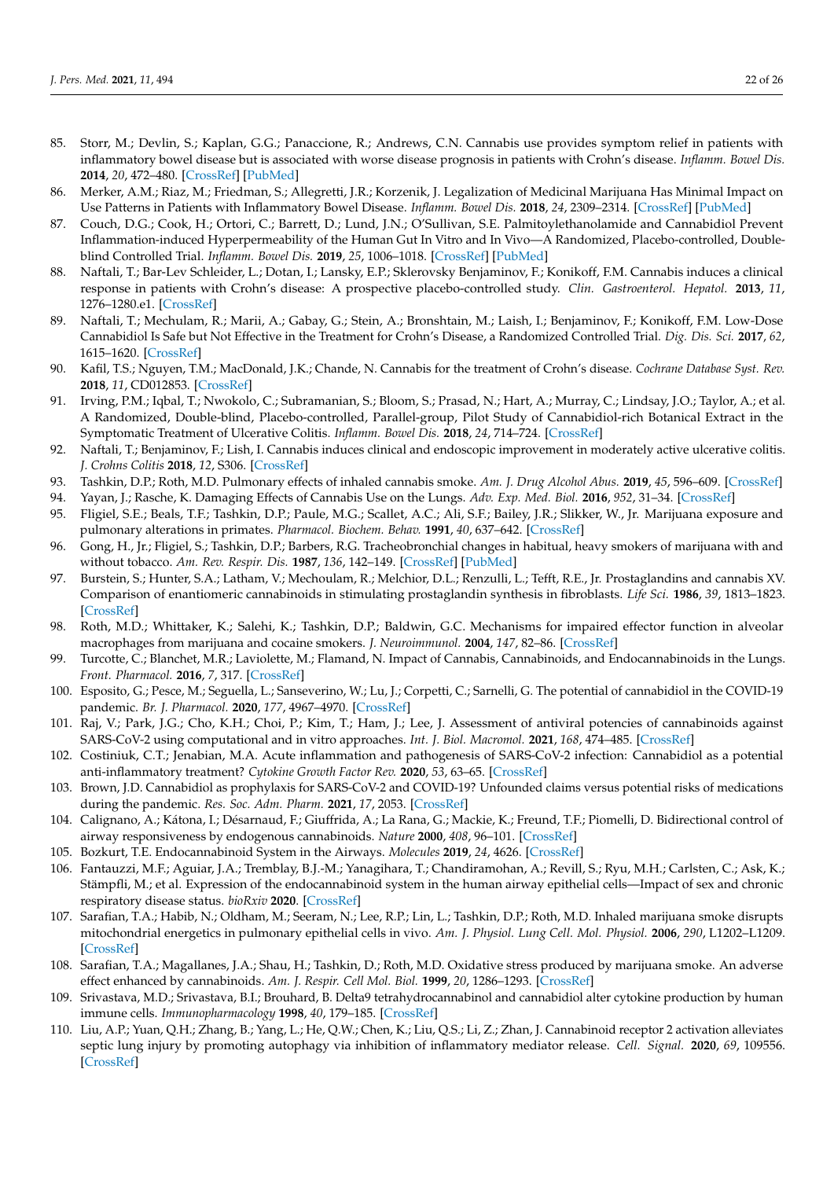- <span id="page-21-29"></span><span id="page-21-28"></span><span id="page-21-27"></span><span id="page-21-26"></span><span id="page-21-25"></span><span id="page-21-0"></span>85. Storr, M.; Devlin, S.; Kaplan, G.G.; Panaccione, R.; Andrews, C.N. Cannabis use provides symptom relief in patients with inflammatory bowel disease but is associated with worse disease prognosis in patients with Crohn's disease. *Inflamm. Bowel Dis.* **2014**, *20*, 472–480. [\[CrossRef\]](http://doi.org/10.1097/01.MIB.0000440982.79036.d6) [\[PubMed\]](http://www.ncbi.nlm.nih.gov/pubmed/24407485)
- <span id="page-21-1"></span>86. Merker, A.M.; Riaz, M.; Friedman, S.; Allegretti, J.R.; Korzenik, J. Legalization of Medicinal Marijuana Has Minimal Impact on Use Patterns in Patients with Inflammatory Bowel Disease. *Inflamm. Bowel Dis.* **2018**, *24*, 2309–2314. [\[CrossRef\]](http://doi.org/10.1093/ibd/izy141) [\[PubMed\]](http://www.ncbi.nlm.nih.gov/pubmed/29788102)
- <span id="page-21-2"></span>87. Couch, D.G.; Cook, H.; Ortori, C.; Barrett, D.; Lund, J.N.; O'Sullivan, S.E. Palmitoylethanolamide and Cannabidiol Prevent Inflammation-induced Hyperpermeability of the Human Gut In Vitro and In Vivo—A Randomized, Placebo-controlled, Doubleblind Controlled Trial. *Inflamm. Bowel Dis.* **2019**, *25*, 1006–1018. [\[CrossRef\]](http://doi.org/10.1093/ibd/izz017) [\[PubMed\]](http://www.ncbi.nlm.nih.gov/pubmed/31054246)
- <span id="page-21-3"></span>88. Naftali, T.; Bar-Lev Schleider, L.; Dotan, I.; Lansky, E.P.; Sklerovsky Benjaminov, F.; Konikoff, F.M. Cannabis induces a clinical response in patients with Crohn's disease: A prospective placebo-controlled study. *Clin. Gastroenterol. Hepatol.* **2013**, *11*, 1276–1280.e1. [\[CrossRef\]](http://doi.org/10.1016/j.cgh.2013.04.034)
- <span id="page-21-4"></span>89. Naftali, T.; Mechulam, R.; Marii, A.; Gabay, G.; Stein, A.; Bronshtain, M.; Laish, I.; Benjaminov, F.; Konikoff, F.M. Low-Dose Cannabidiol Is Safe but Not Effective in the Treatment for Crohn's Disease, a Randomized Controlled Trial. *Dig. Dis. Sci.* **2017**, *62*, 1615–1620. [\[CrossRef\]](http://doi.org/10.1007/s10620-017-4540-z)
- <span id="page-21-5"></span>90. Kafil, T.S.; Nguyen, T.M.; MacDonald, J.K.; Chande, N. Cannabis for the treatment of Crohn's disease. *Cochrane Database Syst. Rev.* **2018**, *11*, CD012853. [\[CrossRef\]](http://doi.org/10.1002/14651858.CD012853.pub2)
- <span id="page-21-6"></span>91. Irving, P.M.; Iqbal, T.; Nwokolo, C.; Subramanian, S.; Bloom, S.; Prasad, N.; Hart, A.; Murray, C.; Lindsay, J.O.; Taylor, A.; et al. A Randomized, Double-blind, Placebo-controlled, Parallel-group, Pilot Study of Cannabidiol-rich Botanical Extract in the Symptomatic Treatment of Ulcerative Colitis. *Inflamm. Bowel Dis.* **2018**, *24*, 714–724. [\[CrossRef\]](http://doi.org/10.1093/ibd/izy002)
- <span id="page-21-7"></span>92. Naftali, T.; Benjaminov, F.; Lish, I. Cannabis induces clinical and endoscopic improvement in moderately active ulcerative colitis. *J. Crohns Colitis* **2018**, *12*, S306. [\[CrossRef\]](http://doi.org/10.1093/ecco-jcc/jjx180.525)
- <span id="page-21-8"></span>93. Tashkin, D.P.; Roth, M.D. Pulmonary effects of inhaled cannabis smoke. *Am. J. Drug Alcohol Abus.* **2019**, *45*, 596–609. [\[CrossRef\]](http://doi.org/10.1080/00952990.2019.1627366)
- <span id="page-21-9"></span>94. Yayan, J.; Rasche, K. Damaging Effects of Cannabis Use on the Lungs. *Adv. Exp. Med. Biol.* **2016**, *952*, 31–34. [\[CrossRef\]](http://doi.org/10.1007/5584_2016_71)
- <span id="page-21-10"></span>95. Fligiel, S.E.; Beals, T.F.; Tashkin, D.P.; Paule, M.G.; Scallet, A.C.; Ali, S.F.; Bailey, J.R.; Slikker, W., Jr. Marijuana exposure and pulmonary alterations in primates. *Pharmacol. Biochem. Behav.* **1991**, *40*, 637–642. [\[CrossRef\]](http://doi.org/10.1016/0091-3057(91)90375-C)
- <span id="page-21-11"></span>96. Gong, H., Jr.; Fligiel, S.; Tashkin, D.P.; Barbers, R.G. Tracheobronchial changes in habitual, heavy smokers of marijuana with and without tobacco. *Am. Rev. Respir. Dis.* **1987**, *136*, 142–149. [\[CrossRef\]](http://doi.org/10.1164/ajrccm/136.1.142) [\[PubMed\]](http://www.ncbi.nlm.nih.gov/pubmed/3496818)
- <span id="page-21-12"></span>97. Burstein, S.; Hunter, S.A.; Latham, V.; Mechoulam, R.; Melchior, D.L.; Renzulli, L.; Tefft, R.E., Jr. Prostaglandins and cannabis XV. Comparison of enantiomeric cannabinoids in stimulating prostaglandin synthesis in fibroblasts. *Life Sci.* **1986**, *39*, 1813–1823. [\[CrossRef\]](http://doi.org/10.1016/0024-3205(86)90101-3)
- <span id="page-21-13"></span>98. Roth, M.D.; Whittaker, K.; Salehi, K.; Tashkin, D.P.; Baldwin, G.C. Mechanisms for impaired effector function in alveolar macrophages from marijuana and cocaine smokers. *J. Neuroimmunol.* **2004**, *147*, 82–86. [\[CrossRef\]](http://doi.org/10.1016/j.jneuroim.2003.10.017)
- <span id="page-21-14"></span>99. Turcotte, C.; Blanchet, M.R.; Laviolette, M.; Flamand, N. Impact of Cannabis, Cannabinoids, and Endocannabinoids in the Lungs. *Front. Pharmacol.* **2016**, *7*, 317. [\[CrossRef\]](http://doi.org/10.3389/fphar.2016.00317)
- <span id="page-21-15"></span>100. Esposito, G.; Pesce, M.; Seguella, L.; Sanseverino, W.; Lu, J.; Corpetti, C.; Sarnelli, G. The potential of cannabidiol in the COVID-19 pandemic. *Br. J. Pharmacol.* **2020**, *177*, 4967–4970. [\[CrossRef\]](http://doi.org/10.1111/bph.15157)
- 101. Raj, V.; Park, J.G.; Cho, K.H.; Choi, P.; Kim, T.; Ham, J.; Lee, J. Assessment of antiviral potencies of cannabinoids against SARS-CoV-2 using computational and in vitro approaches. *Int. J. Biol. Macromol.* **2021**, *168*, 474–485. [\[CrossRef\]](http://doi.org/10.1016/j.ijbiomac.2020.12.020)
- <span id="page-21-16"></span>102. Costiniuk, C.T.; Jenabian, M.A. Acute inflammation and pathogenesis of SARS-CoV-2 infection: Cannabidiol as a potential anti-inflammatory treatment? *Cytokine Growth Factor Rev.* **2020**, *53*, 63–65. [\[CrossRef\]](http://doi.org/10.1016/j.cytogfr.2020.05.008)
- <span id="page-21-17"></span>103. Brown, J.D. Cannabidiol as prophylaxis for SARS-CoV-2 and COVID-19? Unfounded claims versus potential risks of medications during the pandemic. *Res. Soc. Adm. Pharm.* **2021**, *17*, 2053. [\[CrossRef\]](http://doi.org/10.1016/j.sapharm.2020.03.020)
- <span id="page-21-18"></span>104. Calignano, A.; Kátona, I.; Désarnaud, F.; Giuffrida, A.; La Rana, G.; Mackie, K.; Freund, T.F.; Piomelli, D. Bidirectional control of airway responsiveness by endogenous cannabinoids. *Nature* **2000**, *408*, 96–101. [\[CrossRef\]](http://doi.org/10.1038/35040576)
- <span id="page-21-19"></span>105. Bozkurt, T.E. Endocannabinoid System in the Airways. *Molecules* **2019**, *24*, 4626. [\[CrossRef\]](http://doi.org/10.3390/molecules24244626)
- <span id="page-21-20"></span>106. Fantauzzi, M.F.; Aguiar, J.A.; Tremblay, B.J.-M.; Yanagihara, T.; Chandiramohan, A.; Revill, S.; Ryu, M.H.; Carlsten, C.; Ask, K.; Stämpfli, M.; et al. Expression of the endocannabinoid system in the human airway epithelial cells—Impact of sex and chronic respiratory disease status. *bioRxiv* **2020**. [\[CrossRef\]](http://doi.org/10.1183/23120541.00128-2020)
- <span id="page-21-21"></span>107. Sarafian, T.A.; Habib, N.; Oldham, M.; Seeram, N.; Lee, R.P.; Lin, L.; Tashkin, D.P.; Roth, M.D. Inhaled marijuana smoke disrupts mitochondrial energetics in pulmonary epithelial cells in vivo. *Am. J. Physiol. Lung Cell. Mol. Physiol.* **2006**, *290*, L1202–L1209. [\[CrossRef\]](http://doi.org/10.1152/ajplung.00371.2005)
- <span id="page-21-22"></span>108. Sarafian, T.A.; Magallanes, J.A.; Shau, H.; Tashkin, D.; Roth, M.D. Oxidative stress produced by marijuana smoke. An adverse effect enhanced by cannabinoids. *Am. J. Respir. Cell Mol. Biol.* **1999**, *20*, 1286–1293. [\[CrossRef\]](http://doi.org/10.1165/ajrcmb.20.6.3424)
- <span id="page-21-23"></span>109. Srivastava, M.D.; Srivastava, B.I.; Brouhard, B. Delta9 tetrahydrocannabinol and cannabidiol alter cytokine production by human immune cells. *Immunopharmacology* **1998**, *40*, 179–185. [\[CrossRef\]](http://doi.org/10.1016/S0162-3109(98)00041-1)
- <span id="page-21-24"></span>110. Liu, A.P.; Yuan, Q.H.; Zhang, B.; Yang, L.; He, Q.W.; Chen, K.; Liu, Q.S.; Li, Z.; Zhan, J. Cannabinoid receptor 2 activation alleviates septic lung injury by promoting autophagy via inhibition of inflammatory mediator release. *Cell. Signal.* **2020**, *69*, 109556. [\[CrossRef\]](http://doi.org/10.1016/j.cellsig.2020.109556)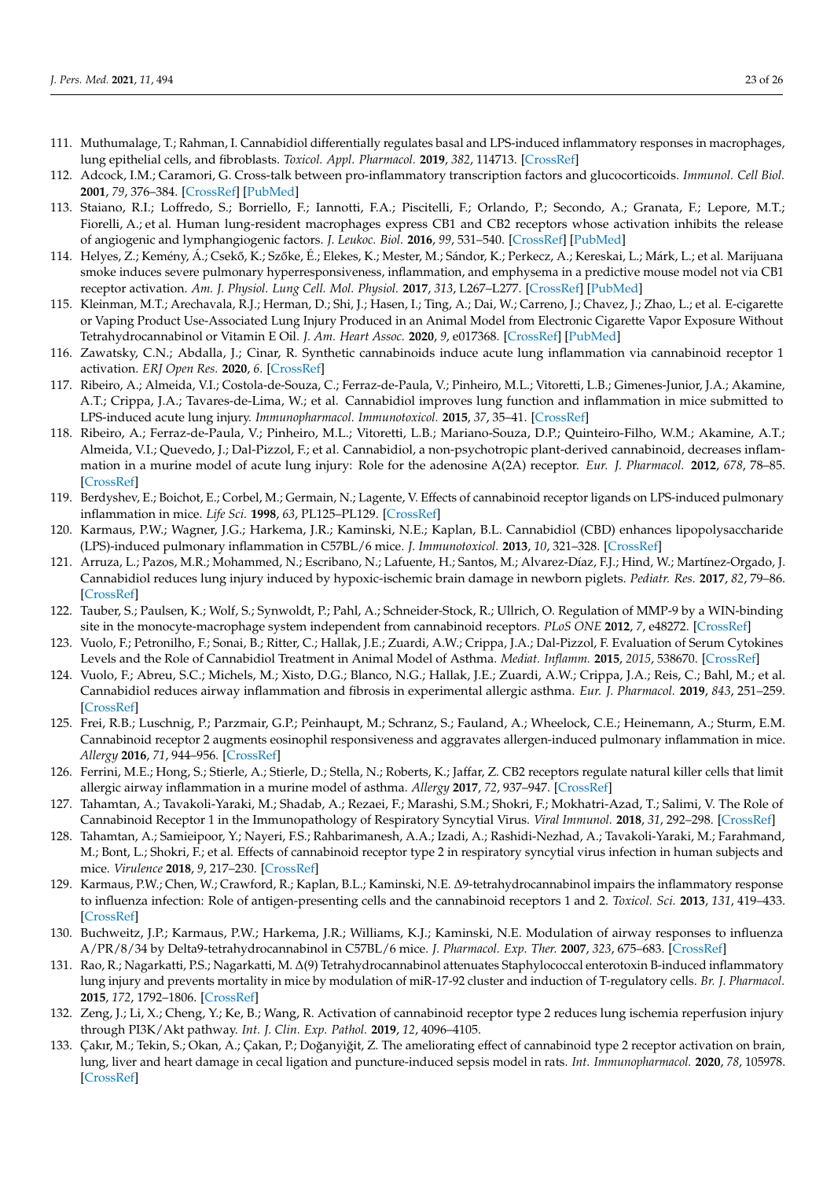- <span id="page-22-27"></span><span id="page-22-26"></span><span id="page-22-25"></span><span id="page-22-24"></span><span id="page-22-23"></span><span id="page-22-0"></span>111. Muthumalage, T.; Rahman, I. Cannabidiol differentially regulates basal and LPS-induced inflammatory responses in macrophages, lung epithelial cells, and fibroblasts. *Toxicol. Appl. Pharmacol.* **2019**, *382*, 114713. [\[CrossRef\]](http://doi.org/10.1016/j.taap.2019.114713)
- <span id="page-22-28"></span><span id="page-22-1"></span>112. Adcock, I.M.; Caramori, G. Cross-talk between pro-inflammatory transcription factors and glucocorticoids. *Immunol. Cell Biol.* **2001**, *79*, 376–384. [\[CrossRef\]](http://doi.org/10.1046/j.1440-1711.2001.01025.x) [\[PubMed\]](http://www.ncbi.nlm.nih.gov/pubmed/11488985)
- <span id="page-22-29"></span><span id="page-22-2"></span>113. Staiano, R.I.; Loffredo, S.; Borriello, F.; Iannotti, F.A.; Piscitelli, F.; Orlando, P.; Secondo, A.; Granata, F.; Lepore, M.T.; Fiorelli, A.; et al. Human lung-resident macrophages express CB1 and CB2 receptors whose activation inhibits the release of angiogenic and lymphangiogenic factors. *J. Leukoc. Biol.* **2016**, *99*, 531–540. [\[CrossRef\]](http://doi.org/10.1189/jlb.3HI1214-584R) [\[PubMed\]](http://www.ncbi.nlm.nih.gov/pubmed/26467187)
- <span id="page-22-30"></span><span id="page-22-3"></span>114. Helyes, Z.; Kemény, Á.; Csekő, K.; Szőke, É.; Elekes, K.; Mester, M.; Sándor, K.; Perkecz, A.; Kereskai, L.; Márk, L.; et al. Marijuana smoke induces severe pulmonary hyperresponsiveness, inflammation, and emphysema in a predictive mouse model not via CB1 receptor activation. *Am. J. Physiol. Lung Cell. Mol. Physiol.* **2017**, *313*, L267–L277. [\[CrossRef\]](http://doi.org/10.1152/ajplung.00354.2016) [\[PubMed\]](http://www.ncbi.nlm.nih.gov/pubmed/28495855)
- <span id="page-22-32"></span><span id="page-22-31"></span><span id="page-22-4"></span>115. Kleinman, M.T.; Arechavala, R.J.; Herman, D.; Shi, J.; Hasen, I.; Ting, A.; Dai, W.; Carreno, J.; Chavez, J.; Zhao, L.; et al. E-cigarette or Vaping Product Use-Associated Lung Injury Produced in an Animal Model from Electronic Cigarette Vapor Exposure Without Tetrahydrocannabinol or Vitamin E Oil. *J. Am. Heart Assoc.* **2020**, *9*, e017368. [\[CrossRef\]](http://doi.org/10.1161/JAHA.120.017368) [\[PubMed\]](http://www.ncbi.nlm.nih.gov/pubmed/32896206)
- <span id="page-22-5"></span>116. Zawatsky, C.N.; Abdalla, J.; Cinar, R. Synthetic cannabinoids induce acute lung inflammation via cannabinoid receptor 1 activation. *ERJ Open Res.* **2020**, *6*. [\[CrossRef\]](http://doi.org/10.1183/23120541.00121-2020)
- <span id="page-22-33"></span><span id="page-22-6"></span>117. Ribeiro, A.; Almeida, V.I.; Costola-de-Souza, C.; Ferraz-de-Paula, V.; Pinheiro, M.L.; Vitoretti, L.B.; Gimenes-Junior, J.A.; Akamine, A.T.; Crippa, J.A.; Tavares-de-Lima, W.; et al. Cannabidiol improves lung function and inflammation in mice submitted to LPS-induced acute lung injury. *Immunopharmacol. Immunotoxicol.* **2015**, *37*, 35–41. [\[CrossRef\]](http://doi.org/10.3109/08923973.2014.976794)
- <span id="page-22-34"></span><span id="page-22-7"></span>118. Ribeiro, A.; Ferraz-de-Paula, V.; Pinheiro, M.L.; Vitoretti, L.B.; Mariano-Souza, D.P.; Quinteiro-Filho, W.M.; Akamine, A.T.; Almeida, V.I.; Quevedo, J.; Dal-Pizzol, F.; et al. Cannabidiol, a non-psychotropic plant-derived cannabinoid, decreases inflammation in a murine model of acute lung injury: Role for the adenosine A(2A) receptor. *Eur. J. Pharmacol.* **2012**, *678*, 78–85. [\[CrossRef\]](http://doi.org/10.1016/j.ejphar.2011.12.043)
- <span id="page-22-35"></span><span id="page-22-8"></span>119. Berdyshev, E.; Boichot, E.; Corbel, M.; Germain, N.; Lagente, V. Effects of cannabinoid receptor ligands on LPS-induced pulmonary inflammation in mice. *Life Sci.* **1998**, *63*, PL125–PL129. [\[CrossRef\]](http://doi.org/10.1016/S0024-3205(98)00324-5)
- <span id="page-22-9"></span>120. Karmaus, P.W.; Wagner, J.G.; Harkema, J.R.; Kaminski, N.E.; Kaplan, B.L. Cannabidiol (CBD) enhances lipopolysaccharide (LPS)-induced pulmonary inflammation in C57BL/6 mice. *J. Immunotoxicol.* **2013**, *10*, 321–328. [\[CrossRef\]](http://doi.org/10.3109/1547691X.2012.741628)
- <span id="page-22-10"></span>121. Arruza, L.; Pazos, M.R.; Mohammed, N.; Escribano, N.; Lafuente, H.; Santos, M.; Alvarez-Díaz, F.J.; Hind, W.; Martínez-Orgado, J. Cannabidiol reduces lung injury induced by hypoxic-ischemic brain damage in newborn piglets. *Pediatr. Res.* **2017**, *82*, 79–86. [\[CrossRef\]](http://doi.org/10.1038/pr.2017.104)
- <span id="page-22-36"></span><span id="page-22-11"></span>122. Tauber, S.; Paulsen, K.; Wolf, S.; Synwoldt, P.; Pahl, A.; Schneider-Stock, R.; Ullrich, O. Regulation of MMP-9 by a WIN-binding site in the monocyte-macrophage system independent from cannabinoid receptors. *PLoS ONE* **2012**, *7*, e48272. [\[CrossRef\]](http://doi.org/10.1371/journal.pone.0048272)
- <span id="page-22-12"></span>123. Vuolo, F.; Petronilho, F.; Sonai, B.; Ritter, C.; Hallak, J.E.; Zuardi, A.W.; Crippa, J.A.; Dal-Pizzol, F. Evaluation of Serum Cytokines Levels and the Role of Cannabidiol Treatment in Animal Model of Asthma. *Mediat. Inflamm.* **2015**, *2015*, 538670. [\[CrossRef\]](http://doi.org/10.1155/2015/538670)
- <span id="page-22-38"></span><span id="page-22-37"></span><span id="page-22-13"></span>124. Vuolo, F.; Abreu, S.C.; Michels, M.; Xisto, D.G.; Blanco, N.G.; Hallak, J.E.; Zuardi, A.W.; Crippa, J.A.; Reis, C.; Bahl, M.; et al. Cannabidiol reduces airway inflammation and fibrosis in experimental allergic asthma. *Eur. J. Pharmacol.* **2019**, *843*, 251–259. [\[CrossRef\]](http://doi.org/10.1016/j.ejphar.2018.11.029)
- <span id="page-22-14"></span>125. Frei, R.B.; Luschnig, P.; Parzmair, G.P.; Peinhaupt, M.; Schranz, S.; Fauland, A.; Wheelock, C.E.; Heinemann, A.; Sturm, E.M. Cannabinoid receptor 2 augments eosinophil responsiveness and aggravates allergen-induced pulmonary inflammation in mice. *Allergy* **2016**, *71*, 944–956. [\[CrossRef\]](http://doi.org/10.1111/all.12858)
- <span id="page-22-15"></span>126. Ferrini, M.E.; Hong, S.; Stierle, A.; Stierle, D.; Stella, N.; Roberts, K.; Jaffar, Z. CB2 receptors regulate natural killer cells that limit allergic airway inflammation in a murine model of asthma. *Allergy* **2017**, *72*, 937–947. [\[CrossRef\]](http://doi.org/10.1111/all.13107)
- <span id="page-22-16"></span>127. Tahamtan, A.; Tavakoli-Yaraki, M.; Shadab, A.; Rezaei, F.; Marashi, S.M.; Shokri, F.; Mokhatri-Azad, T.; Salimi, V. The Role of Cannabinoid Receptor 1 in the Immunopathology of Respiratory Syncytial Virus. *Viral Immunol.* **2018**, *31*, 292–298. [\[CrossRef\]](http://doi.org/10.1089/vim.2017.0098)
- <span id="page-22-17"></span>128. Tahamtan, A.; Samieipoor, Y.; Nayeri, F.S.; Rahbarimanesh, A.A.; Izadi, A.; Rashidi-Nezhad, A.; Tavakoli-Yaraki, M.; Farahmand, M.; Bont, L.; Shokri, F.; et al. Effects of cannabinoid receptor type 2 in respiratory syncytial virus infection in human subjects and mice. *Virulence* **2018**, *9*, 217–230. [\[CrossRef\]](http://doi.org/10.1080/21505594.2017.1389369)
- <span id="page-22-18"></span>129. Karmaus, P.W.; Chen, W.; Crawford, R.; Kaplan, B.L.; Kaminski, N.E. ∆9-tetrahydrocannabinol impairs the inflammatory response to influenza infection: Role of antigen-presenting cells and the cannabinoid receptors 1 and 2. *Toxicol. Sci.* **2013**, *131*, 419–433. [\[CrossRef\]](http://doi.org/10.1093/toxsci/kfs315)
- <span id="page-22-19"></span>130. Buchweitz, J.P.; Karmaus, P.W.; Harkema, J.R.; Williams, K.J.; Kaminski, N.E. Modulation of airway responses to influenza A/PR/8/34 by Delta9-tetrahydrocannabinol in C57BL/6 mice. *J. Pharmacol. Exp. Ther.* **2007**, *323*, 675–683. [\[CrossRef\]](http://doi.org/10.1124/jpet.107.124719)
- <span id="page-22-20"></span>131. Rao, R.; Nagarkatti, P.S.; Nagarkatti, M. ∆(9) Tetrahydrocannabinol attenuates Staphylococcal enterotoxin B-induced inflammatory lung injury and prevents mortality in mice by modulation of miR-17-92 cluster and induction of T-regulatory cells. *Br. J. Pharmacol.* **2015**, *172*, 1792–1806. [\[CrossRef\]](http://doi.org/10.1111/bph.13026)
- <span id="page-22-21"></span>132. Zeng, J.; Li, X.; Cheng, Y.; Ke, B.; Wang, R. Activation of cannabinoid receptor type 2 reduces lung ischemia reperfusion injury through PI3K/Akt pathway. *Int. J. Clin. Exp. Pathol.* **2019**, *12*, 4096–4105.
- <span id="page-22-22"></span>133. Çakır, M.; Tekin, S.; Okan, A.; Çakan, P.; Doğanyiğit, Z. The ameliorating effect of cannabinoid type 2 receptor activation on brain, lung, liver and heart damage in cecal ligation and puncture-induced sepsis model in rats. *Int. Immunopharmacol.* **2020**, *78*, 105978. [\[CrossRef\]](http://doi.org/10.1016/j.intimp.2019.105978)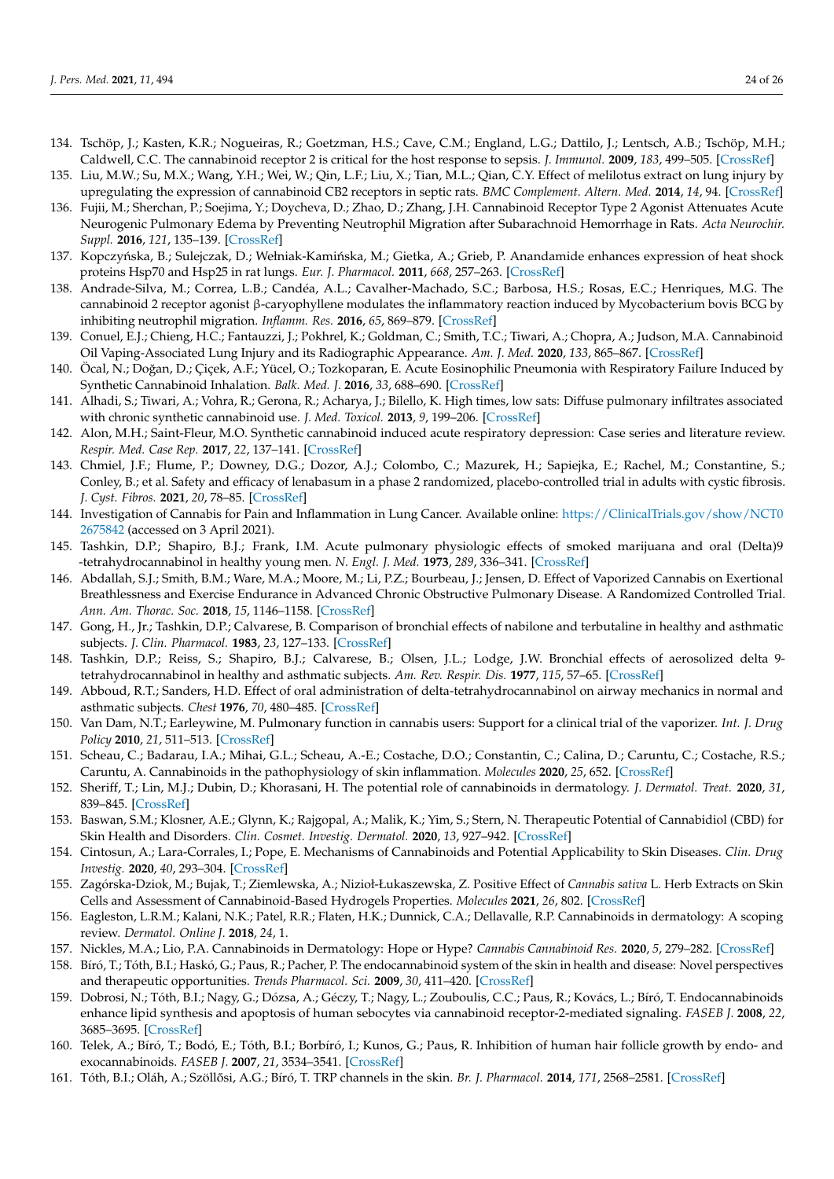- <span id="page-23-31"></span><span id="page-23-30"></span><span id="page-23-29"></span><span id="page-23-28"></span><span id="page-23-27"></span><span id="page-23-0"></span>134. Tschöp, J.; Kasten, K.R.; Nogueiras, R.; Goetzman, H.S.; Cave, C.M.; England, L.G.; Dattilo, J.; Lentsch, A.B.; Tschöp, M.H.; Caldwell, C.C. The cannabinoid receptor 2 is critical for the host response to sepsis. *J. Immunol.* **2009**, *183*, 499–505. [\[CrossRef\]](http://doi.org/10.4049/jimmunol.0900203)
- <span id="page-23-32"></span><span id="page-23-1"></span>135. Liu, M.W.; Su, M.X.; Wang, Y.H.; Wei, W.; Qin, L.F.; Liu, X.; Tian, M.L.; Qian, C.Y. Effect of melilotus extract on lung injury by upregulating the expression of cannabinoid CB2 receptors in septic rats. *BMC Complement. Altern. Med.* **2014**, *14*, 94. [\[CrossRef\]](http://doi.org/10.1186/1472-6882-14-94)
- <span id="page-23-33"></span><span id="page-23-2"></span>136. Fujii, M.; Sherchan, P.; Soejima, Y.; Doycheva, D.; Zhao, D.; Zhang, J.H. Cannabinoid Receptor Type 2 Agonist Attenuates Acute Neurogenic Pulmonary Edema by Preventing Neutrophil Migration after Subarachnoid Hemorrhage in Rats. *Acta Neurochir. Suppl.* **2016**, *121*, 135–139. [\[CrossRef\]](http://doi.org/10.1007/978-3-319-18497-5_24)
- <span id="page-23-3"></span>137. Kopczyńska, B.; Sulejczak, D.; Wełniak-Kamińska, M.; Gietka, A.; Grieb, P. Anandamide enhances expression of heat shock proteins Hsp70 and Hsp25 in rat lungs. *Eur. J. Pharmacol.* **2011**, *668*, 257–263. [\[CrossRef\]](http://doi.org/10.1016/j.ejphar.2011.06.045)
- <span id="page-23-35"></span><span id="page-23-34"></span><span id="page-23-4"></span>138. Andrade-Silva, M.; Correa, L.B.; Candéa, A.L.; Cavalher-Machado, S.C.; Barbosa, H.S.; Rosas, E.C.; Henriques, M.G. The cannabinoid 2 receptor agonist β-caryophyllene modulates the inflammatory reaction induced by Mycobacterium bovis BCG by inhibiting neutrophil migration. *Inflamm. Res.* **2016**, *65*, 869–879. [\[CrossRef\]](http://doi.org/10.1007/s00011-016-0969-3)
- <span id="page-23-36"></span><span id="page-23-5"></span>139. Conuel, E.J.; Chieng, H.C.; Fantauzzi, J.; Pokhrel, K.; Goldman, C.; Smith, T.C.; Tiwari, A.; Chopra, A.; Judson, M.A. Cannabinoid Oil Vaping-Associated Lung Injury and its Radiographic Appearance. *Am. J. Med.* **2020**, *133*, 865–867. [\[CrossRef\]](http://doi.org/10.1016/j.amjmed.2019.10.032)
- 140. Öcal, N.; Doğan, D.; Çiçek, A.F.; Yücel, O.; Tozkoparan, E. Acute Eosinophilic Pneumonia with Respiratory Failure Induced by Synthetic Cannabinoid Inhalation. *Balk. Med. J.* **2016**, *33*, 688–690. [\[CrossRef\]](http://doi.org/10.5152/balkanmedj.2016.151145)
- <span id="page-23-6"></span>141. Alhadi, S.; Tiwari, A.; Vohra, R.; Gerona, R.; Acharya, J.; Bilello, K. High times, low sats: Diffuse pulmonary infiltrates associated with chronic synthetic cannabinoid use. *J. Med. Toxicol.* **2013**, *9*, 199–206. [\[CrossRef\]](http://doi.org/10.1007/s13181-013-0288-9)
- <span id="page-23-7"></span>142. Alon, M.H.; Saint-Fleur, M.O. Synthetic cannabinoid induced acute respiratory depression: Case series and literature review. *Respir. Med. Case Rep.* **2017**, *22*, 137–141. [\[CrossRef\]](http://doi.org/10.1016/j.rmcr.2017.07.011)
- <span id="page-23-8"></span>143. Chmiel, J.F.; Flume, P.; Downey, D.G.; Dozor, A.J.; Colombo, C.; Mazurek, H.; Sapiejka, E.; Rachel, M.; Constantine, S.; Conley, B.; et al. Safety and efficacy of lenabasum in a phase 2 randomized, placebo-controlled trial in adults with cystic fibrosis. *J. Cyst. Fibros.* **2021**, *20*, 78–85. [\[CrossRef\]](http://doi.org/10.1016/j.jcf.2020.09.008)
- <span id="page-23-9"></span>144. Investigation of Cannabis for Pain and Inflammation in Lung Cancer. Available online: [https://ClinicalTrials.gov/show/NCT0](https://ClinicalTrials.gov/show/NCT02675842) [2675842](https://ClinicalTrials.gov/show/NCT02675842) (accessed on 3 April 2021).
- <span id="page-23-10"></span>145. Tashkin, D.P.; Shapiro, B.J.; Frank, I.M. Acute pulmonary physiologic effects of smoked marijuana and oral (Delta)9 -tetrahydrocannabinol in healthy young men. *N. Engl. J. Med.* **1973**, *289*, 336–341. [\[CrossRef\]](http://doi.org/10.1056/NEJM197308162890702)
- <span id="page-23-11"></span>146. Abdallah, S.J.; Smith, B.M.; Ware, M.A.; Moore, M.; Li, P.Z.; Bourbeau, J.; Jensen, D. Effect of Vaporized Cannabis on Exertional Breathlessness and Exercise Endurance in Advanced Chronic Obstructive Pulmonary Disease. A Randomized Controlled Trial. *Ann. Am. Thorac. Soc.* **2018**, *15*, 1146–1158. [\[CrossRef\]](http://doi.org/10.1513/AnnalsATS.201803-198OC)
- <span id="page-23-12"></span>147. Gong, H., Jr.; Tashkin, D.P.; Calvarese, B. Comparison of bronchial effects of nabilone and terbutaline in healthy and asthmatic subjects. *J. Clin. Pharmacol.* **1983**, *23*, 127–133. [\[CrossRef\]](http://doi.org/10.1002/j.1552-4604.1983.tb02715.x)
- <span id="page-23-13"></span>148. Tashkin, D.P.; Reiss, S.; Shapiro, B.J.; Calvarese, B.; Olsen, J.L.; Lodge, J.W. Bronchial effects of aerosolized delta 9 tetrahydrocannabinol in healthy and asthmatic subjects. *Am. Rev. Respir. Dis.* **1977**, *115*, 57–65. [\[CrossRef\]](http://doi.org/10.1164/arrd.1977.115.1.57)
- <span id="page-23-14"></span>149. Abboud, R.T.; Sanders, H.D. Effect of oral administration of delta-tetrahydrocannabinol on airway mechanics in normal and asthmatic subjects. *Chest* **1976**, *70*, 480–485. [\[CrossRef\]](http://doi.org/10.1378/chest.70.4.480)
- <span id="page-23-15"></span>150. Van Dam, N.T.; Earleywine, M. Pulmonary function in cannabis users: Support for a clinical trial of the vaporizer. *Int. J. Drug Policy* **2010**, *21*, 511–513. [\[CrossRef\]](http://doi.org/10.1016/j.drugpo.2010.04.001)
- <span id="page-23-16"></span>151. Scheau, C.; Badarau, I.A.; Mihai, G.L.; Scheau, A.-E.; Costache, D.O.; Constantin, C.; Calina, D.; Caruntu, C.; Costache, R.S.; Caruntu, A. Cannabinoids in the pathophysiology of skin inflammation. *Molecules* **2020**, *25*, 652. [\[CrossRef\]](http://doi.org/10.3390/molecules25030652)
- <span id="page-23-17"></span>152. Sheriff, T.; Lin, M.J.; Dubin, D.; Khorasani, H. The potential role of cannabinoids in dermatology. *J. Dermatol. Treat.* **2020**, *31*, 839–845. [\[CrossRef\]](http://doi.org/10.1080/09546634.2019.1675854)
- <span id="page-23-18"></span>153. Baswan, S.M.; Klosner, A.E.; Glynn, K.; Rajgopal, A.; Malik, K.; Yim, S.; Stern, N. Therapeutic Potential of Cannabidiol (CBD) for Skin Health and Disorders. *Clin. Cosmet. Investig. Dermatol.* **2020**, *13*, 927–942. [\[CrossRef\]](http://doi.org/10.2147/CCID.S286411)
- <span id="page-23-19"></span>154. Cintosun, A.; Lara-Corrales, I.; Pope, E. Mechanisms of Cannabinoids and Potential Applicability to Skin Diseases. *Clin. Drug Investig.* **2020**, *40*, 293–304. [\[CrossRef\]](http://doi.org/10.1007/s40261-020-00894-7)
- <span id="page-23-20"></span>155. Zagórska-Dziok, M.; Bujak, T.; Ziemlewska, A.; Nizioł-Łukaszewska, Z. Positive Effect of *Cannabis sativa* L. Herb Extracts on Skin Cells and Assessment of Cannabinoid-Based Hydrogels Properties. *Molecules* **2021**, *26*, 802. [\[CrossRef\]](http://doi.org/10.3390/molecules26040802)
- <span id="page-23-21"></span>156. Eagleston, L.R.M.; Kalani, N.K.; Patel, R.R.; Flaten, H.K.; Dunnick, C.A.; Dellavalle, R.P. Cannabinoids in dermatology: A scoping review. *Dermatol. Online J.* **2018**, *24*, 1.
- <span id="page-23-22"></span>157. Nickles, M.A.; Lio, P.A. Cannabinoids in Dermatology: Hope or Hype? *Cannabis Cannabinoid Res.* **2020**, *5*, 279–282. [\[CrossRef\]](http://doi.org/10.1089/can.2019.0097)
- <span id="page-23-23"></span>158. Bíró, T.; Tóth, B.I.; Haskó, G.; Paus, R.; Pacher, P. The endocannabinoid system of the skin in health and disease: Novel perspectives and therapeutic opportunities. *Trends Pharmacol. Sci.* **2009**, *30*, 411–420. [\[CrossRef\]](http://doi.org/10.1016/j.tips.2009.05.004)
- <span id="page-23-24"></span>159. Dobrosi, N.; Tóth, B.I.; Nagy, G.; Dózsa, A.; Géczy, T.; Nagy, L.; Zouboulis, C.C.; Paus, R.; Kovács, L.; Bíró, T. Endocannabinoids enhance lipid synthesis and apoptosis of human sebocytes via cannabinoid receptor-2-mediated signaling. *FASEB J.* **2008**, *22*, 3685–3695. [\[CrossRef\]](http://doi.org/10.1096/fj.07-104877)
- <span id="page-23-25"></span>160. Telek, A.; Bíró, T.; Bodó, E.; Tóth, B.I.; Borbíró, I.; Kunos, G.; Paus, R. Inhibition of human hair follicle growth by endo- and exocannabinoids. *FASEB J.* **2007**, *21*, 3534–3541. [\[CrossRef\]](http://doi.org/10.1096/fj.06-7689com)
- <span id="page-23-26"></span>161. Tóth, B.I.; Oláh, A.; Szöll˝osi, A.G.; Bíró, T. TRP channels in the skin. *Br. J. Pharmacol.* **2014**, *171*, 2568–2581. [\[CrossRef\]](http://doi.org/10.1111/bph.12569)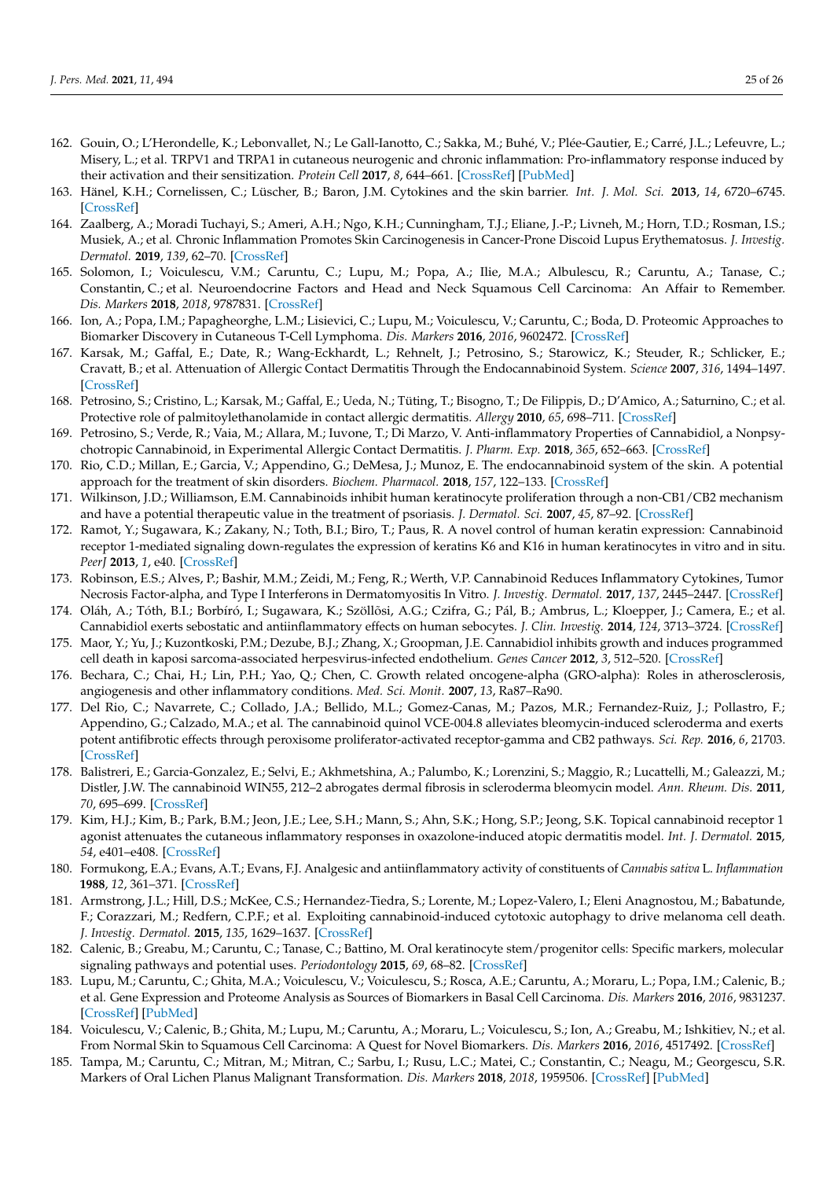- <span id="page-24-22"></span><span id="page-24-21"></span><span id="page-24-20"></span><span id="page-24-0"></span>162. Gouin, O.; L'Herondelle, K.; Lebonvallet, N.; Le Gall-Ianotto, C.; Sakka, M.; Buhé, V.; Plée-Gautier, E.; Carré, J.L.; Lefeuvre, L.; Misery, L.; et al. TRPV1 and TRPA1 in cutaneous neurogenic and chronic inflammation: Pro-inflammatory response induced by their activation and their sensitization. *Protein Cell* **2017**, *8*, 644–661. [\[CrossRef\]](http://doi.org/10.1007/s13238-017-0395-5) [\[PubMed\]](http://www.ncbi.nlm.nih.gov/pubmed/28364279)
- <span id="page-24-23"></span><span id="page-24-1"></span>163. Hänel, K.H.; Cornelissen, C.; Lüscher, B.; Baron, J.M. Cytokines and the skin barrier. *Int. J. Mol. Sci.* **2013**, *14*, 6720–6745. [\[CrossRef\]](http://doi.org/10.3390/ijms14046720)
- <span id="page-24-19"></span>164. Zaalberg, A.; Moradi Tuchayi, S.; Ameri, A.H.; Ngo, K.H.; Cunningham, T.J.; Eliane, J.-P.; Livneh, M.; Horn, T.D.; Rosman, I.S.; Musiek, A.; et al. Chronic Inflammation Promotes Skin Carcinogenesis in Cancer-Prone Discoid Lupus Erythematosus. *J. Investig. Dermatol.* **2019**, *139*, 62–70. [\[CrossRef\]](http://doi.org/10.1016/j.jid.2018.06.185)
- <span id="page-24-25"></span><span id="page-24-24"></span>165. Solomon, I.; Voiculescu, V.M.; Caruntu, C.; Lupu, M.; Popa, A.; Ilie, M.A.; Albulescu, R.; Caruntu, A.; Tanase, C.; Constantin, C.; et al. Neuroendocrine Factors and Head and Neck Squamous Cell Carcinoma: An Affair to Remember. *Dis. Markers* **2018**, *2018*, 9787831. [\[CrossRef\]](http://doi.org/10.1155/2018/9787831)
- <span id="page-24-2"></span>166. Ion, A.; Popa, I.M.; Papagheorghe, L.M.; Lisievici, C.; Lupu, M.; Voiculescu, V.; Caruntu, C.; Boda, D. Proteomic Approaches to Biomarker Discovery in Cutaneous T-Cell Lymphoma. *Dis. Markers* **2016**, *2016*, 9602472. [\[CrossRef\]](http://doi.org/10.1155/2016/9602472)
- <span id="page-24-26"></span><span id="page-24-3"></span>167. Karsak, M.; Gaffal, E.; Date, R.; Wang-Eckhardt, L.; Rehnelt, J.; Petrosino, S.; Starowicz, K.; Steuder, R.; Schlicker, E.; Cravatt, B.; et al. Attenuation of Allergic Contact Dermatitis Through the Endocannabinoid System. *Science* **2007**, *316*, 1494–1497. [\[CrossRef\]](http://doi.org/10.1126/science.1142265)
- <span id="page-24-4"></span>168. Petrosino, S.; Cristino, L.; Karsak, M.; Gaffal, E.; Ueda, N.; Tüting, T.; Bisogno, T.; De Filippis, D.; D'Amico, A.; Saturnino, C.; et al. Protective role of palmitoylethanolamide in contact allergic dermatitis. *Allergy* **2010**, *65*, 698–711. [\[CrossRef\]](http://doi.org/10.1111/j.1398-9995.2009.02254.x)
- <span id="page-24-27"></span><span id="page-24-5"></span>169. Petrosino, S.; Verde, R.; Vaia, M.; Allara, M.; Iuvone, T.; Di Marzo, V. Anti-inflammatory Properties of Cannabidiol, a Nonpsychotropic Cannabinoid, in Experimental Allergic Contact Dermatitis. *J. Pharm. Exp.* **2018**, *365*, 652–663. [\[CrossRef\]](http://doi.org/10.1124/jpet.117.244368)
- <span id="page-24-28"></span><span id="page-24-6"></span>170. Rio, C.D.; Millan, E.; Garcia, V.; Appendino, G.; DeMesa, J.; Munoz, E. The endocannabinoid system of the skin. A potential approach for the treatment of skin disorders. *Biochem. Pharmacol.* **2018**, *157*, 122–133. [\[CrossRef\]](http://doi.org/10.1016/j.bcp.2018.08.022)
- <span id="page-24-7"></span>171. Wilkinson, J.D.; Williamson, E.M. Cannabinoids inhibit human keratinocyte proliferation through a non-CB1/CB2 mechanism and have a potential therapeutic value in the treatment of psoriasis. *J. Dermatol. Sci.* **2007**, *45*, 87–92. [\[CrossRef\]](http://doi.org/10.1016/j.jdermsci.2006.10.009)
- <span id="page-24-30"></span><span id="page-24-29"></span><span id="page-24-8"></span>172. Ramot, Y.; Sugawara, K.; Zakany, N.; Toth, B.I.; Biro, T.; Paus, R. A novel control of human keratin expression: Cannabinoid receptor 1-mediated signaling down-regulates the expression of keratins K6 and K16 in human keratinocytes in vitro and in situ. *PeerJ* **2013**, *1*, e40. [\[CrossRef\]](http://doi.org/10.7717/peerj.40)
- <span id="page-24-9"></span>173. Robinson, E.S.; Alves, P.; Bashir, M.M.; Zeidi, M.; Feng, R.; Werth, V.P. Cannabinoid Reduces Inflammatory Cytokines, Tumor Necrosis Factor-alpha, and Type I Interferons in Dermatomyositis In Vitro. *J. Investig. Dermatol.* **2017**, *137*, 2445–2447. [\[CrossRef\]](http://doi.org/10.1016/j.jid.2017.05.035)
- <span id="page-24-10"></span>174. Oláh, A.; Tóth, B.I.; Borbíró, I.; Sugawara, K.; Szöllõsi, A.G.; Czifra, G.; Pál, B.; Ambrus, L.; Kloepper, J.; Camera, E.; et al. Cannabidiol exerts sebostatic and antiinflammatory effects on human sebocytes. *J. Clin. Investig.* **2014**, *124*, 3713–3724. [\[CrossRef\]](http://doi.org/10.1172/JCI64628)
- <span id="page-24-11"></span>175. Maor, Y.; Yu, J.; Kuzontkoski, P.M.; Dezube, B.J.; Zhang, X.; Groopman, J.E. Cannabidiol inhibits growth and induces programmed cell death in kaposi sarcoma-associated herpesvirus-infected endothelium. *Genes Cancer* **2012**, *3*, 512–520. [\[CrossRef\]](http://doi.org/10.1177/1947601912466556)
- <span id="page-24-12"></span>176. Bechara, C.; Chai, H.; Lin, P.H.; Yao, Q.; Chen, C. Growth related oncogene-alpha (GRO-alpha): Roles in atherosclerosis, angiogenesis and other inflammatory conditions. *Med. Sci. Monit.* **2007**, *13*, Ra87–Ra90.
- <span id="page-24-13"></span>177. Del Rio, C.; Navarrete, C.; Collado, J.A.; Bellido, M.L.; Gomez-Canas, M.; Pazos, M.R.; Fernandez-Ruiz, J.; Pollastro, F.; Appendino, G.; Calzado, M.A.; et al. The cannabinoid quinol VCE-004.8 alleviates bleomycin-induced scleroderma and exerts potent antifibrotic effects through peroxisome proliferator-activated receptor-gamma and CB2 pathways. *Sci. Rep.* **2016**, *6*, 21703. [\[CrossRef\]](http://doi.org/10.1038/srep21703)
- <span id="page-24-14"></span>178. Balistreri, E.; Garcia-Gonzalez, E.; Selvi, E.; Akhmetshina, A.; Palumbo, K.; Lorenzini, S.; Maggio, R.; Lucattelli, M.; Galeazzi, M.; Distler, J.W. The cannabinoid WIN55, 212–2 abrogates dermal fibrosis in scleroderma bleomycin model. *Ann. Rheum. Dis.* **2011**, *70*, 695–699. [\[CrossRef\]](http://doi.org/10.1136/ard.2010.137539)
- <span id="page-24-15"></span>179. Kim, H.J.; Kim, B.; Park, B.M.; Jeon, J.E.; Lee, S.H.; Mann, S.; Ahn, S.K.; Hong, S.P.; Jeong, S.K. Topical cannabinoid receptor 1 agonist attenuates the cutaneous inflammatory responses in oxazolone-induced atopic dermatitis model. *Int. J. Dermatol.* **2015**, *54*, e401–e408. [\[CrossRef\]](http://doi.org/10.1111/ijd.12841)
- <span id="page-24-16"></span>180. Formukong, E.A.; Evans, A.T.; Evans, F.J. Analgesic and antiinflammatory activity of constituents of *Cannabis sativa* L. *Inflammation* **1988**, *12*, 361–371. [\[CrossRef\]](http://doi.org/10.1007/BF00915771)
- <span id="page-24-17"></span>181. Armstrong, J.L.; Hill, D.S.; McKee, C.S.; Hernandez-Tiedra, S.; Lorente, M.; Lopez-Valero, I.; Eleni Anagnostou, M.; Babatunde, F.; Corazzari, M.; Redfern, C.P.F.; et al. Exploiting cannabinoid-induced cytotoxic autophagy to drive melanoma cell death. *J. Investig. Dermatol.* **2015**, *135*, 1629–1637. [\[CrossRef\]](http://doi.org/10.1038/jid.2015.45)
- <span id="page-24-18"></span>182. Calenic, B.; Greabu, M.; Caruntu, C.; Tanase, C.; Battino, M. Oral keratinocyte stem/progenitor cells: Specific markers, molecular signaling pathways and potential uses. *Periodontology* **2015**, *69*, 68–82. [\[CrossRef\]](http://doi.org/10.1111/prd.12097)
- 183. Lupu, M.; Caruntu, C.; Ghita, M.A.; Voiculescu, V.; Voiculescu, S.; Rosca, A.E.; Caruntu, A.; Moraru, L.; Popa, I.M.; Calenic, B.; et al. Gene Expression and Proteome Analysis as Sources of Biomarkers in Basal Cell Carcinoma. *Dis. Markers* **2016**, *2016*, 9831237. [\[CrossRef\]](http://doi.org/10.1155/2016/9831237) [\[PubMed\]](http://www.ncbi.nlm.nih.gov/pubmed/27578920)
- 184. Voiculescu, V.; Calenic, B.; Ghita, M.; Lupu, M.; Caruntu, A.; Moraru, L.; Voiculescu, S.; Ion, A.; Greabu, M.; Ishkitiev, N.; et al. From Normal Skin to Squamous Cell Carcinoma: A Quest for Novel Biomarkers. *Dis. Markers* **2016**, *2016*, 4517492. [\[CrossRef\]](http://doi.org/10.1155/2016/4517492)
- 185. Tampa, M.; Caruntu, C.; Mitran, M.; Mitran, C.; Sarbu, I.; Rusu, L.C.; Matei, C.; Constantin, C.; Neagu, M.; Georgescu, S.R. Markers of Oral Lichen Planus Malignant Transformation. *Dis. Markers* **2018**, *2018*, 1959506. [\[CrossRef\]](http://doi.org/10.1155/2018/1959506) [\[PubMed\]](http://www.ncbi.nlm.nih.gov/pubmed/29682099)